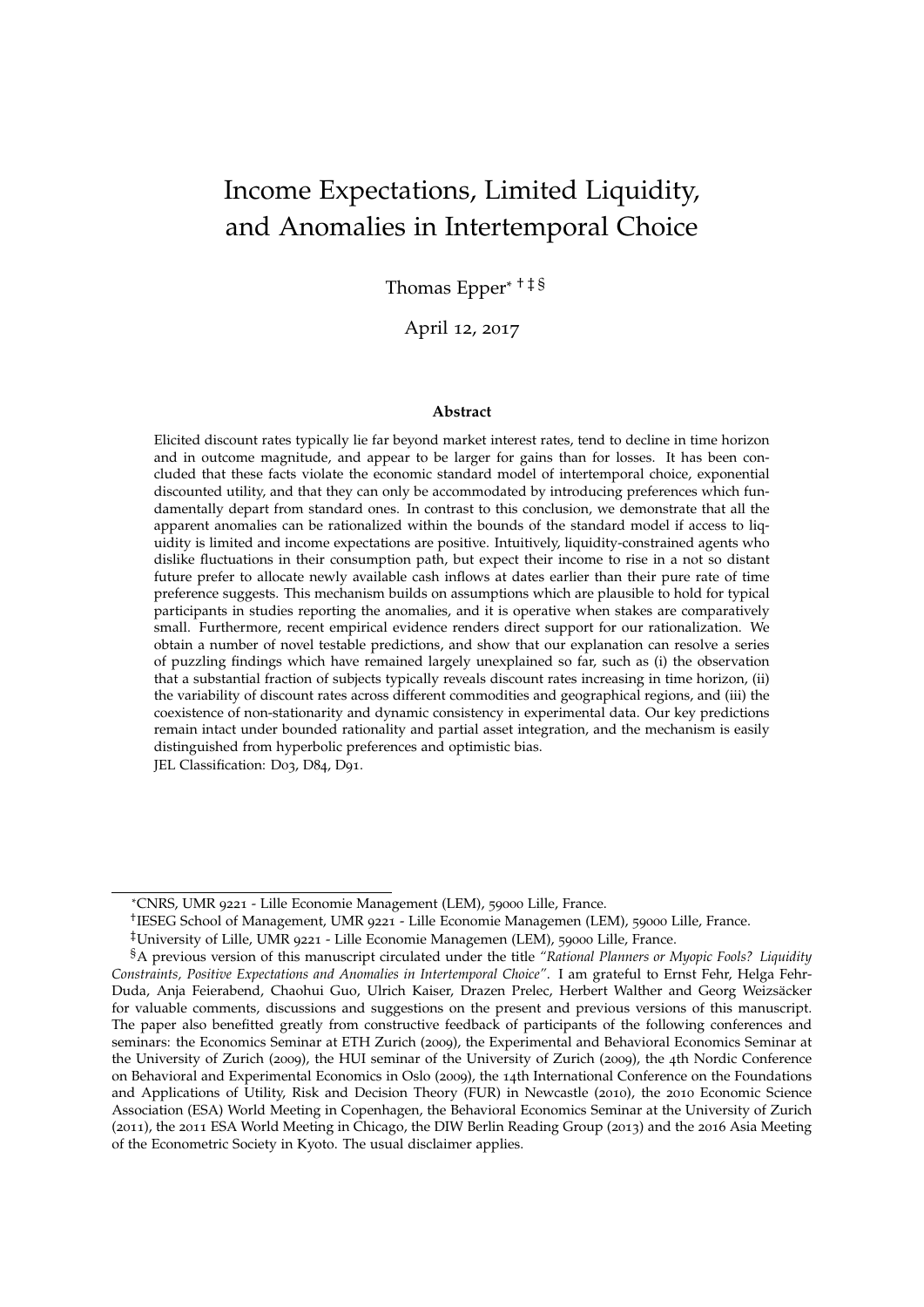# Income Expectations, Limited Liquidity, and Anomalies in Intertemporal Choice

Thomas Epper\* † ‡ §

April 12, 2017

#### **Abstract**

Elicited discount rates typically lie far beyond market interest rates, tend to decline in time horizon and in outcome magnitude, and appear to be larger for gains than for losses. It has been concluded that these facts violate the economic standard model of intertemporal choice, exponential discounted utility, and that they can only be accommodated by introducing preferences which fundamentally depart from standard ones. In contrast to this conclusion, we demonstrate that all the apparent anomalies can be rationalized within the bounds of the standard model if access to liquidity is limited and income expectations are positive. Intuitively, liquidity-constrained agents who dislike fluctuations in their consumption path, but expect their income to rise in a not so distant future prefer to allocate newly available cash inflows at dates earlier than their pure rate of time preference suggests. This mechanism builds on assumptions which are plausible to hold for typical participants in studies reporting the anomalies, and it is operative when stakes are comparatively small. Furthermore, recent empirical evidence renders direct support for our rationalization. We obtain a number of novel testable predictions, and show that our explanation can resolve a series of puzzling findings which have remained largely unexplained so far, such as (i) the observation that a substantial fraction of subjects typically reveals discount rates increasing in time horizon, (ii) the variability of discount rates across different commodities and geographical regions, and (iii) the coexistence of non-stationarity and dynamic consistency in experimental data. Our key predictions remain intact under bounded rationality and partial asset integration, and the mechanism is easily distinguished from hyperbolic preferences and optimistic bias.

JEL Classification: D03, D84, D91.

<sup>\*</sup>CNRS, UMR 9221 - Lille Economie Management (LEM), 59000 Lille, France.

<sup>†</sup> IESEG School of Management, UMR 9221 - Lille Economie Managemen (LEM), 59000 Lille, France.

<sup>‡</sup>University of Lille, UMR 9221 - Lille Economie Managemen (LEM), 59000 Lille, France.

<sup>§</sup>A previous version of this manuscript circulated under the title *"Rational Planners or Myopic Fools? Liquidity Constraints, Positive Expectations and Anomalies in Intertemporal Choice"*. I am grateful to Ernst Fehr, Helga Fehr-Duda, Anja Feierabend, Chaohui Guo, Ulrich Kaiser, Drazen Prelec, Herbert Walther and Georg Weizsacker ¨ for valuable comments, discussions and suggestions on the present and previous versions of this manuscript. The paper also benefitted greatly from constructive feedback of participants of the following conferences and seminars: the Economics Seminar at ETH Zurich (2009), the Experimental and Behavioral Economics Seminar at the University of Zurich (2009), the HUI seminar of the University of Zurich (2009), the 4th Nordic Conference on Behavioral and Experimental Economics in Oslo (2009), the 14th International Conference on the Foundations and Applications of Utility, Risk and Decision Theory (FUR) in Newcastle (2010), the 2010 Economic Science Association (ESA) World Meeting in Copenhagen, the Behavioral Economics Seminar at the University of Zurich (2011), the 2011 ESA World Meeting in Chicago, the DIW Berlin Reading Group (2013) and the 2016 Asia Meeting of the Econometric Society in Kyoto. The usual disclaimer applies.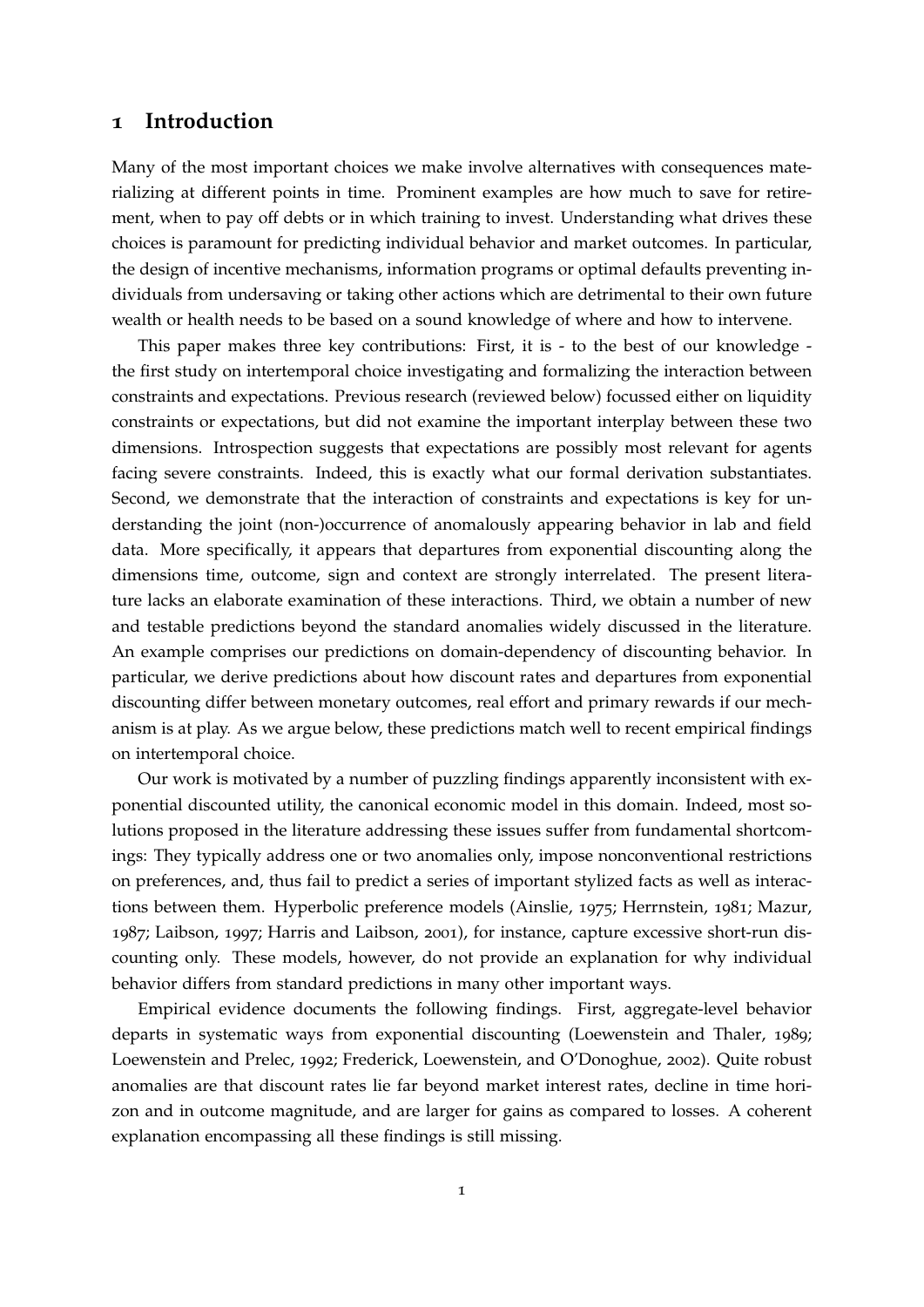### <span id="page-1-0"></span>**1 Introduction**

Many of the most important choices we make involve alternatives with consequences materializing at different points in time. Prominent examples are how much to save for retirement, when to pay off debts or in which training to invest. Understanding what drives these choices is paramount for predicting individual behavior and market outcomes. In particular, the design of incentive mechanisms, information programs or optimal defaults preventing individuals from undersaving or taking other actions which are detrimental to their own future wealth or health needs to be based on a sound knowledge of where and how to intervene.

This paper makes three key contributions: First, it is - to the best of our knowledge the first study on intertemporal choice investigating and formalizing the interaction between constraints and expectations. Previous research (reviewed below) focussed either on liquidity constraints or expectations, but did not examine the important interplay between these two dimensions. Introspection suggests that expectations are possibly most relevant for agents facing severe constraints. Indeed, this is exactly what our formal derivation substantiates. Second, we demonstrate that the interaction of constraints and expectations is key for understanding the joint (non-)occurrence of anomalously appearing behavior in lab and field data. More specifically, it appears that departures from exponential discounting along the dimensions time, outcome, sign and context are strongly interrelated. The present literature lacks an elaborate examination of these interactions. Third, we obtain a number of new and testable predictions beyond the standard anomalies widely discussed in the literature. An example comprises our predictions on domain-dependency of discounting behavior. In particular, we derive predictions about how discount rates and departures from exponential discounting differ between monetary outcomes, real effort and primary rewards if our mechanism is at play. As we argue below, these predictions match well to recent empirical findings on intertemporal choice.

Our work is motivated by a number of puzzling findings apparently inconsistent with exponential discounted utility, the canonical economic model in this domain. Indeed, most solutions proposed in the literature addressing these issues suffer from fundamental shortcomings: They typically address one or two anomalies only, impose nonconventional restrictions on preferences, and, thus fail to predict a series of important stylized facts as well as interactions between them. Hyperbolic preference models [\(Ainslie,](#page-35-0) [1975](#page-35-0); [Herrnstein,](#page-38-0) [1981](#page-38-0); [Mazur,](#page-39-0) [1987](#page-39-0); [Laibson,](#page-38-1) [1997](#page-38-1); [Harris and Laibson,](#page-38-2) [2001](#page-38-2)), for instance, capture excessive short-run discounting only. These models, however, do not provide an explanation for why individual behavior differs from standard predictions in many other important ways.

Empirical evidence documents the following findings. First, aggregate-level behavior departs in systematic ways from exponential discounting [\(Loewenstein and Thaler,](#page-39-1) [1989](#page-39-1); [Loewenstein and Prelec,](#page-39-2) [1992](#page-39-2); [Frederick, Loewenstein, and O'Donoghue,](#page-37-0) [2002](#page-37-0)). Quite robust anomalies are that discount rates lie far beyond market interest rates, decline in time horizon and in outcome magnitude, and are larger for gains as compared to losses. A coherent explanation encompassing all these findings is still missing.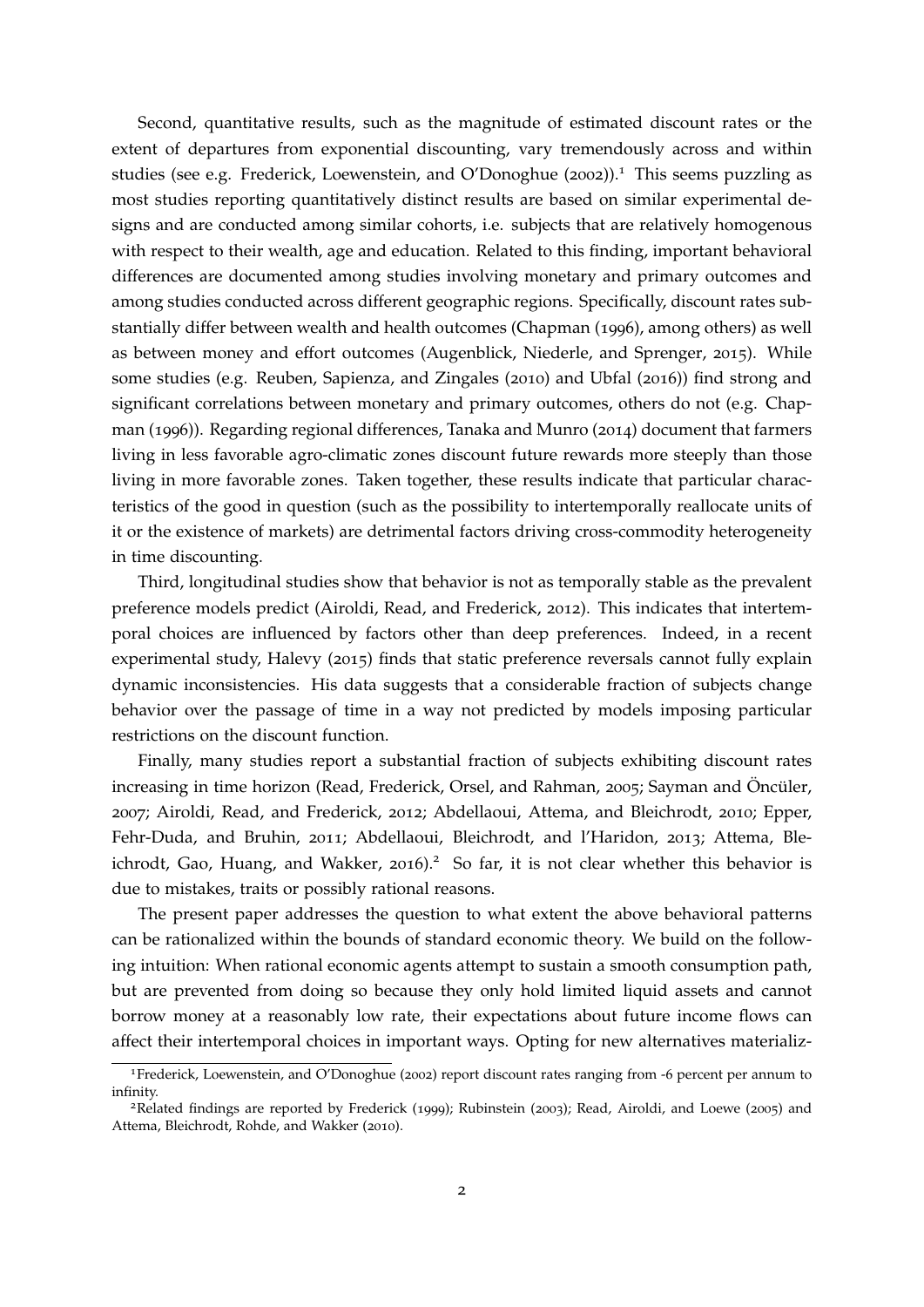Second, quantitative results, such as the magnitude of estimated discount rates or the extent of departures from exponential discounting, vary tremendously across and within studies (see e.g. [Frederick, Loewenstein, and O'Donoghue](#page-37-0)  $(2002)$  $(2002)$  $(2002)$ ).<sup>[1](#page-2-0)</sup> This seems puzzling as most studies reporting quantitatively distinct results are based on similar experimental designs and are conducted among similar cohorts, i.e. subjects that are relatively homogenous with respect to their wealth, age and education. Related to this finding, important behavioral differences are documented among studies involving monetary and primary outcomes and among studies conducted across different geographic regions. Specifically, discount rates substantially differ between wealth and health outcomes [\(Chapman](#page-36-0) ([1996](#page-36-0)), among others) as well as between money and effort outcomes [\(Augenblick, Niederle, and Sprenger,](#page-35-1) [2015](#page-35-1)). While some studies (e.g. [Reuben, Sapienza, and Zingales](#page-40-0) ([2010](#page-40-0)) and [Ubfal](#page-41-0) ([2016](#page-41-0))) find strong and significant correlations between monetary and primary outcomes, others do not (e.g. [Chap](#page-36-0)[man](#page-36-0) ([1996](#page-36-0))). Regarding regional differences, [Tanaka and Munro](#page-41-1) ([2014](#page-41-1)) document that farmers living in less favorable agro-climatic zones discount future rewards more steeply than those living in more favorable zones. Taken together, these results indicate that particular characteristics of the good in question (such as the possibility to intertemporally reallocate units of it or the existence of markets) are detrimental factors driving cross-commodity heterogeneity in time discounting.

Third, longitudinal studies show that behavior is not as temporally stable as the prevalent preference models predict [\(Airoldi, Read, and Frederick,](#page-35-2) [2012](#page-35-2)). This indicates that intertemporal choices are influenced by factors other than deep preferences. Indeed, in a recent experimental study, [Halevy](#page-37-1) ([2015](#page-37-1)) finds that static preference reversals cannot fully explain dynamic inconsistencies. His data suggests that a considerable fraction of subjects change behavior over the passage of time in a way not predicted by models imposing particular restrictions on the discount function.

Finally, many studies report a substantial fraction of subjects exhibiting discount rates increasing in time horizon [\(Read, Frederick, Orsel, and Rahman,](#page-40-1) [2005](#page-40-1); [Sayman and](#page-40-2) Öncüler, [2007](#page-40-2); [Airoldi, Read, and Frederick,](#page-35-2) [2012](#page-35-2); [Abdellaoui, Attema, and Bleichrodt,](#page-35-3) [2010](#page-35-3); [Epper,](#page-37-2) [Fehr-Duda, and Bruhin,](#page-37-2) [2011](#page-37-2); [Abdellaoui, Bleichrodt, and l'Haridon,](#page-35-4) [2013](#page-35-4); [Attema, Ble](#page-35-5)[ichrodt, Gao, Huang, and Wakker,](#page-35-5) [2016](#page-35-5)).<sup>[2](#page-2-1)</sup> So far, it is not clear whether this behavior is due to mistakes, traits or possibly rational reasons.

The present paper addresses the question to what extent the above behavioral patterns can be rationalized within the bounds of standard economic theory. We build on the following intuition: When rational economic agents attempt to sustain a smooth consumption path, but are prevented from doing so because they only hold limited liquid assets and cannot borrow money at a reasonably low rate, their expectations about future income flows can affect their intertemporal choices in important ways. Opting for new alternatives materializ-

<span id="page-2-0"></span><sup>1</sup>[Frederick, Loewenstein, and O'Donoghue](#page-37-0) ([2002](#page-37-0)) report discount rates ranging from -6 percent per annum to infinity.

<span id="page-2-1"></span><sup>2</sup>Related findings are reported by [Frederick](#page-37-3) ([1999](#page-37-3)); [Rubinstein](#page-40-3) ([2003](#page-40-3)); [Read, Airoldi, and Loewe](#page-40-4) ([2005](#page-40-4)) and [Attema, Bleichrodt, Rohde, and Wakker](#page-35-6) ([2010](#page-35-6)).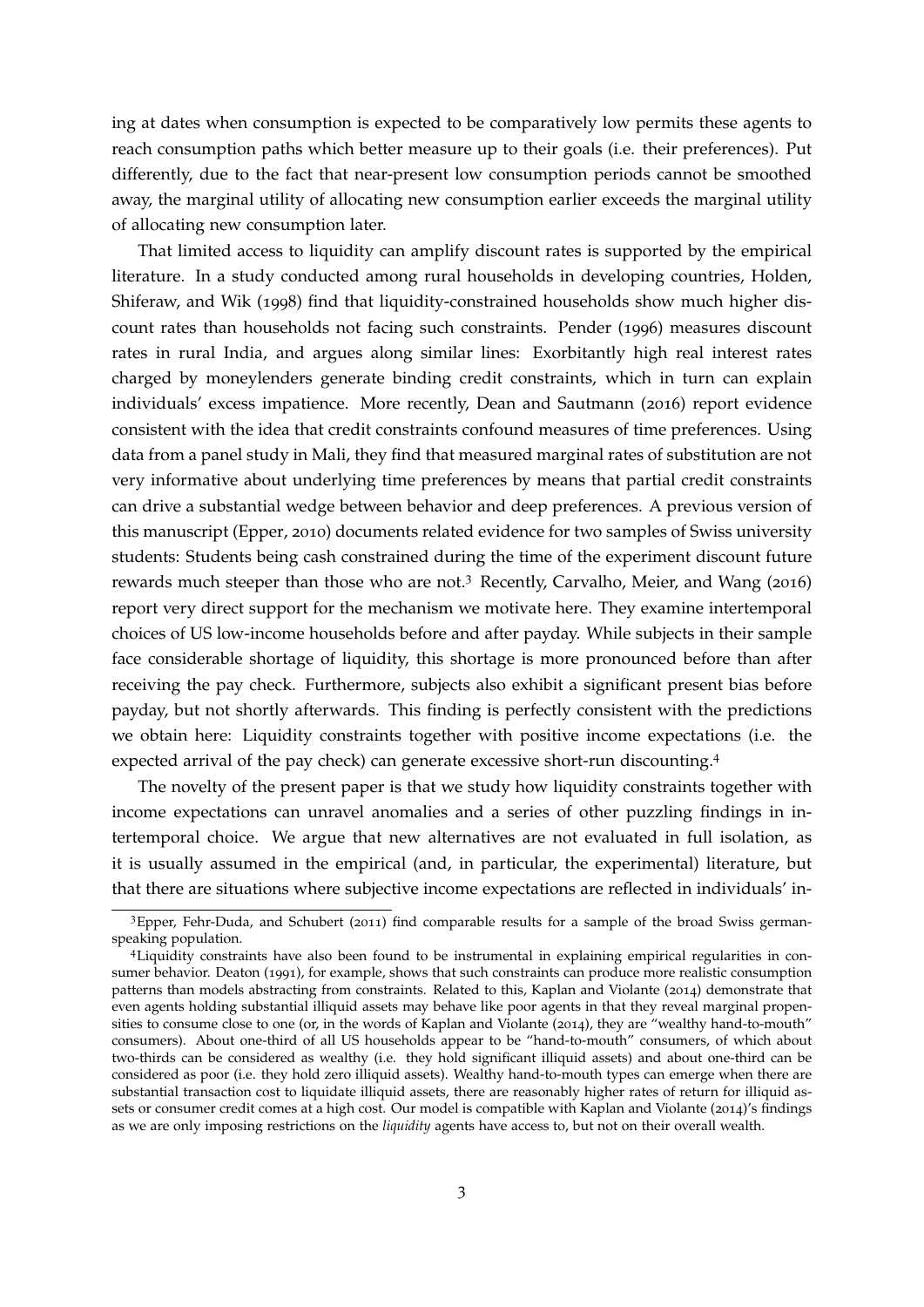ing at dates when consumption is expected to be comparatively low permits these agents to reach consumption paths which better measure up to their goals (i.e. their preferences). Put differently, due to the fact that near-present low consumption periods cannot be smoothed away, the marginal utility of allocating new consumption earlier exceeds the marginal utility of allocating new consumption later.

That limited access to liquidity can amplify discount rates is supported by the empirical literature. In a study conducted among rural households in developing countries, [Holden,](#page-38-3) [Shiferaw, and Wik](#page-38-3) ([1998](#page-38-3)) find that liquidity-constrained households show much higher discount rates than households not facing such constraints. [Pender](#page-39-3) ([1996](#page-39-3)) measures discount rates in rural India, and argues along similar lines: Exorbitantly high real interest rates charged by moneylenders generate binding credit constraints, which in turn can explain individuals' excess impatience. More recently, [Dean and Sautmann](#page-36-1) ([2016](#page-36-1)) report evidence consistent with the idea that credit constraints confound measures of time preferences. Using data from a panel study in Mali, they find that measured marginal rates of substitution are not very informative about underlying time preferences by means that partial credit constraints can drive a substantial wedge between behavior and deep preferences. A previous version of this manuscript [\(Epper,](#page-36-2) [2010](#page-36-2)) documents related evidence for two samples of Swiss university students: Students being cash constrained during the time of the experiment discount future rewards much steeper than those who are not.<sup>[3](#page-3-0)</sup> Recently, [Carvalho, Meier, and Wang](#page-36-3) ([2016](#page-36-3)) report very direct support for the mechanism we motivate here. They examine intertemporal choices of US low-income households before and after payday. While subjects in their sample face considerable shortage of liquidity, this shortage is more pronounced before than after receiving the pay check. Furthermore, subjects also exhibit a significant present bias before payday, but not shortly afterwards. This finding is perfectly consistent with the predictions we obtain here: Liquidity constraints together with positive income expectations (i.e. the expected arrival of the pay check) can generate excessive short-run discounting.[4](#page-3-1)

The novelty of the present paper is that we study how liquidity constraints together with income expectations can unravel anomalies and a series of other puzzling findings in intertemporal choice. We argue that new alternatives are not evaluated in full isolation, as it is usually assumed in the empirical (and, in particular, the experimental) literature, but that there are situations where subjective income expectations are reflected in individuals' in-

<span id="page-3-0"></span><sup>&</sup>lt;sup>3</sup>[Epper, Fehr-Duda, and Schubert](#page-37-4) ([2011](#page-37-4)) find comparable results for a sample of the broad Swiss germanspeaking population.

<span id="page-3-1"></span><sup>4</sup>Liquidity constraints have also been found to be instrumental in explaining empirical regularities in consumer behavior. [Deaton](#page-36-4) ([1991](#page-36-4)), for example, shows that such constraints can produce more realistic consumption patterns than models abstracting from constraints. Related to this, [Kaplan and Violante](#page-38-4) ([2014](#page-38-4)) demonstrate that even agents holding substantial illiquid assets may behave like poor agents in that they reveal marginal propensities to consume close to one (or, in the words of [Kaplan and Violante](#page-38-4) ([2014](#page-38-4)), they are "wealthy hand-to-mouth" consumers). About one-third of all US households appear to be "hand-to-mouth" consumers, of which about two-thirds can be considered as wealthy (i.e. they hold significant illiquid assets) and about one-third can be considered as poor (i.e. they hold zero illiquid assets). Wealthy hand-to-mouth types can emerge when there are substantial transaction cost to liquidate illiquid assets, there are reasonably higher rates of return for illiquid assets or consumer credit comes at a high cost. Our model is compatible with [Kaplan and Violante](#page-38-4) ([2014](#page-38-4))'s findings as we are only imposing restrictions on the *liquidity* agents have access to, but not on their overall wealth.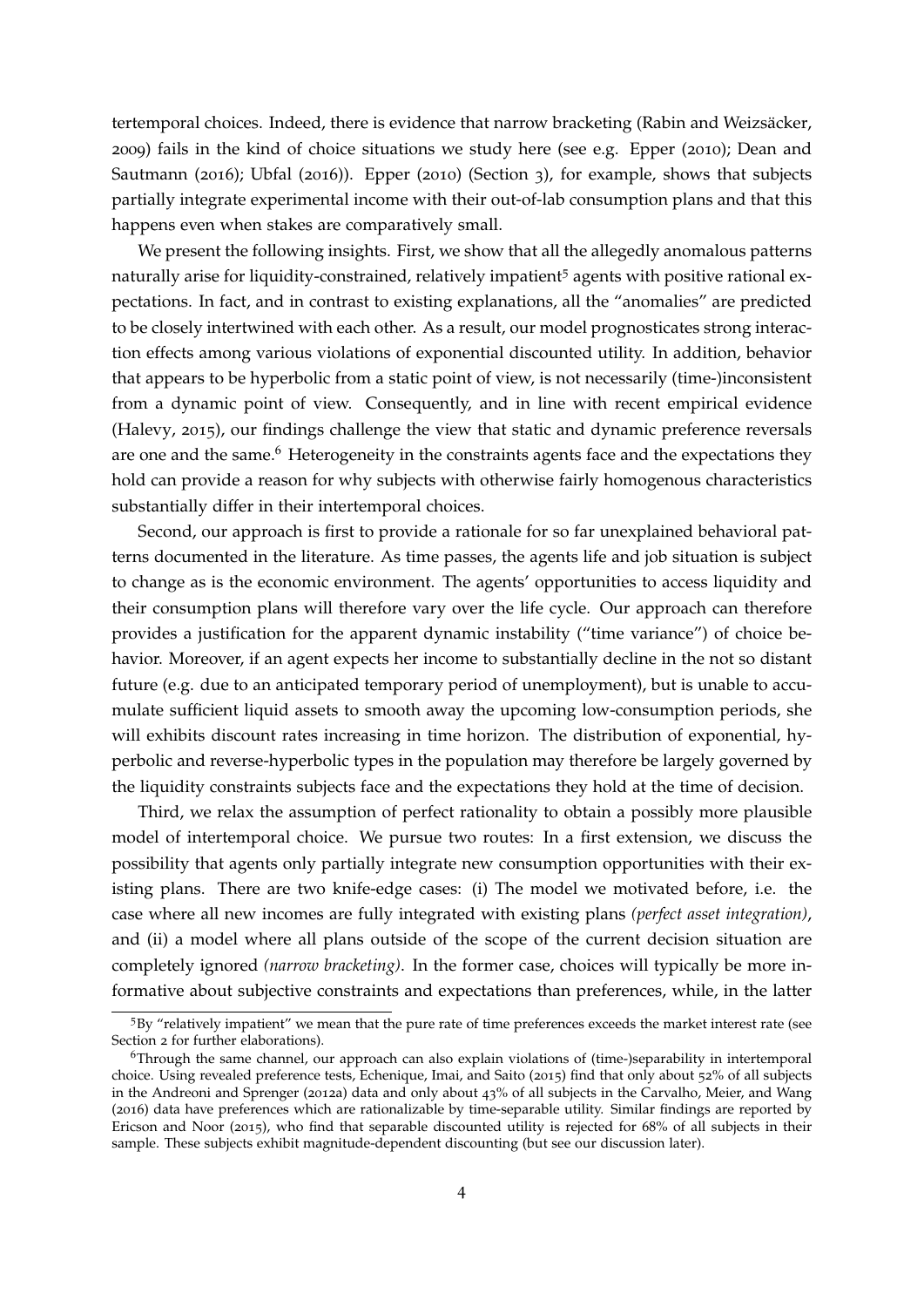tertemporal choices. Indeed, there is evidence that narrow bracketing (Rabin and Weizsäcker, [2009](#page-40-5)) fails in the kind of choice situations we study here (see e.g. [Epper](#page-36-2) ([2010](#page-36-2)); [Dean and](#page-36-1) [Sautmann](#page-36-1) ([2016](#page-36-1)); [Ubfal](#page-41-0) ([2016](#page-41-0))). [Epper](#page-36-2) ([2010](#page-36-2)) (Section 3), for example, shows that subjects partially integrate experimental income with their out-of-lab consumption plans and that this happens even when stakes are comparatively small.

We present the following insights. First, we show that all the allegedly anomalous patterns naturally arise for liquidity-constrained, relatively impatient<sup>[5](#page-4-0)</sup> agents with positive rational expectations. In fact, and in contrast to existing explanations, all the "anomalies" are predicted to be closely intertwined with each other. As a result, our model prognosticates strong interaction effects among various violations of exponential discounted utility. In addition, behavior that appears to be hyperbolic from a static point of view, is not necessarily (time-)inconsistent from a dynamic point of view. Consequently, and in line with recent empirical evidence [\(Halevy,](#page-37-1) [2015](#page-37-1)), our findings challenge the view that static and dynamic preference reversals are one and the same.<sup>[6](#page-4-1)</sup> Heterogeneity in the constraints agents face and the expectations they hold can provide a reason for why subjects with otherwise fairly homogenous characteristics substantially differ in their intertemporal choices.

Second, our approach is first to provide a rationale for so far unexplained behavioral patterns documented in the literature. As time passes, the agents life and job situation is subject to change as is the economic environment. The agents' opportunities to access liquidity and their consumption plans will therefore vary over the life cycle. Our approach can therefore provides a justification for the apparent dynamic instability ("time variance") of choice behavior. Moreover, if an agent expects her income to substantially decline in the not so distant future (e.g. due to an anticipated temporary period of unemployment), but is unable to accumulate sufficient liquid assets to smooth away the upcoming low-consumption periods, she will exhibits discount rates increasing in time horizon. The distribution of exponential, hyperbolic and reverse-hyperbolic types in the population may therefore be largely governed by the liquidity constraints subjects face and the expectations they hold at the time of decision.

Third, we relax the assumption of perfect rationality to obtain a possibly more plausible model of intertemporal choice. We pursue two routes: In a first extension, we discuss the possibility that agents only partially integrate new consumption opportunities with their existing plans. There are two knife-edge cases: (i) The model we motivated before, i.e. the case where all new incomes are fully integrated with existing plans *(perfect asset integration)*, and (ii) a model where all plans outside of the scope of the current decision situation are completely ignored *(narrow bracketing)*. In the former case, choices will typically be more informative about subjective constraints and expectations than preferences, while, in the latter

<span id="page-4-0"></span><sup>5</sup>By "relatively impatient" we mean that the pure rate of time preferences exceeds the market interest rate (see Section [2](#page-7-0) for further elaborations).

<span id="page-4-1"></span><sup>6</sup>Through the same channel, our approach can also explain violations of (time-)separability in intertemporal choice. Using revealed preference tests, [Echenique, Imai, and Saito](#page-36-5) ([2015](#page-36-5)) find that only about 52% of all subjects in the [Andreoni and Sprenger](#page-35-7) ([2012](#page-35-7)a) data and only about 43% of all subjects in the [Carvalho, Meier, and Wang](#page-36-3) ([2016](#page-36-3)) data have preferences which are rationalizable by time-separable utility. Similar findings are reported by [Ericson and Noor](#page-37-5) ([2015](#page-37-5)), who find that separable discounted utility is rejected for 68% of all subjects in their sample. These subjects exhibit magnitude-dependent discounting (but see our discussion later).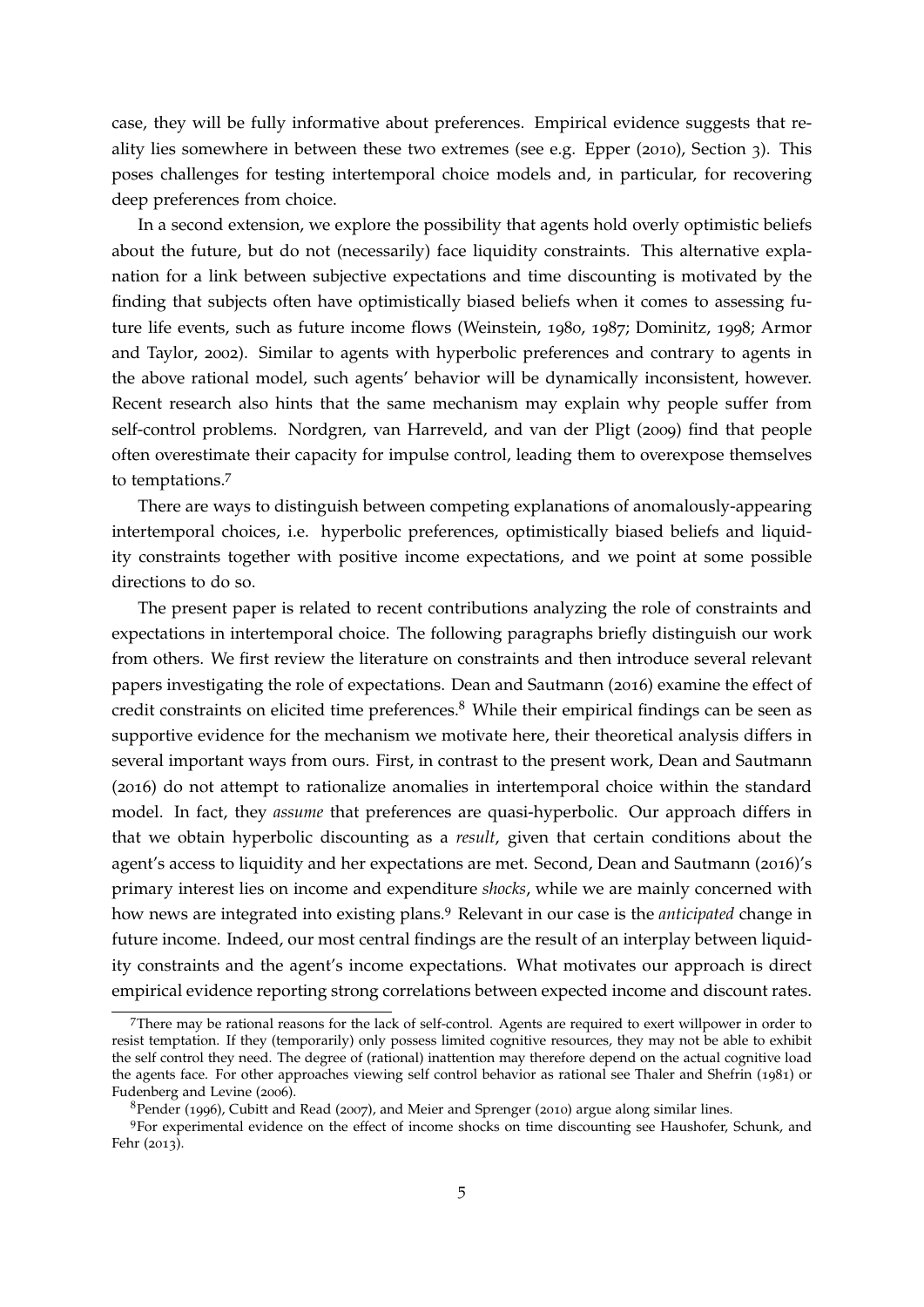case, they will be fully informative about preferences. Empirical evidence suggests that reality lies somewhere in between these two extremes (see e.g. [Epper](#page-36-2) ([2010](#page-36-2)), Section 3). This poses challenges for testing intertemporal choice models and, in particular, for recovering deep preferences from choice.

In a second extension, we explore the possibility that agents hold overly optimistic beliefs about the future, but do not (necessarily) face liquidity constraints. This alternative explanation for a link between subjective expectations and time discounting is motivated by the finding that subjects often have optimistically biased beliefs when it comes to assessing future life events, such as future income flows [\(Weinstein,](#page-41-2) [1980](#page-41-2), [1987](#page-41-3); [Dominitz,](#page-36-6) [1998](#page-36-6); [Armor](#page-35-8) [and Taylor,](#page-35-8) [2002](#page-35-8)). Similar to agents with hyperbolic preferences and contrary to agents in the above rational model, such agents' behavior will be dynamically inconsistent, however. Recent research also hints that the same mechanism may explain why people suffer from self-control problems. [Nordgren, van Harreveld, and van der Pligt](#page-39-4) ([2009](#page-39-4)) find that people often overestimate their capacity for impulse control, leading them to overexpose themselves to temptations.[7](#page-5-0)

There are ways to distinguish between competing explanations of anomalously-appearing intertemporal choices, i.e. hyperbolic preferences, optimistically biased beliefs and liquidity constraints together with positive income expectations, and we point at some possible directions to do so.

The present paper is related to recent contributions analyzing the role of constraints and expectations in intertemporal choice. The following paragraphs briefly distinguish our work from others. We first review the literature on constraints and then introduce several relevant papers investigating the role of expectations. [Dean and Sautmann](#page-36-1) ([2016](#page-36-1)) examine the effect of credit constraints on elicited time preferences.<sup>[8](#page-5-1)</sup> While their empirical findings can be seen as supportive evidence for the mechanism we motivate here, their theoretical analysis differs in several important ways from ours. First, in contrast to the present work, [Dean and Sautmann](#page-36-1) ([2016](#page-36-1)) do not attempt to rationalize anomalies in intertemporal choice within the standard model. In fact, they *assume* that preferences are quasi-hyperbolic. Our approach differs in that we obtain hyperbolic discounting as a *result*, given that certain conditions about the agent's access to liquidity and her expectations are met. Second, [Dean and Sautmann](#page-36-1) ([2016](#page-36-1))'s primary interest lies on income and expenditure *shocks*, while we are mainly concerned with how news are integrated into existing plans.[9](#page-5-2) Relevant in our case is the *anticipated* change in future income. Indeed, our most central findings are the result of an interplay between liquidity constraints and the agent's income expectations. What motivates our approach is direct empirical evidence reporting strong correlations between expected income and discount rates.

<span id="page-5-0"></span><sup>7</sup>There may be rational reasons for the lack of self-control. Agents are required to exert willpower in order to resist temptation. If they (temporarily) only possess limited cognitive resources, they may not be able to exhibit the self control they need. The degree of (rational) inattention may therefore depend on the actual cognitive load the agents face. For other approaches viewing self control behavior as rational see [Thaler and Shefrin](#page-41-4) ([1981](#page-41-4)) or [Fudenberg and Levine](#page-37-6) ([2006](#page-37-6)).

<span id="page-5-2"></span><span id="page-5-1"></span> $8$ [Pender](#page-39-3) ([1996](#page-39-3)), [Cubitt and Read](#page-36-7) ([2007](#page-36-7)), and [Meier and Sprenger](#page-39-5) ([2010](#page-39-5)) argue along similar lines.

<sup>9</sup>For experimental evidence on the effect of income shocks on time discounting see [Haushofer, Schunk, and](#page-38-5) [Fehr](#page-38-5) ([2013](#page-38-5)).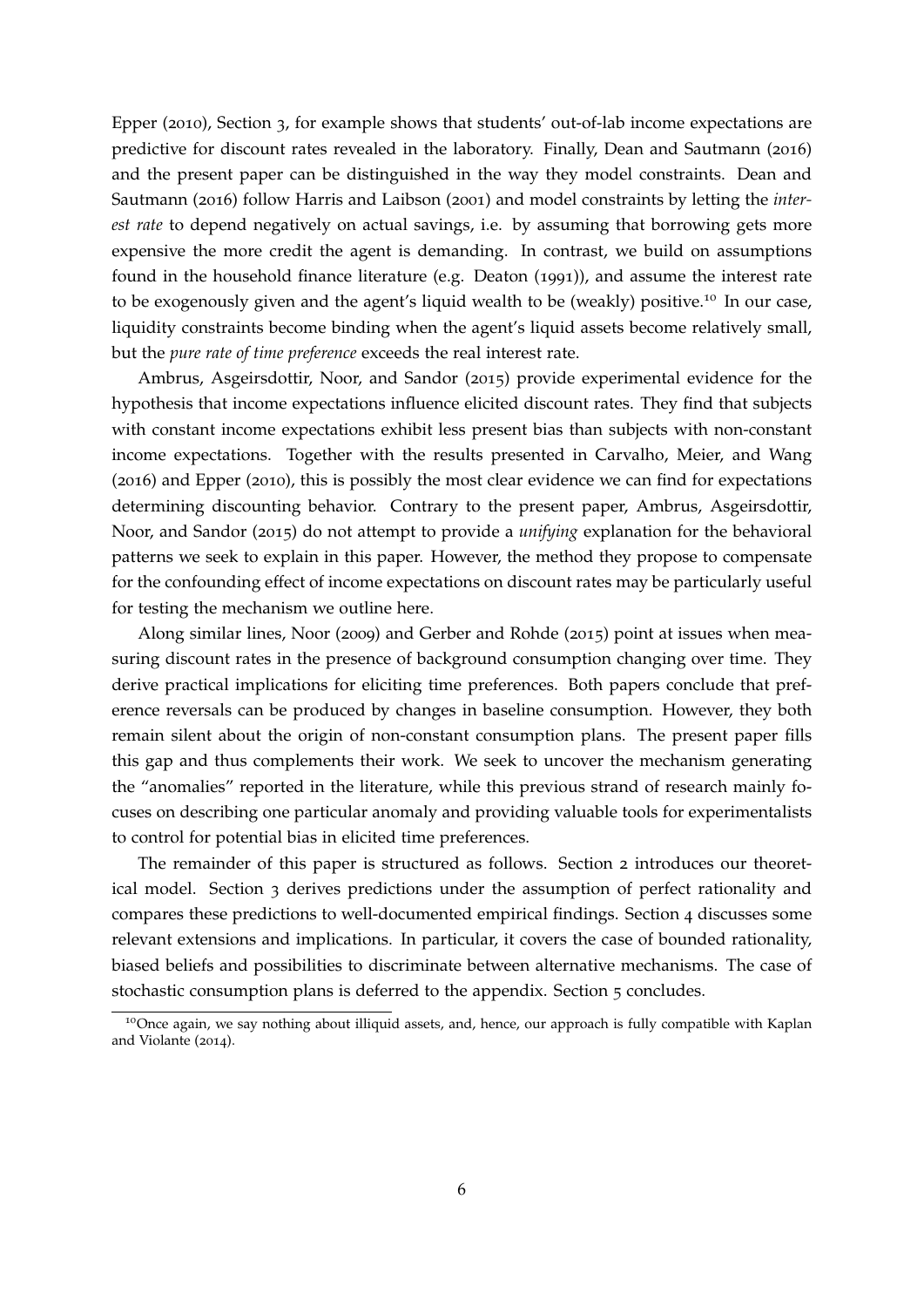[Epper](#page-36-2) ([2010](#page-36-2)), Section 3, for example shows that students' out-of-lab income expectations are predictive for discount rates revealed in the laboratory. Finally, [Dean and Sautmann](#page-36-1) ([2016](#page-36-1)) and the present paper can be distinguished in the way they model constraints. [Dean and](#page-36-1) [Sautmann](#page-36-1) ([2016](#page-36-1)) follow [Harris and Laibson](#page-38-2) ([2001](#page-38-2)) and model constraints by letting the *interest rate* to depend negatively on actual savings, i.e. by assuming that borrowing gets more expensive the more credit the agent is demanding. In contrast, we build on assumptions found in the household finance literature (e.g. [Deaton](#page-36-4) ([1991](#page-36-4))), and assume the interest rate to be exogenously given and the agent's liquid wealth to be (weakly) positive.<sup>[10](#page-6-0)</sup> In our case, liquidity constraints become binding when the agent's liquid assets become relatively small, but the *pure rate of time preference* exceeds the real interest rate.

[Ambrus, Asgeirsdottir, Noor, and Sandor](#page-35-9) ([2015](#page-35-9)) provide experimental evidence for the hypothesis that income expectations influence elicited discount rates. They find that subjects with constant income expectations exhibit less present bias than subjects with non-constant income expectations. Together with the results presented in [Carvalho, Meier, and Wang](#page-36-3) ([2016](#page-36-3)) and [Epper](#page-36-2) ([2010](#page-36-2)), this is possibly the most clear evidence we can find for expectations determining discounting behavior. Contrary to the present paper, [Ambrus, Asgeirsdottir,](#page-35-9) [Noor, and Sandor](#page-35-9) ([2015](#page-35-9)) do not attempt to provide a *unifying* explanation for the behavioral patterns we seek to explain in this paper. However, the method they propose to compensate for the confounding effect of income expectations on discount rates may be particularly useful for testing the mechanism we outline here.

Along similar lines, [Noor](#page-39-6) ([2009](#page-39-6)) and [Gerber and Rohde](#page-37-7) ([2015](#page-37-7)) point at issues when measuring discount rates in the presence of background consumption changing over time. They derive practical implications for eliciting time preferences. Both papers conclude that preference reversals can be produced by changes in baseline consumption. However, they both remain silent about the origin of non-constant consumption plans. The present paper fills this gap and thus complements their work. We seek to uncover the mechanism generating the "anomalies" reported in the literature, while this previous strand of research mainly focuses on describing one particular anomaly and providing valuable tools for experimentalists to control for potential bias in elicited time preferences.

The remainder of this paper is structured as follows. Section [2](#page-7-0) introduces our theoretical model. Section [3](#page-12-0) derives predictions under the assumption of perfect rationality and compares these predictions to well-documented empirical findings. Section [4](#page-25-0) discusses some relevant extensions and implications. In particular, it covers the case of bounded rationality, biased beliefs and possibilities to discriminate between alternative mechanisms. The case of stochastic consumption plans is deferred to the appendix. Section [5](#page-31-0) concludes.

<span id="page-6-0"></span><sup>&</sup>lt;sup>10</sup>Once again, we say nothing about illiquid assets, and, hence, our approach is fully compatible with [Kaplan](#page-38-4) [and Violante](#page-38-4) ([2014](#page-38-4)).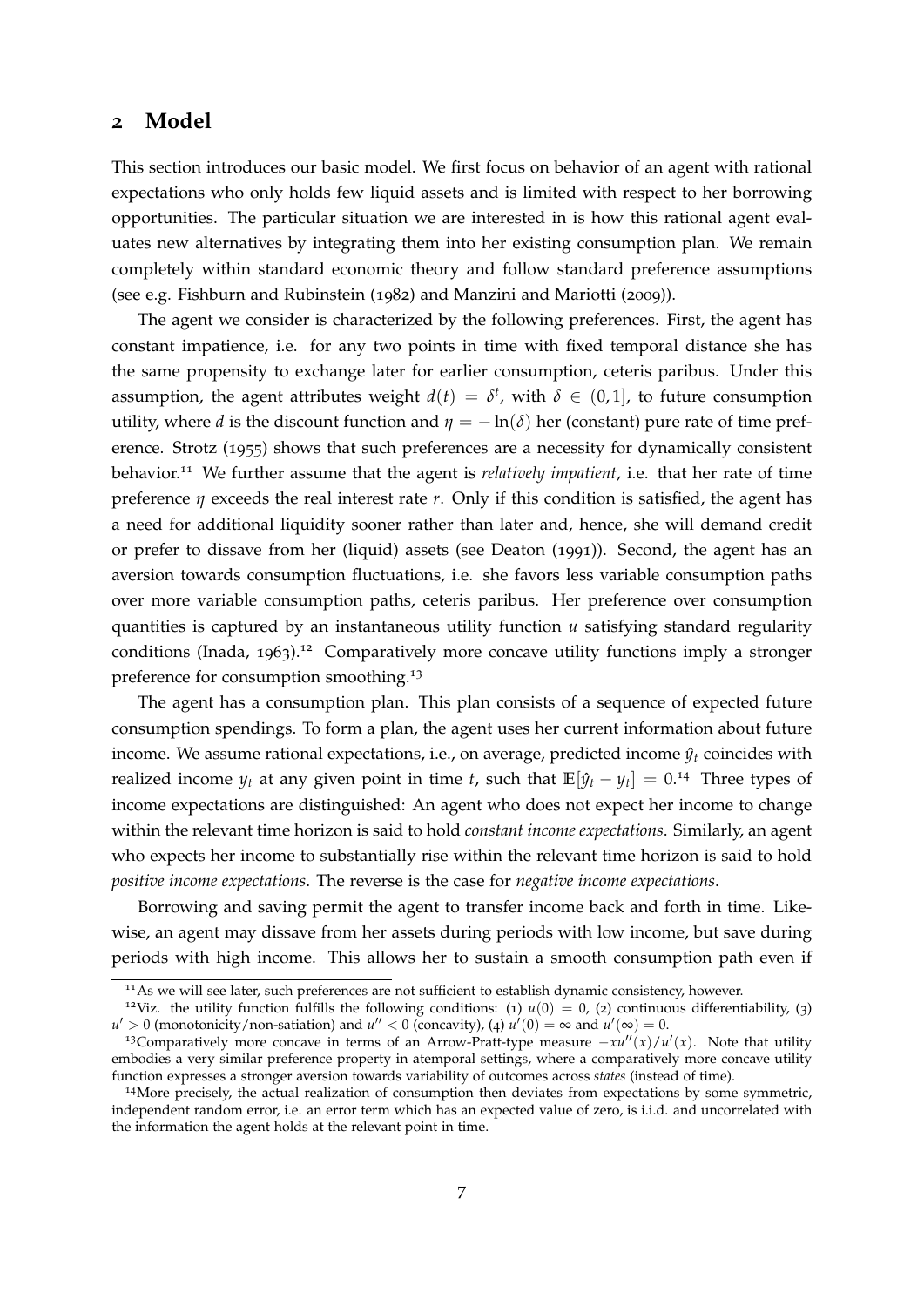### <span id="page-7-0"></span>**2 Model**

This section introduces our basic model. We first focus on behavior of an agent with rational expectations who only holds few liquid assets and is limited with respect to her borrowing opportunities. The particular situation we are interested in is how this rational agent evaluates new alternatives by integrating them into her existing consumption plan. We remain completely within standard economic theory and follow standard preference assumptions (see e.g. [Fishburn and Rubinstein](#page-37-8) ([1982](#page-37-8)) and [Manzini and Mariotti](#page-39-7) ([2009](#page-39-7))).

The agent we consider is characterized by the following preferences. First, the agent has constant impatience, i.e. for any two points in time with fixed temporal distance she has the same propensity to exchange later for earlier consumption, ceteris paribus. Under this assumption, the agent attributes weight  $d(t) = \delta^t$ , with  $\delta \in (0,1]$ , to future consumption utility, where *d* is the discount function and  $\eta = -\ln(\delta)$  her (constant) pure rate of time preference. [Strotz](#page-41-5) ([1955](#page-41-5)) shows that such preferences are a necessity for dynamically consistent behavior.[11](#page-7-1) We further assume that the agent is *relatively impatient*, i.e. that her rate of time preference *η* exceeds the real interest rate *r*. Only if this condition is satisfied, the agent has a need for additional liquidity sooner rather than later and, hence, she will demand credit or prefer to dissave from her (liquid) assets (see [Deaton](#page-36-4) ([1991](#page-36-4))). Second, the agent has an aversion towards consumption fluctuations, i.e. she favors less variable consumption paths over more variable consumption paths, ceteris paribus. Her preference over consumption quantities is captured by an instantaneous utility function *u* satisfying standard regularity conditions [\(Inada,](#page-38-6) [1963](#page-38-6)).<sup>[12](#page-7-2)</sup> Comparatively more concave utility functions imply a stronger preference for consumption smoothing.[13](#page-7-3)

The agent has a consumption plan. This plan consists of a sequence of expected future consumption spendings. To form a plan, the agent uses her current information about future income. We assume rational expectations, i.e., on average, predicted income  $\hat{y}_t$  coincides with realized income  $y_t$  at any given point in time *t*, such that  $\mathbb{E}[\hat{y}_t - y_t] = 0.14$  $\mathbb{E}[\hat{y}_t - y_t] = 0.14$  Three types of income expectations are distinguished: An agent who does not expect her income to change within the relevant time horizon is said to hold *constant income expectations*. Similarly, an agent who expects her income to substantially rise within the relevant time horizon is said to hold *positive income expectations*. The reverse is the case for *negative income expectations*.

Borrowing and saving permit the agent to transfer income back and forth in time. Likewise, an agent may dissave from her assets during periods with low income, but save during periods with high income. This allows her to sustain a smooth consumption path even if

<span id="page-7-2"></span><span id="page-7-1"></span><sup>&</sup>lt;sup>11</sup>As we will see later, such preferences are not sufficient to establish dynamic consistency, however.

<sup>&</sup>lt;sup>12</sup>Viz. the utility function fulfills the following conditions: (1)  $u(0) = 0$ , (2) continuous differentiability, (3)  $u' > 0$  (monotonicity/non-satiation) and  $u'' < 0$  (concavity), (4)  $u'(0) = \infty$  and  $u'(\infty) = 0$ .

<span id="page-7-3"></span><sup>&</sup>lt;sup>13</sup>Comparatively more concave in terms of an Arrow-Pratt-type measure  $-xu''(x)/u'(x)$ . Note that utility embodies a very similar preference property in atemporal settings, where a comparatively more concave utility function expresses a stronger aversion towards variability of outcomes across *states* (instead of time).

<span id="page-7-4"></span><sup>14</sup>More precisely, the actual realization of consumption then deviates from expectations by some symmetric, independent random error, i.e. an error term which has an expected value of zero, is i.i.d. and uncorrelated with the information the agent holds at the relevant point in time.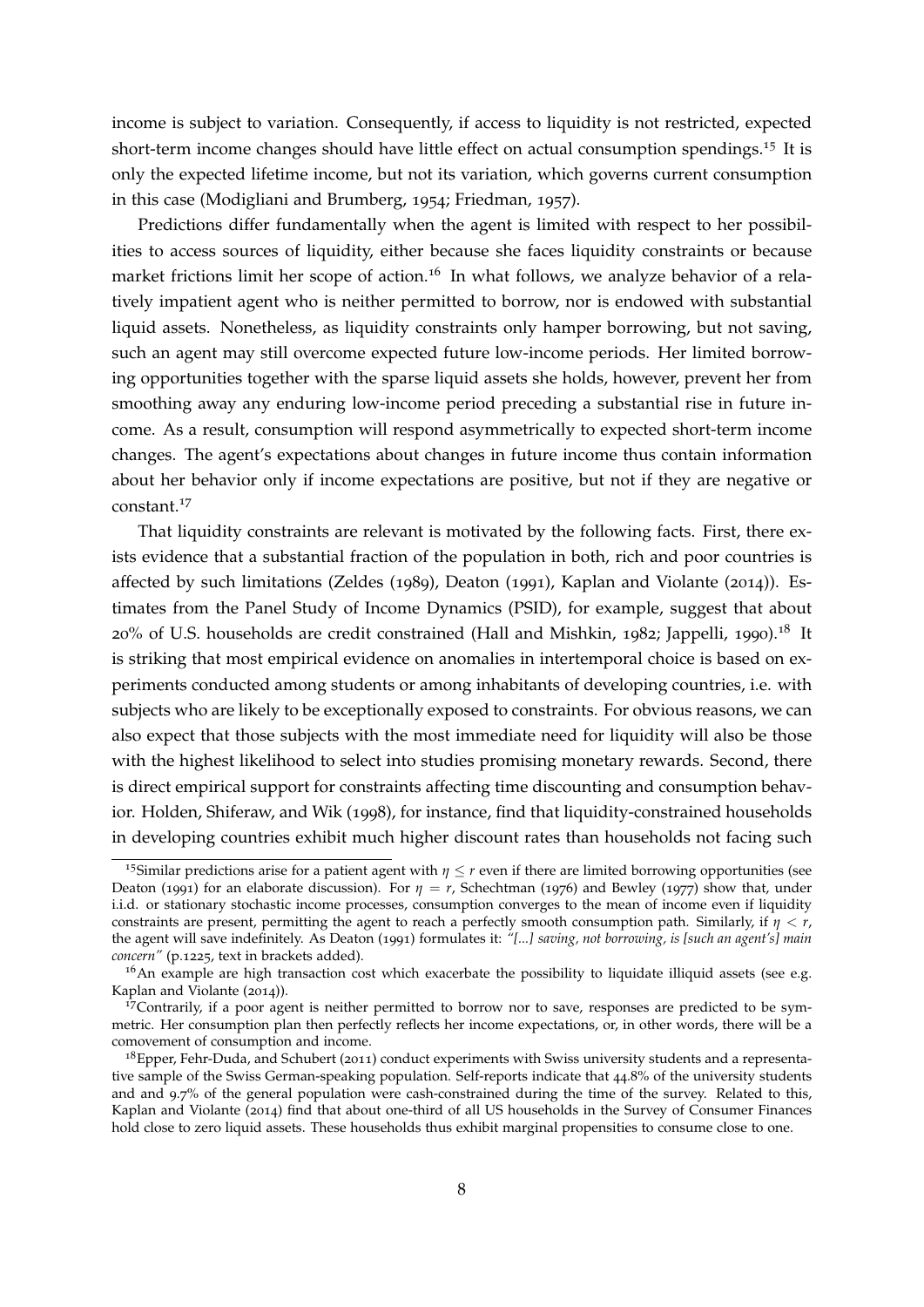income is subject to variation. Consequently, if access to liquidity is not restricted, expected short-term income changes should have little effect on actual consumption spendings.<sup>[15](#page-8-0)</sup> It is only the expected lifetime income, but not its variation, which governs current consumption in this case [\(Modigliani and Brumberg,](#page-39-8) [1954](#page-39-8); [Friedman,](#page-37-9) [1957](#page-37-9)).

Predictions differ fundamentally when the agent is limited with respect to her possibilities to access sources of liquidity, either because she faces liquidity constraints or because market frictions limit her scope of action.<sup>[16](#page-8-1)</sup> In what follows, we analyze behavior of a relatively impatient agent who is neither permitted to borrow, nor is endowed with substantial liquid assets. Nonetheless, as liquidity constraints only hamper borrowing, but not saving, such an agent may still overcome expected future low-income periods. Her limited borrowing opportunities together with the sparse liquid assets she holds, however, prevent her from smoothing away any enduring low-income period preceding a substantial rise in future income. As a result, consumption will respond asymmetrically to expected short-term income changes. The agent's expectations about changes in future income thus contain information about her behavior only if income expectations are positive, but not if they are negative or constant.[17](#page-8-2)

That liquidity constraints are relevant is motivated by the following facts. First, there exists evidence that a substantial fraction of the population in both, rich and poor countries is affected by such limitations [\(Zeldes](#page-41-6) ([1989](#page-41-6)), [Deaton](#page-36-4) ([1991](#page-36-4)), [Kaplan and Violante](#page-38-4) ([2014](#page-38-4))). Estimates from the Panel Study of Income Dynamics (PSID), for example, suggest that about 20% of U.S. households are credit constrained [\(Hall and Mishkin,](#page-37-10) [1982](#page-37-10); [Jappelli,](#page-38-7) [1990](#page-38-7)).<sup>[18](#page-8-3)</sup> It is striking that most empirical evidence on anomalies in intertemporal choice is based on experiments conducted among students or among inhabitants of developing countries, i.e. with subjects who are likely to be exceptionally exposed to constraints. For obvious reasons, we can also expect that those subjects with the most immediate need for liquidity will also be those with the highest likelihood to select into studies promising monetary rewards. Second, there is direct empirical support for constraints affecting time discounting and consumption behavior. [Holden, Shiferaw, and Wik](#page-38-3) ([1998](#page-38-3)), for instance, find that liquidity-constrained households in developing countries exhibit much higher discount rates than households not facing such

<span id="page-8-0"></span><sup>&</sup>lt;sup>15</sup>Similar predictions arise for a patient agent with  $\eta \leq r$  even if there are limited borrowing opportunities (see [Deaton](#page-36-4) ([1991](#page-36-4)) for an elaborate discussion). For  $\eta = r$ , [Schechtman](#page-40-6) ([1976](#page-40-6)) and [Bewley](#page-36-8) ([1977](#page-36-8)) show that, under i.i.d. or stationary stochastic income processes, consumption converges to the mean of income even if liquidity constraints are present, permitting the agent to reach a perfectly smooth consumption path. Similarly, if *η* < *r*, the agent will save indefinitely. As [Deaton](#page-36-4) ([1991](#page-36-4)) formulates it: *"[...] saving, not borrowing, is [such an agent's] main concern"* (p.1225, text in brackets added).

<span id="page-8-1"></span> $16$ An example are high transaction cost which exacerbate the possibility to liquidate illiquid assets (see e.g. [Kaplan and Violante](#page-38-4) ([2014](#page-38-4))).

<span id="page-8-2"></span><sup>17</sup>Contrarily, if a poor agent is neither permitted to borrow nor to save, responses are predicted to be symmetric. Her consumption plan then perfectly reflects her income expectations, or, in other words, there will be a comovement of consumption and income.

<span id="page-8-3"></span><sup>&</sup>lt;sup>18</sup>[Epper, Fehr-Duda, and Schubert](#page-37-4) ([2011](#page-37-4)) conduct experiments with Swiss university students and a representative sample of the Swiss German-speaking population. Self-reports indicate that 44.8% of the university students and and 9.7% of the general population were cash-constrained during the time of the survey. Related to this, [Kaplan and Violante](#page-38-4) ([2014](#page-38-4)) find that about one-third of all US households in the Survey of Consumer Finances hold close to zero liquid assets. These households thus exhibit marginal propensities to consume close to one.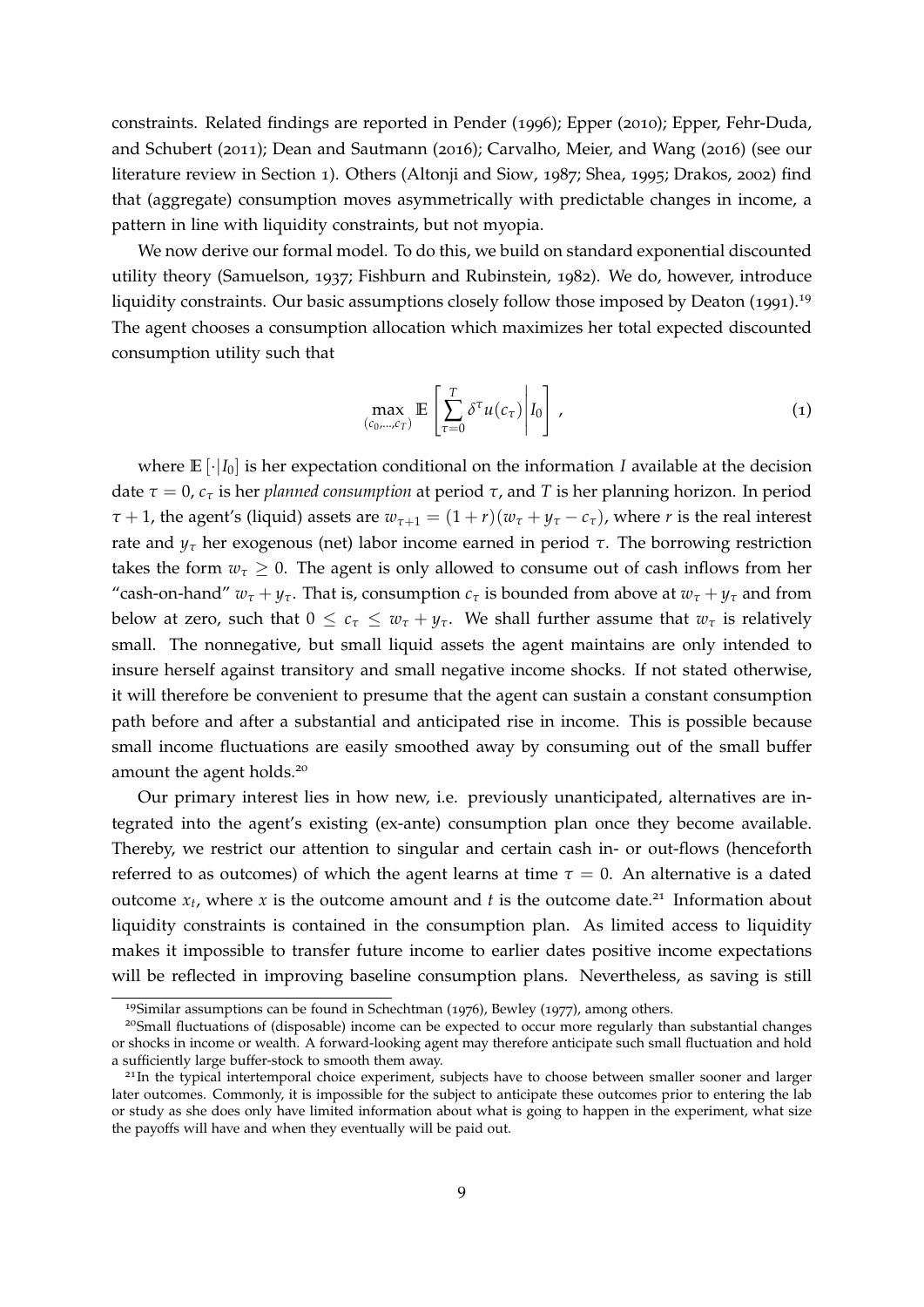constraints. Related findings are reported in [Pender](#page-39-3) ([1996](#page-39-3)); [Epper](#page-36-2) ([2010](#page-36-2)); [Epper, Fehr-Duda,](#page-37-4) [and Schubert](#page-37-4) ([2011](#page-37-4)); [Dean and Sautmann](#page-36-1) ([2016](#page-36-1)); [Carvalho, Meier, and Wang](#page-36-3) ([2016](#page-36-3)) (see our literature review in Section [1](#page-1-0)). Others [\(Altonji and Siow,](#page-35-10) [1987](#page-35-10); [Shea,](#page-40-7) [1995](#page-40-7); [Drakos,](#page-36-9) [2002](#page-36-9)) find that (aggregate) consumption moves asymmetrically with predictable changes in income, a pattern in line with liquidity constraints, but not myopia.

We now derive our formal model. To do this, we build on standard exponential discounted utility theory [\(Samuelson,](#page-40-8) [1937](#page-40-8); [Fishburn and Rubinstein,](#page-37-8) [1982](#page-37-8)). We do, however, introduce liquidity constraints. Our basic assumptions closely follow those imposed by [Deaton](#page-36-4) ([1991](#page-36-4)).<sup>[19](#page-9-0)</sup> The agent chooses a consumption allocation which maximizes her total expected discounted consumption utility such that

$$
\max_{(c_0,\dots,c_T)} \mathbb{E}\left[\sum_{\tau=0}^T \delta^\tau u(c_\tau)\middle| I_0\right],\tag{1}
$$

where  $\mathbb{E}[\cdot|I_0]$  is her expectation conditional on the information *I* available at the decision date  $τ = 0$ ,  $c_τ$  is her *planned consumption* at period  $τ$ , and *T* is her planning horizon. In period  $\tau$  + 1, the agent's (liquid) assets are  $w_{\tau+1} = (1 + r)(w_{\tau} + y_{\tau} - c_{\tau})$ , where *r* is the real interest rate and  $y<sub>τ</sub>$  her exogenous (net) labor income earned in period *τ*. The borrowing restriction takes the form  $w<sub>\tau</sub> > 0$ . The agent is only allowed to consume out of cash inflows from her "cash-on-hand"  $w_{\tau} + y_{\tau}$ . That is, consumption  $c_{\tau}$  is bounded from above at  $w_{\tau} + y_{\tau}$  and from below at zero, such that  $0 \leq c_{\tau} \leq w_{\tau} + y_{\tau}$ . We shall further assume that  $w_{\tau}$  is relatively small. The nonnegative, but small liquid assets the agent maintains are only intended to insure herself against transitory and small negative income shocks. If not stated otherwise, it will therefore be convenient to presume that the agent can sustain a constant consumption path before and after a substantial and anticipated rise in income. This is possible because small income fluctuations are easily smoothed away by consuming out of the small buffer amount the agent holds.<sup>[20](#page-9-1)</sup>

Our primary interest lies in how new, i.e. previously unanticipated, alternatives are integrated into the agent's existing (ex-ante) consumption plan once they become available. Thereby, we restrict our attention to singular and certain cash in- or out-flows (henceforth referred to as outcomes) of which the agent learns at time  $\tau = 0$ . An alternative is a dated outcome  $x_t$ , where x is the outcome amount and t is the outcome date.<sup>[21](#page-9-2)</sup> Information about liquidity constraints is contained in the consumption plan. As limited access to liquidity makes it impossible to transfer future income to earlier dates positive income expectations will be reflected in improving baseline consumption plans. Nevertheless, as saving is still

<span id="page-9-1"></span><span id="page-9-0"></span><sup>19</sup>Similar assumptions can be found in [Schechtman](#page-40-6) ([1976](#page-40-6)), [Bewley](#page-36-8) ([1977](#page-36-8)), among others.

<sup>20</sup>Small fluctuations of (disposable) income can be expected to occur more regularly than substantial changes or shocks in income or wealth. A forward-looking agent may therefore anticipate such small fluctuation and hold a sufficiently large buffer-stock to smooth them away.

<span id="page-9-2"></span><sup>&</sup>lt;sup>21</sup>In the typical intertemporal choice experiment, subjects have to choose between smaller sooner and larger later outcomes. Commonly, it is impossible for the subject to anticipate these outcomes prior to entering the lab or study as she does only have limited information about what is going to happen in the experiment, what size the payoffs will have and when they eventually will be paid out.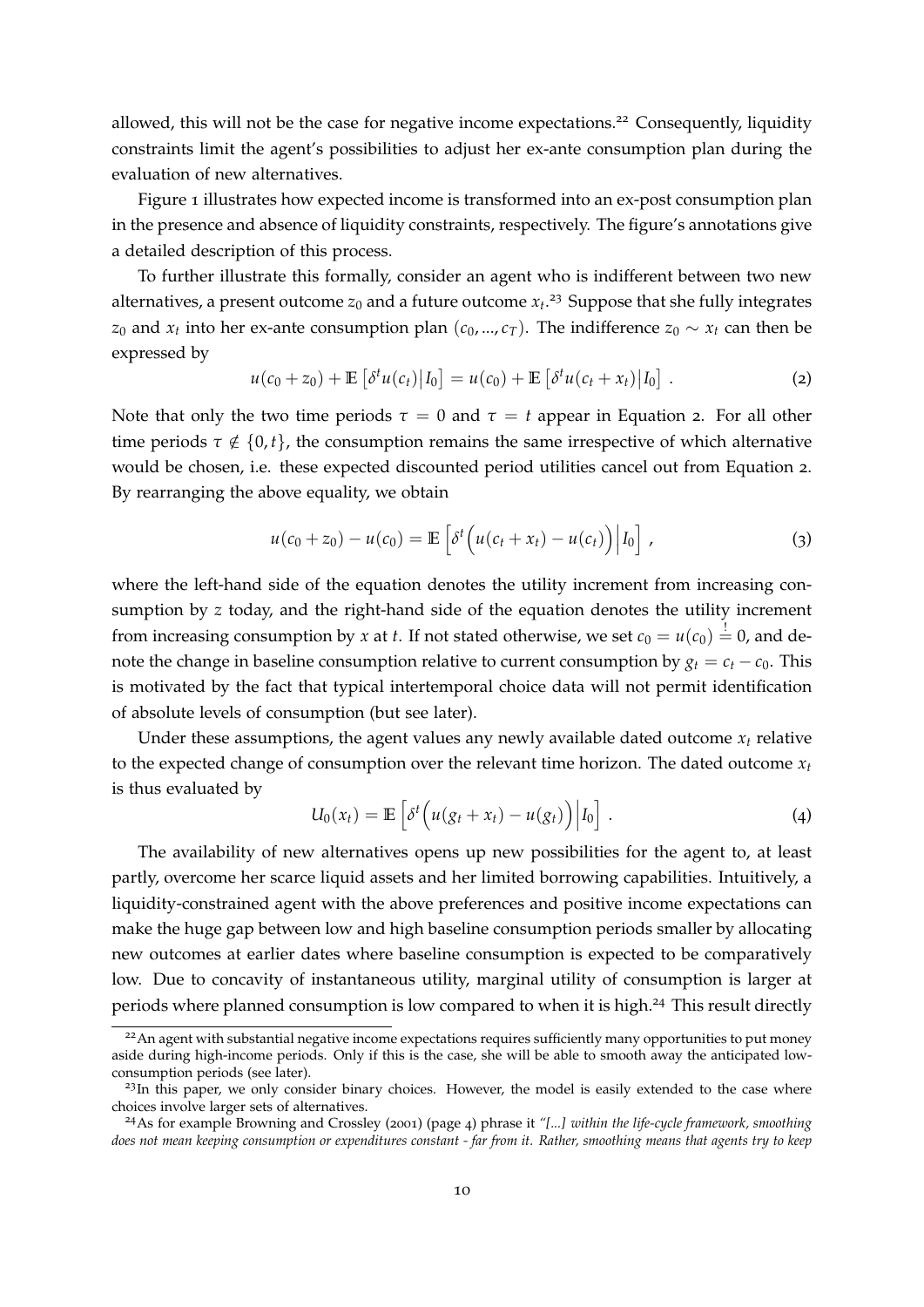allowed, this will not be the case for negative income expectations.<sup>[22](#page-10-0)</sup> Consequently, liquidity constraints limit the agent's possibilities to adjust her ex-ante consumption plan during the evaluation of new alternatives.

Figure [1](#page-11-0) illustrates how expected income is transformed into an ex-post consumption plan in the presence and absence of liquidity constraints, respectively. The figure's annotations give a detailed description of this process.

To further illustrate this formally, consider an agent who is indifferent between two new alternatives, a present outcome  $z_0$  and a future outcome  $x_t$ .<sup>[23](#page-10-1)</sup> Suppose that she fully integrates *z*<sub>0</sub> and *x*<sub>*t*</sub> into her ex-ante consumption plan ( $c_0$ , ...,  $c_T$ ). The indifference *z*<sub>0</sub> ∼ *x<sub>t</sub>* can then be expressed by

<span id="page-10-2"></span>
$$
u(c_0 + z_0) + \mathbb{E}\left[\delta^t u(c_t) | I_0\right] = u(c_0) + \mathbb{E}\left[\delta^t u(c_t + x_t) | I_0\right].
$$
 (2)

Note that only the two time periods  $\tau = 0$  and  $\tau = t$  appear in Equation [2](#page-10-2). For all other time periods  $\tau \notin \{0, t\}$ , the consumption remains the same irrespective of which alternative would be chosen, i.e. these expected discounted period utilities cancel out from Equation [2](#page-10-2). By rearranging the above equality, we obtain

$$
u(c_0 + z_0) - u(c_0) = \mathbb{E}\left[\delta^t\Big(u(c_t + x_t) - u(c_t)\Big)\Big|I_0\right],\tag{3}
$$

where the left-hand side of the equation denotes the utility increment from increasing consumption by *z* today, and the right-hand side of the equation denotes the utility increment from increasing consumption by *x* at *t*. If not stated otherwise, we set  $c_0 = u(c_0) \stackrel{!}{=} 0$ , and denote the change in baseline consumption relative to current consumption by  $g_t = c_t - c_0$ . This is motivated by the fact that typical intertemporal choice data will not permit identification of absolute levels of consumption (but see later).

Under these assumptions, the agent values any newly available dated outcome  $x_t$  relative to the expected change of consumption over the relevant time horizon. The dated outcome  $x_t$ is thus evaluated by

<span id="page-10-4"></span>
$$
U_0(x_t) = \mathbb{E}\left[\delta^t\Big(u(g_t + x_t) - u(g_t)\Big)\Big|I_0\right].
$$
\n(4)

The availability of new alternatives opens up new possibilities for the agent to, at least partly, overcome her scarce liquid assets and her limited borrowing capabilities. Intuitively, a liquidity-constrained agent with the above preferences and positive income expectations can make the huge gap between low and high baseline consumption periods smaller by allocating new outcomes at earlier dates where baseline consumption is expected to be comparatively low. Due to concavity of instantaneous utility, marginal utility of consumption is larger at periods where planned consumption is low compared to when it is high.<sup>[24](#page-10-3)</sup> This result directly

<span id="page-10-0"></span><sup>&</sup>lt;sup>22</sup>An agent with substantial negative income expectations requires sufficiently many opportunities to put money aside during high-income periods. Only if this is the case, she will be able to smooth away the anticipated lowconsumption periods (see later).

<span id="page-10-1"></span> $^{23}$ In this paper, we only consider binary choices. However, the model is easily extended to the case where choices involve larger sets of alternatives.

<span id="page-10-3"></span><sup>24</sup>As for example [Browning and Crossley](#page-36-10) ([2001](#page-36-10)) (page 4) phrase it *"[...] within the life-cycle framework, smoothing does not mean keeping consumption or expenditures constant - far from it. Rather, smoothing means that agents try to keep*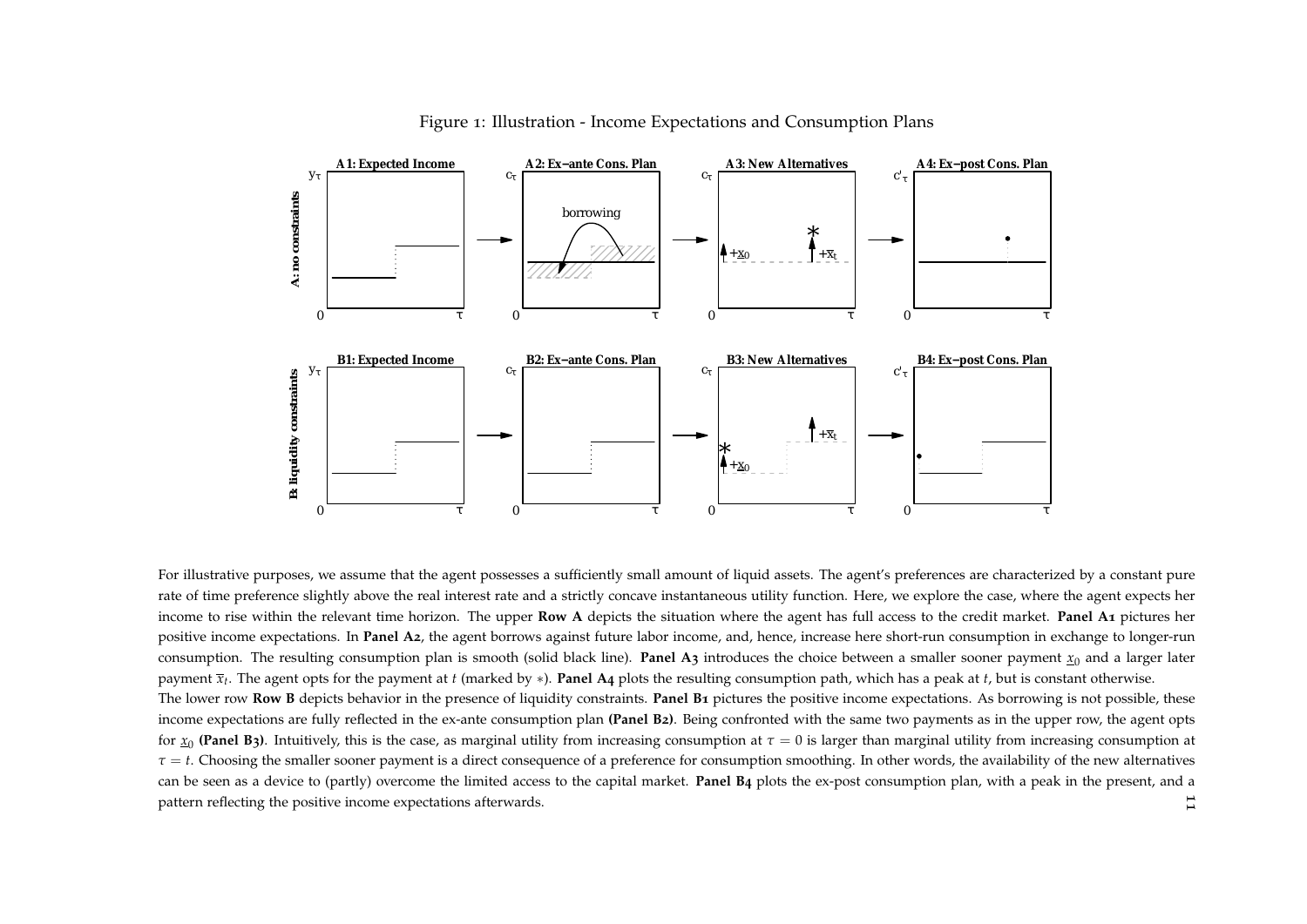

<span id="page-11-0"></span>Figure <sup>1</sup>: Illustration - Income Expectations and Consumption Plans

11 For illustrative purposes, we assume that the agent possesses a sufficiently small amount of liquid assets. The agent's preferences are characterized by a constant pure rate of time preference slightly above the real interest rate and <sup>a</sup> strictly concave instantaneous utility function. Here, we explore the case, where the agen<sup>t</sup> expects herincome to rise within the relevant time horizon. The upper **Row <sup>A</sup>** depicts the situation where the agen<sup>t</sup> has full access to the credit market. **Panel <sup>A</sup><sup>1</sup>** <sup>p</sup>ictures her positive income expectations. In **Panel <sup>A</sup>2**, the agen<sup>t</sup> borrows against future labor income, and, hence, increase here short-run consumption in exchange to longer-run consumption. The resulting consumption plan is smooth (solid black line). **Panel A3** introduces the choice between a smaller sooner payment  $\underline{x}_0$  and a larger later paymen<sup>t</sup> *<sup>x</sup>t*. The agen<sup>t</sup> opts for the paymen<sup>t</sup> at *t* (marked by <sup>∗</sup>). **Panel <sup>A</sup><sup>4</sup>** <sup>p</sup>lots the resulting consumption path, which has <sup>a</sup> pea<sup>k</sup> at *<sup>t</sup>*, but is constant otherwise. The lower row **Row <sup>B</sup>** depicts behavior in the presence of liquidity constraints. **Panel <sup>B</sup><sup>1</sup>** <sup>p</sup>ictures the positive income expectations. As borrowing is not possible, these income expectations are fully reflected in the ex-ante consumption plan **(Panel <sup>B</sup>2)**. Being confronted with the same two payments as in the upper row, the agen<sup>t</sup> opts for  $\underline{x}_0$  (Panel B3). Intuitively, this is the case, as marginal utility from increasing consumption at  $\tau=0$  is larger than marginal utility from increasing consumption at  $\tau$  = *t*. Choosing the smaller sooner payment is a direct consequence of a preference for consumption smoothing. In other words, the availability of the new alternatives can be seen as <sup>a</sup> device to (partly) overcome the limited access to the capital market. **Panel <sup>B</sup>4** <sup>p</sup>lots the ex-pos<sup>t</sup> consumption <sup>p</sup>lan, with <sup>a</sup> pea<sup>k</sup> in the present, and <sup>a</sup> pattern reflecting the positive income expectations afterwards.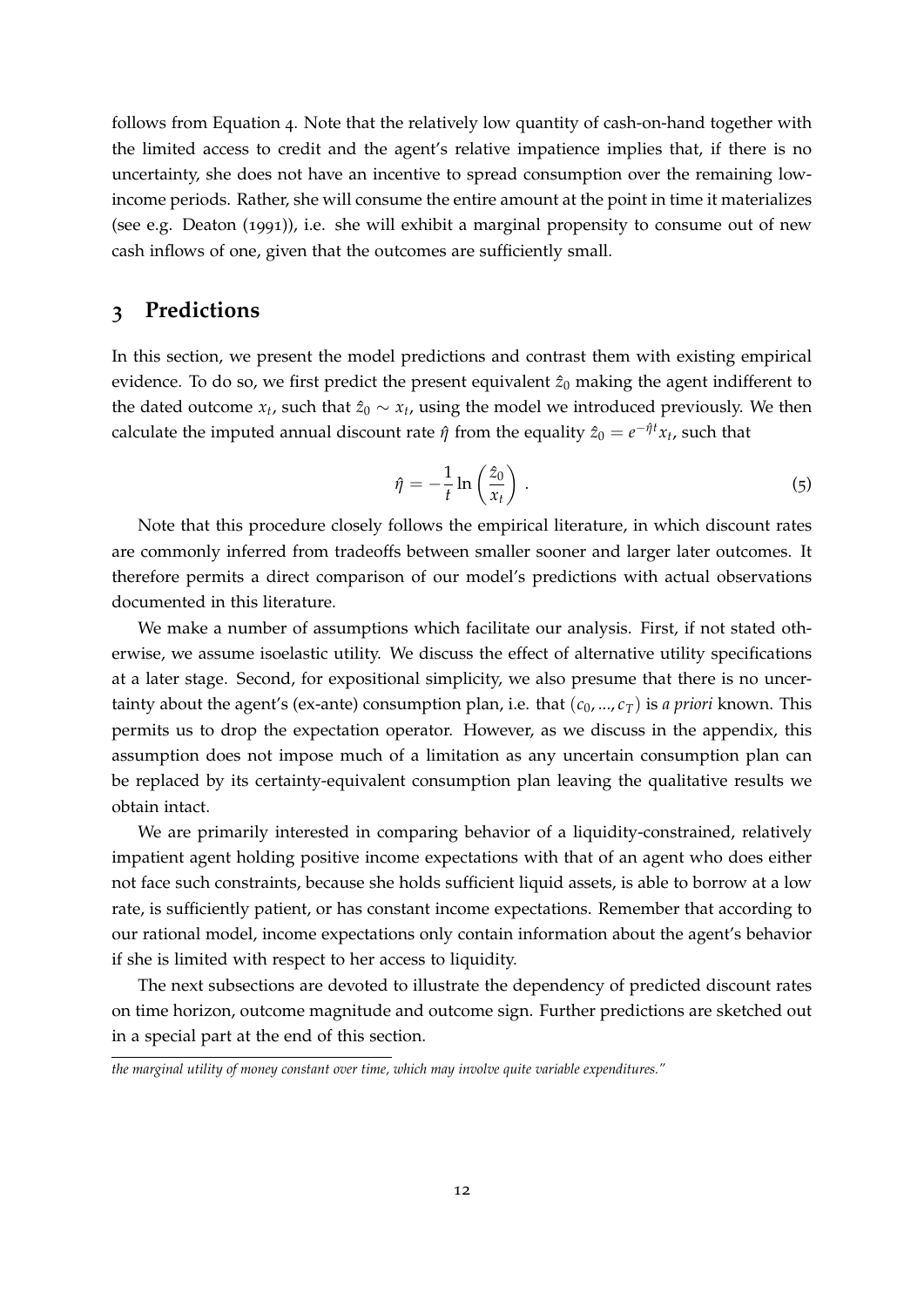follows from Equation [4](#page-10-4). Note that the relatively low quantity of cash-on-hand together with the limited access to credit and the agent's relative impatience implies that, if there is no uncertainty, she does not have an incentive to spread consumption over the remaining lowincome periods. Rather, she will consume the entire amount at the point in time it materializes (see e.g. [Deaton](#page-36-4) ([1991](#page-36-4))), i.e. she will exhibit a marginal propensity to consume out of new cash inflows of one, given that the outcomes are sufficiently small.

### <span id="page-12-0"></span>**3 Predictions**

In this section, we present the model predictions and contrast them with existing empirical evidence. To do so, we first predict the present equivalent  $\hat{z}_0$  making the agent indifferent to the dated outcome  $x_t$ , such that  $\hat{z}_0 \sim x_t$ , using the model we introduced previously. We then calculate the imputed annual discount rate  $\hat{\eta}$  from the equality  $\hat{z}_0 = e^{-\hat{\eta}t}x_t$ , such that

<span id="page-12-1"></span>
$$
\hat{\eta} = -\frac{1}{t} \ln \left( \frac{\hat{z}_0}{x_t} \right) . \tag{5}
$$

Note that this procedure closely follows the empirical literature, in which discount rates are commonly inferred from tradeoffs between smaller sooner and larger later outcomes. It therefore permits a direct comparison of our model's predictions with actual observations documented in this literature.

We make a number of assumptions which facilitate our analysis. First, if not stated otherwise, we assume isoelastic utility. We discuss the effect of alternative utility specifications at a later stage. Second, for expositional simplicity, we also presume that there is no uncertainty about the agent's (ex-ante) consumption plan, i.e. that  $(c_0, ..., c_T)$  is *a priori* known. This permits us to drop the expectation operator. However, as we discuss in the appendix, this assumption does not impose much of a limitation as any uncertain consumption plan can be replaced by its certainty-equivalent consumption plan leaving the qualitative results we obtain intact.

We are primarily interested in comparing behavior of a liquidity-constrained, relatively impatient agent holding positive income expectations with that of an agent who does either not face such constraints, because she holds sufficient liquid assets, is able to borrow at a low rate, is sufficiently patient, or has constant income expectations. Remember that according to our rational model, income expectations only contain information about the agent's behavior if she is limited with respect to her access to liquidity.

The next subsections are devoted to illustrate the dependency of predicted discount rates on time horizon, outcome magnitude and outcome sign. Further predictions are sketched out in a special part at the end of this section.

*the marginal utility of money constant over time, which may involve quite variable expenditures."*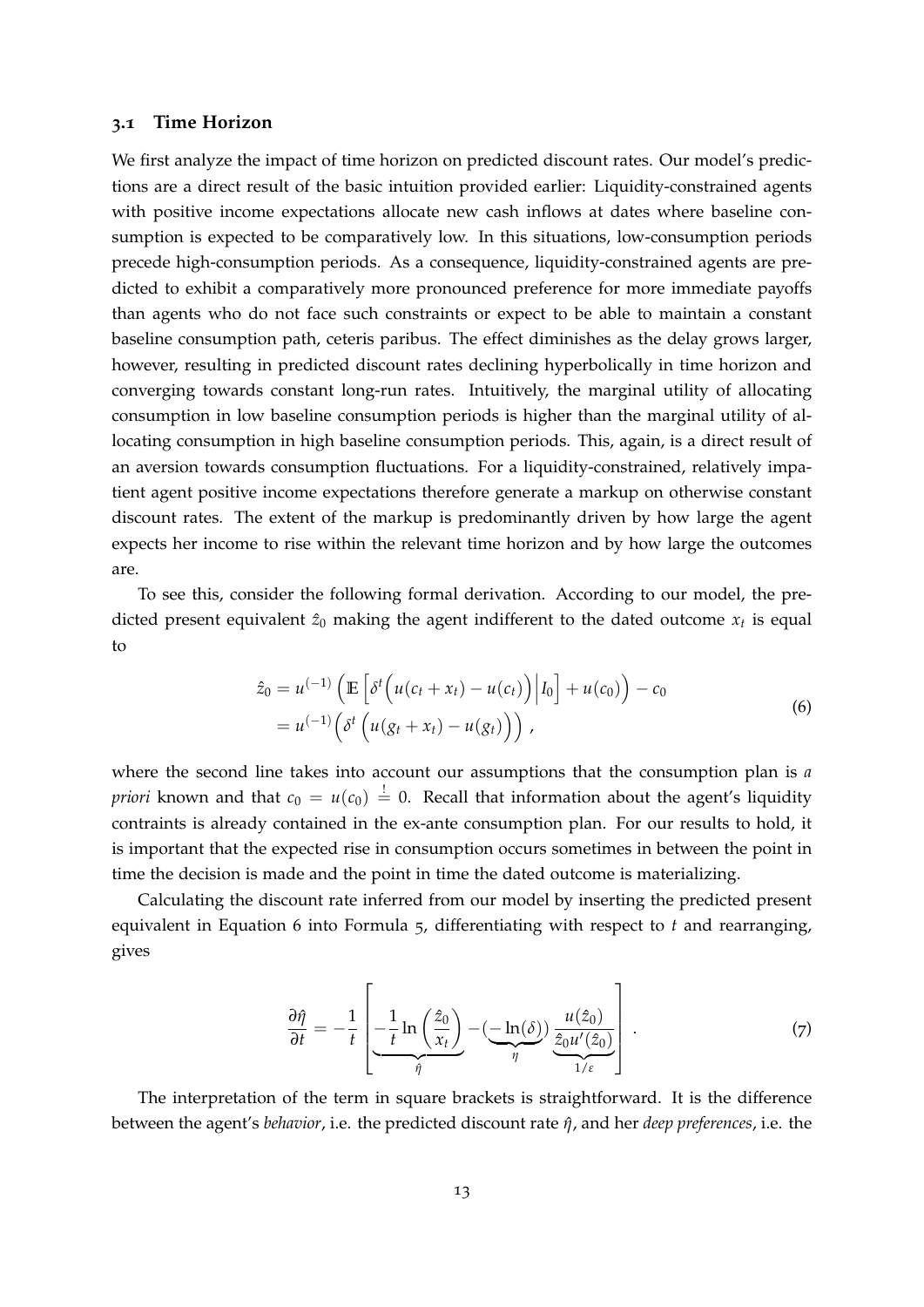#### **3.1 Time Horizon**

We first analyze the impact of time horizon on predicted discount rates. Our model's predictions are a direct result of the basic intuition provided earlier: Liquidity-constrained agents with positive income expectations allocate new cash inflows at dates where baseline consumption is expected to be comparatively low. In this situations, low-consumption periods precede high-consumption periods. As a consequence, liquidity-constrained agents are predicted to exhibit a comparatively more pronounced preference for more immediate payoffs than agents who do not face such constraints or expect to be able to maintain a constant baseline consumption path, ceteris paribus. The effect diminishes as the delay grows larger, however, resulting in predicted discount rates declining hyperbolically in time horizon and converging towards constant long-run rates. Intuitively, the marginal utility of allocating consumption in low baseline consumption periods is higher than the marginal utility of allocating consumption in high baseline consumption periods. This, again, is a direct result of an aversion towards consumption fluctuations. For a liquidity-constrained, relatively impatient agent positive income expectations therefore generate a markup on otherwise constant discount rates. The extent of the markup is predominantly driven by how large the agent expects her income to rise within the relevant time horizon and by how large the outcomes are.

To see this, consider the following formal derivation. According to our model, the predicted present equivalent  $\hat{z}_0$  making the agent indifferent to the dated outcome  $x_t$  is equal to

$$
\hat{z}_0 = u^{(-1)} \left( \mathbb{E} \left[ \delta^t \left( u(c_t + x_t) - u(c_t) \right) \middle| I_0 \right] + u(c_0) \right) - c_0
$$
\n
$$
= u^{(-1)} \left( \delta^t \left( u(g_t + x_t) - u(g_t) \right) \right), \tag{6}
$$

<span id="page-13-0"></span>where the second line takes into account our assumptions that the consumption plan is *a priori* known and that  $c_0 = u(c_0) \stackrel{!}{=} 0$ . Recall that information about the agent's liquidity contraints is already contained in the ex-ante consumption plan. For our results to hold, it is important that the expected rise in consumption occurs sometimes in between the point in time the decision is made and the point in time the dated outcome is materializing.

Calculating the discount rate inferred from our model by inserting the predicted present equivalent in Equation [6](#page-13-0) into Formula [5](#page-12-1), differentiating with respect to *t* and rearranging, gives

<span id="page-13-1"></span>
$$
\frac{\partial \hat{\eta}}{\partial t} = -\frac{1}{t} \left[ -\frac{1}{t} \ln \left( \frac{\hat{z}_0}{x_t} \right) - \underbrace{(-\ln(\delta))}_{\eta} \underbrace{\frac{u(\hat{z}_0)}{\hat{z}_0 u'(\hat{z}_0)}}_{1/\varepsilon} \right]. \tag{7}
$$

The interpretation of the term in square brackets is straightforward. It is the difference between the agent's *behavior*, i.e. the predicted discount rate *η*ˆ, and her *deep preferences*, i.e. the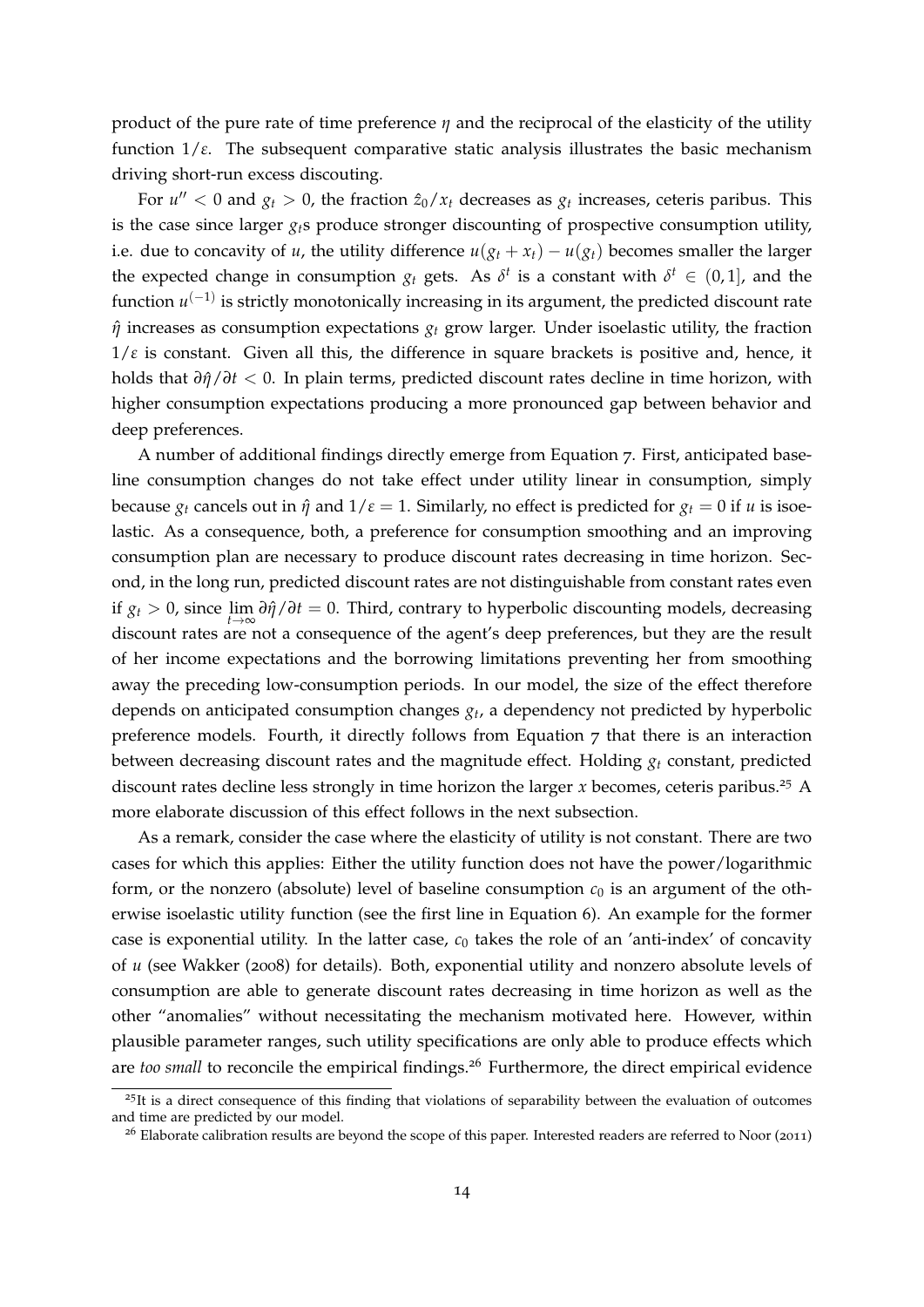product of the pure rate of time preference *η* and the reciprocal of the elasticity of the utility function 1/*ε*. The subsequent comparative static analysis illustrates the basic mechanism driving short-run excess discouting.

For  $u'' < 0$  and  $g_t > 0$ , the fraction  $\hat{z}_0 / x_t$  decreases as  $g_t$  increases, ceteris paribus. This is the case since larger *gt*s produce stronger discounting of prospective consumption utility, i.e. due to concavity of *u*, the utility difference  $u(g_t + x_t) - u(g_t)$  becomes smaller the larger the expected change in consumption  $g_t$  gets. As  $\delta^t$  is a constant with  $\delta^t \in (0,1]$ , and the function *u*<sup>(−1)</sup> is strictly monotonically increasing in its argument, the predicted discount rate *η*ˆ increases as consumption expectations *g<sup>t</sup>* grow larger. Under isoelastic utility, the fraction  $1/\varepsilon$  is constant. Given all this, the difference in square brackets is positive and, hence, it holds that *∂η*ˆ/*∂t* < 0. In plain terms, predicted discount rates decline in time horizon, with higher consumption expectations producing a more pronounced gap between behavior and deep preferences.

A number of additional findings directly emerge from Equation [7](#page-13-1). First, anticipated baseline consumption changes do not take effect under utility linear in consumption, simply because  $g_t$  cancels out in  $\hat{\eta}$  and  $1/\varepsilon = 1$ . Similarly, no effect is predicted for  $g_t = 0$  if *u* is isoelastic. As a consequence, both, a preference for consumption smoothing and an improving consumption plan are necessary to produce discount rates decreasing in time horizon. Second, in the long run, predicted discount rates are not distinguishable from constant rates even if *g<sup>t</sup>* > 0, since lim *∂η*ˆ/*∂t* = 0. Third, contrary to hyperbolic discounting models, decreasing *t*→∞ discount rates are not a consequence of the agent's deep preferences, but they are the result of her income expectations and the borrowing limitations preventing her from smoothing away the preceding low-consumption periods. In our model, the size of the effect therefore depends on anticipated consumption changes *g<sup>t</sup>* , a dependency not predicted by hyperbolic preference models. Fourth, it directly follows from Equation [7](#page-13-1) that there is an interaction between decreasing discount rates and the magnitude effect. Holding *g<sup>t</sup>* constant, predicted discount rates decline less strongly in time horizon the larger *x* becomes, ceteris paribus.[25](#page-14-0) A more elaborate discussion of this effect follows in the next subsection.

As a remark, consider the case where the elasticity of utility is not constant. There are two cases for which this applies: Either the utility function does not have the power/logarithmic form, or the nonzero (absolute) level of baseline consumption  $c_0$  is an argument of the otherwise isoelastic utility function (see the first line in Equation [6](#page-13-0)). An example for the former case is exponential utility. In the latter case,  $c_0$  takes the role of an 'anti-index' of concavity of *u* (see [Wakker](#page-41-7) ([2008](#page-41-7)) for details). Both, exponential utility and nonzero absolute levels of consumption are able to generate discount rates decreasing in time horizon as well as the other "anomalies" without necessitating the mechanism motivated here. However, within plausible parameter ranges, such utility specifications are only able to produce effects which are *too small* to reconcile the empirical findings.<sup>[26](#page-14-1)</sup> Furthermore, the direct empirical evidence

<span id="page-14-0"></span> $^{25}$ It is a direct consequence of this finding that violations of separability between the evaluation of outcomes and time are predicted by our model.

<span id="page-14-1"></span> $26$  Elaborate calibration results are beyond the scope of this paper. Interested readers are referred to [Noor](#page-39-9) ([2011](#page-39-9))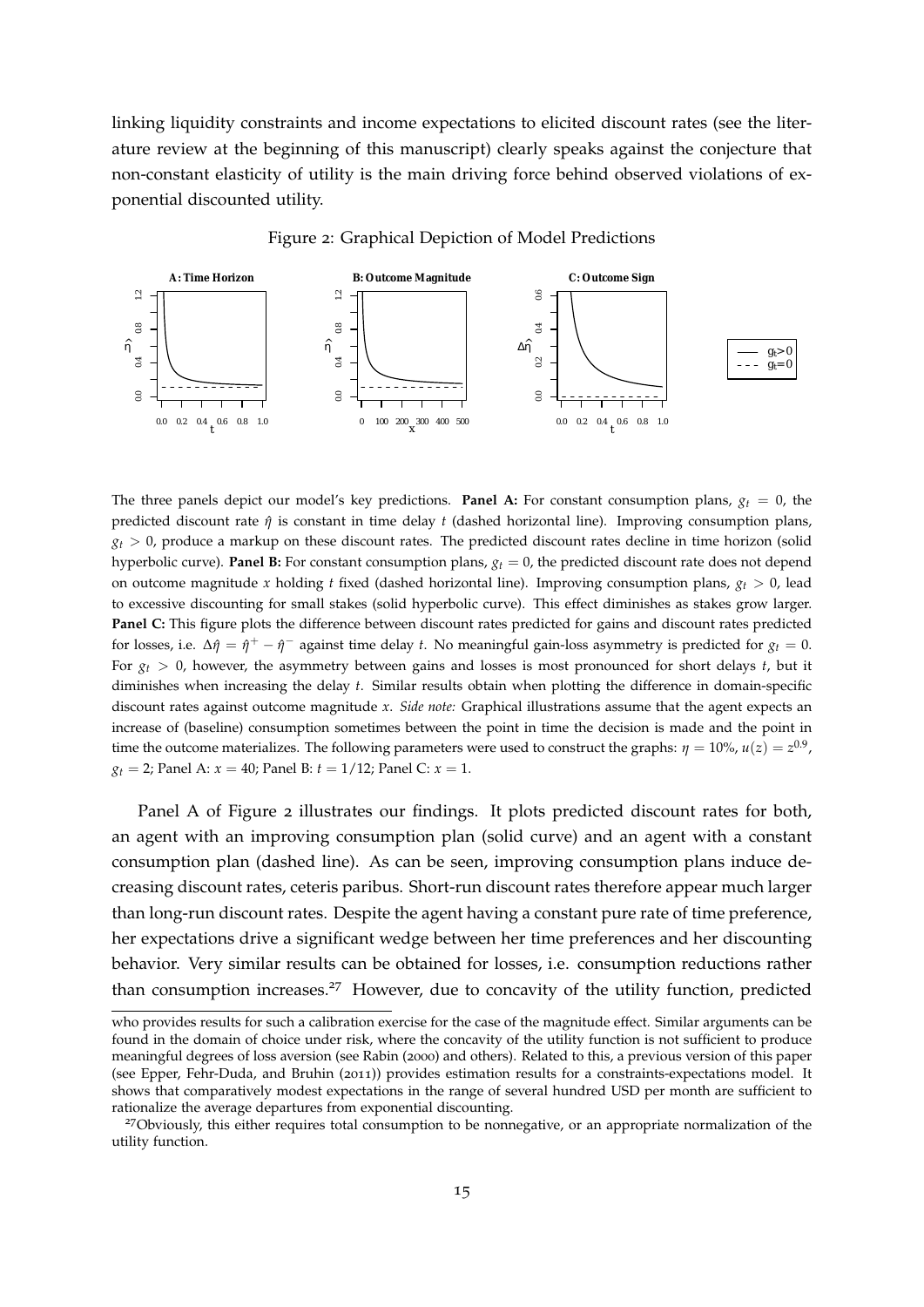linking liquidity constraints and income expectations to elicited discount rates (see the literature review at the beginning of this manuscript) clearly speaks against the conjecture that non-constant elasticity of utility is the main driving force behind observed violations of exponential discounted utility.

Figure 2: Graphical Depiction of Model Predictions

<span id="page-15-0"></span>

The three panels depict our model's key predictions. **Panel A:** For constant consumption plans,  $g_t = 0$ , the predicted discount rate *η*ˆ is constant in time delay *t* (dashed horizontal line). Improving consumption plans,  $g_t > 0$ , produce a markup on these discount rates. The predicted discount rates decline in time horizon (solid hyperbolic curve). **Panel B:** For constant consumption plans,  $g_t = 0$ , the predicted discount rate does not depend on outcome magnitude *x* holding *t* fixed (dashed horizontal line). Improving consumption plans,  $g_t > 0$ , lead to excessive discounting for small stakes (solid hyperbolic curve). This effect diminishes as stakes grow larger. **Panel C:** This figure plots the difference between discount rates predicted for gains and discount rates predicted for losses, i.e.  $\Delta \hat{\eta} = \hat{\eta}^+ - \hat{\eta}^-$  against time delay *t*. No meaningful gain-loss asymmetry is predicted for  $g_t = 0$ . For  $g_t > 0$ , however, the asymmetry between gains and losses is most pronounced for short delays *t*, but it diminishes when increasing the delay *t*. Similar results obtain when plotting the difference in domain-specific discount rates against outcome magnitude *x*. *Side note:* Graphical illustrations assume that the agent expects an increase of (baseline) consumption sometimes between the point in time the decision is made and the point in time the outcome materializes. The following parameters were used to construct the graphs:  $\eta = 10\%$ ,  $u(z) = z^{0.9}$ ,  $g_t = 2$ ; Panel A:  $x = 40$ ; Panel B:  $t = 1/12$ ; Panel C:  $x = 1$ .

Panel A of Figure [2](#page-15-0) illustrates our findings. It plots predicted discount rates for both, an agent with an improving consumption plan (solid curve) and an agent with a constant consumption plan (dashed line). As can be seen, improving consumption plans induce decreasing discount rates, ceteris paribus. Short-run discount rates therefore appear much larger than long-run discount rates. Despite the agent having a constant pure rate of time preference, her expectations drive a significant wedge between her time preferences and her discounting behavior. Very similar results can be obtained for losses, i.e. consumption reductions rather than consumption increases.<sup>[27](#page-15-1)</sup> However, due to concavity of the utility function, predicted

who provides results for such a calibration exercise for the case of the magnitude effect. Similar arguments can be found in the domain of choice under risk, where the concavity of the utility function is not sufficient to produce meaningful degrees of loss aversion (see [Rabin](#page-40-9) ([2000](#page-40-9)) and others). Related to this, a previous version of this paper (see [Epper, Fehr-Duda, and Bruhin](#page-37-2) ([2011](#page-37-2))) provides estimation results for a constraints-expectations model. It shows that comparatively modest expectations in the range of several hundred USD per month are sufficient to rationalize the average departures from exponential discounting.

<span id="page-15-1"></span><sup>&</sup>lt;sup>27</sup>Obviously, this either requires total consumption to be nonnegative, or an appropriate normalization of the utility function.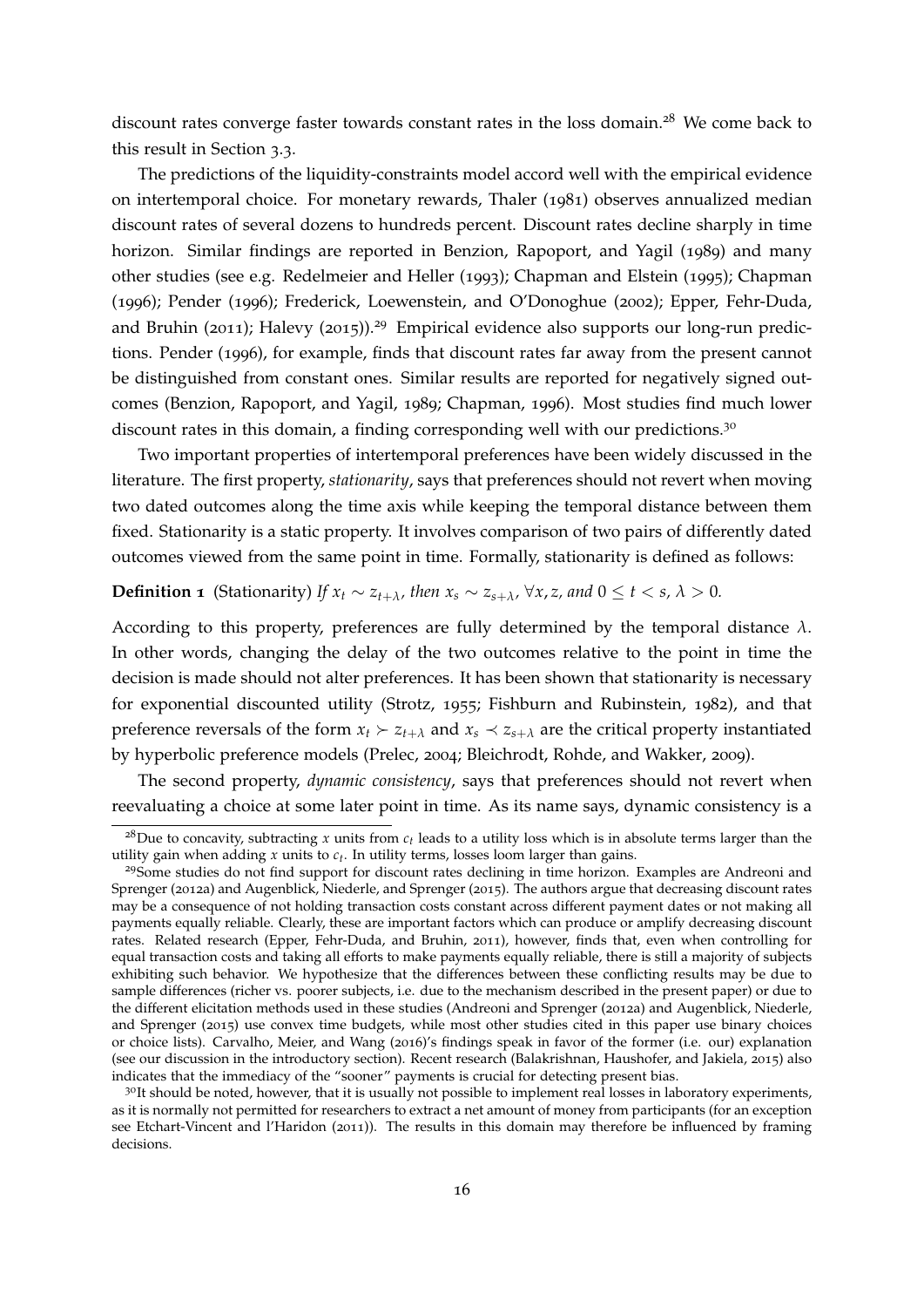discount rates converge faster towards constant rates in the loss domain.<sup>[28](#page-16-0)</sup> We come back to this result in Section [3](#page-22-0).3.

The predictions of the liquidity-constraints model accord well with the empirical evidence on intertemporal choice. For monetary rewards, [Thaler](#page-41-8) ([1981](#page-41-8)) observes annualized median discount rates of several dozens to hundreds percent. Discount rates decline sharply in time horizon. Similar findings are reported in [Benzion, Rapoport, and Yagil](#page-35-11) ([1989](#page-35-11)) and many other studies (see e.g. [Redelmeier and Heller](#page-40-10) ([1993](#page-40-10)); [Chapman and Elstein](#page-36-11) ([1995](#page-36-11)); [Chapman](#page-36-0) ([1996](#page-36-0)); [Pender](#page-39-3) ([1996](#page-39-3)); [Frederick, Loewenstein, and O'Donoghue](#page-37-0) ([2002](#page-37-0)); [Epper, Fehr-Duda,](#page-37-2) [and Bruhin](#page-37-2) ([2011](#page-37-2)); [Halevy](#page-37-1) ([2015](#page-37-1))).<sup>[29](#page-16-1)</sup> Empirical evidence also supports our long-run predictions. [Pender](#page-39-3) ([1996](#page-39-3)), for example, finds that discount rates far away from the present cannot be distinguished from constant ones. Similar results are reported for negatively signed outcomes [\(Benzion, Rapoport, and Yagil,](#page-35-11) [1989](#page-35-11); [Chapman,](#page-36-0) [1996](#page-36-0)). Most studies find much lower discount rates in this domain, a finding corresponding well with our predictions.<sup>[30](#page-16-2)</sup>

Two important properties of intertemporal preferences have been widely discussed in the literature. The first property, *stationarity*, says that preferences should not revert when moving two dated outcomes along the time axis while keeping the temporal distance between them fixed. Stationarity is a static property. It involves comparison of two pairs of differently dated outcomes viewed from the same point in time. Formally, stationarity is defined as follows:

#### **Definition 1** (Stationarity) If  $x_t \sim z_{t+\lambda}$ *, then*  $x_s \sim z_{s+\lambda}$ *,*  $\forall x, z$ *, and*  $0 \le t < s$ *,*  $\lambda > 0$ *.*

According to this property, preferences are fully determined by the temporal distance  $\lambda$ . In other words, changing the delay of the two outcomes relative to the point in time the decision is made should not alter preferences. It has been shown that stationarity is necessary for exponential discounted utility [\(Strotz,](#page-41-5) [1955](#page-41-5); [Fishburn and Rubinstein,](#page-37-8) [1982](#page-37-8)), and that preference reversals of the form  $x_t \succ z_{t+\lambda}$  and  $x_s \prec z_{s+\lambda}$  are the critical property instantiated by hyperbolic preference models [\(Prelec,](#page-39-10) [2004](#page-39-10); [Bleichrodt, Rohde, and Wakker,](#page-36-12) [2009](#page-36-12)).

The second property, *dynamic consistency*, says that preferences should not revert when reevaluating a choice at some later point in time. As its name says, dynamic consistency is a

<span id="page-16-0"></span><sup>&</sup>lt;sup>28</sup>Due to concavity, subtracting *x* units from  $c_t$  leads to a utility loss which is in absolute terms larger than the utility gain when adding *x* units to *ct* . In utility terms, losses loom larger than gains.

<span id="page-16-1"></span><sup>&</sup>lt;sup>29</sup>Some studies do not find support for discount rates declining in time horizon. Examples are [Andreoni and](#page-35-7) [Sprenger](#page-35-7) ([2012](#page-35-7)a) and [Augenblick, Niederle, and Sprenger](#page-35-1) ([2015](#page-35-1)). The authors argue that decreasing discount rates may be a consequence of not holding transaction costs constant across different payment dates or not making all payments equally reliable. Clearly, these are important factors which can produce or amplify decreasing discount rates. Related research [\(Epper, Fehr-Duda, and Bruhin,](#page-37-2) [2011](#page-37-2)), however, finds that, even when controlling for equal transaction costs and taking all efforts to make payments equally reliable, there is still a majority of subjects exhibiting such behavior. We hypothesize that the differences between these conflicting results may be due to sample differences (richer vs. poorer subjects, i.e. due to the mechanism described in the present paper) or due to the different elicitation methods used in these studies [\(Andreoni and Sprenger](#page-35-7) ([2012](#page-35-7)a) and [Augenblick, Niederle,](#page-35-1) [and Sprenger](#page-35-1) ([2015](#page-35-1)) use convex time budgets, while most other studies cited in this paper use binary choices or choice lists). [Carvalho, Meier, and Wang](#page-36-3) ([2016](#page-36-3))'s findings speak in favor of the former (i.e. our) explanation (see our discussion in the introductory section). Recent research [\(Balakrishnan, Haushofer, and Jakiela,](#page-35-12) [2015](#page-35-12)) also indicates that the immediacy of the "sooner" payments is crucial for detecting present bias.

<span id="page-16-2"></span><sup>&</sup>lt;sup>30</sup>It should be noted, however, that it is usually not possible to implement real losses in laboratory experiments, as it is normally not permitted for researchers to extract a net amount of money from participants (for an exception see [Etchart-Vincent and l'Haridon](#page-37-11) ([2011](#page-37-11))). The results in this domain may therefore be influenced by framing decisions.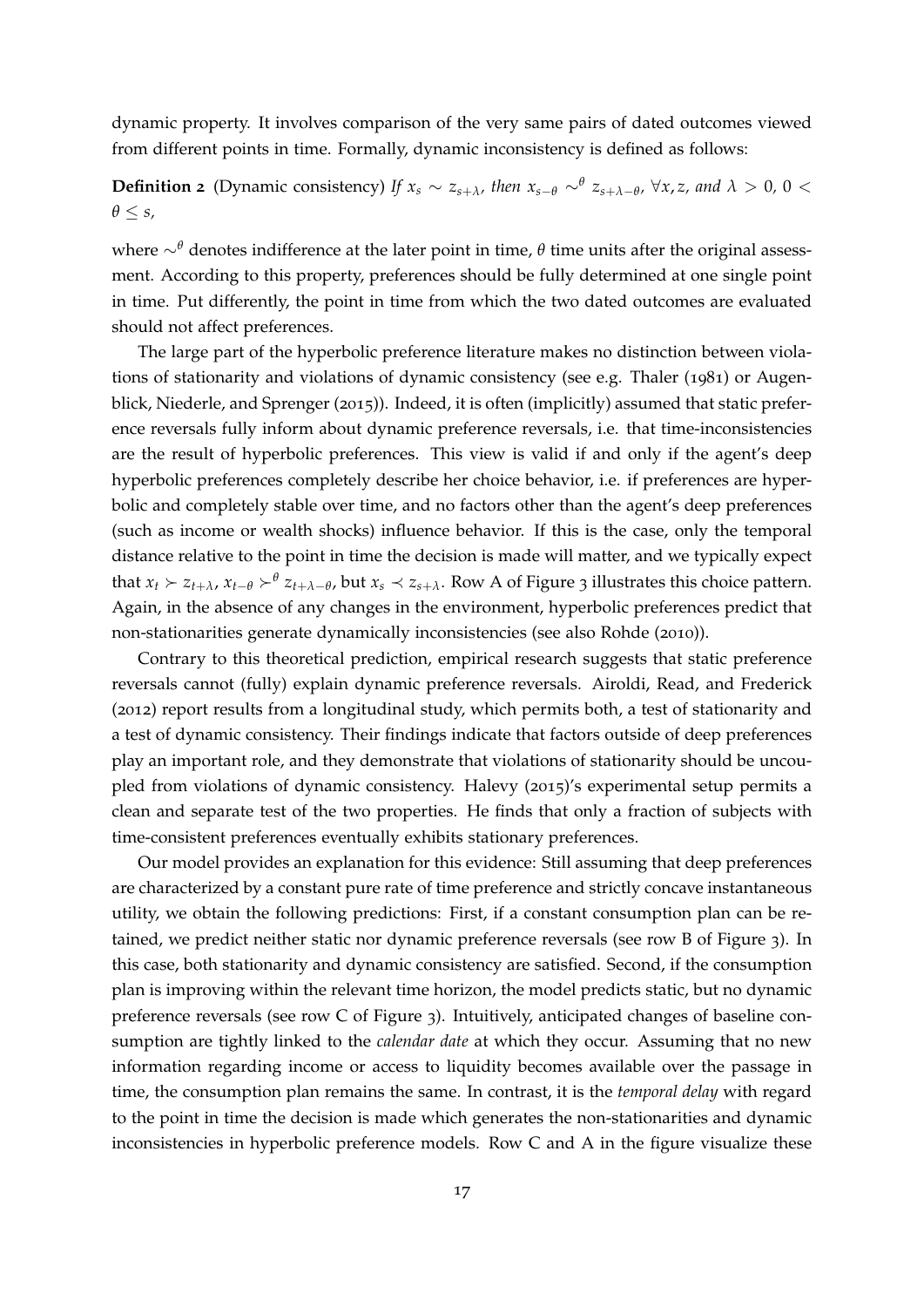dynamic property. It involves comparison of the very same pairs of dated outcomes viewed from different points in time. Formally, dynamic inconsistency is defined as follows:

### **Definition 2** (Dynamic consistency) If  $x_s \sim z_{s+\lambda}$ , then  $x_{s-\theta} \sim^{\theta} z_{s+\lambda-\theta}$ ,  $\forall x, z$ , and  $\lambda > 0$ ,  $0 <$ *θ* ≤ *s,*

where ∼*<sup>θ</sup>* denotes indifference at the later point in time, *θ* time units after the original assessment. According to this property, preferences should be fully determined at one single point in time. Put differently, the point in time from which the two dated outcomes are evaluated should not affect preferences.

The large part of the hyperbolic preference literature makes no distinction between violations of stationarity and violations of dynamic consistency (see e.g. [Thaler](#page-41-8) ([1981](#page-41-8)) or [Augen](#page-35-1)[blick, Niederle, and Sprenger](#page-35-1) ([2015](#page-35-1))). Indeed, it is often (implicitly) assumed that static preference reversals fully inform about dynamic preference reversals, i.e. that time-inconsistencies are the result of hyperbolic preferences. This view is valid if and only if the agent's deep hyperbolic preferences completely describe her choice behavior, i.e. if preferences are hyperbolic and completely stable over time, and no factors other than the agent's deep preferences (such as income or wealth shocks) influence behavior. If this is the case, only the temporal distance relative to the point in time the decision is made will matter, and we typically expect that  $x_t \succ z_{t+\lambda}$ ,  $x_{t-\theta} \succ^{\theta} z_{t+\lambda-\theta}$ , but  $x_s \prec z_{s+\lambda}$ . Row A of Figure [3](#page-18-0) illustrates this choice pattern. Again, in the absence of any changes in the environment, hyperbolic preferences predict that non-stationarities generate dynamically inconsistencies (see also [Rohde](#page-40-11) ([2010](#page-40-11))).

Contrary to this theoretical prediction, empirical research suggests that static preference reversals cannot (fully) explain dynamic preference reversals. [Airoldi, Read, and Frederick](#page-35-2) ([2012](#page-35-2)) report results from a longitudinal study, which permits both, a test of stationarity and a test of dynamic consistency. Their findings indicate that factors outside of deep preferences play an important role, and they demonstrate that violations of stationarity should be uncoupled from violations of dynamic consistency. [Halevy](#page-37-1) ([2015](#page-37-1))'s experimental setup permits a clean and separate test of the two properties. He finds that only a fraction of subjects with time-consistent preferences eventually exhibits stationary preferences.

Our model provides an explanation for this evidence: Still assuming that deep preferences are characterized by a constant pure rate of time preference and strictly concave instantaneous utility, we obtain the following predictions: First, if a constant consumption plan can be retained, we predict neither static nor dynamic preference reversals (see row B of Figure [3](#page-18-0)). In this case, both stationarity and dynamic consistency are satisfied. Second, if the consumption plan is improving within the relevant time horizon, the model predicts static, but no dynamic preference reversals (see row C of Figure [3](#page-18-0)). Intuitively, anticipated changes of baseline consumption are tightly linked to the *calendar date* at which they occur. Assuming that no new information regarding income or access to liquidity becomes available over the passage in time, the consumption plan remains the same. In contrast, it is the *temporal delay* with regard to the point in time the decision is made which generates the non-stationarities and dynamic inconsistencies in hyperbolic preference models. Row C and A in the figure visualize these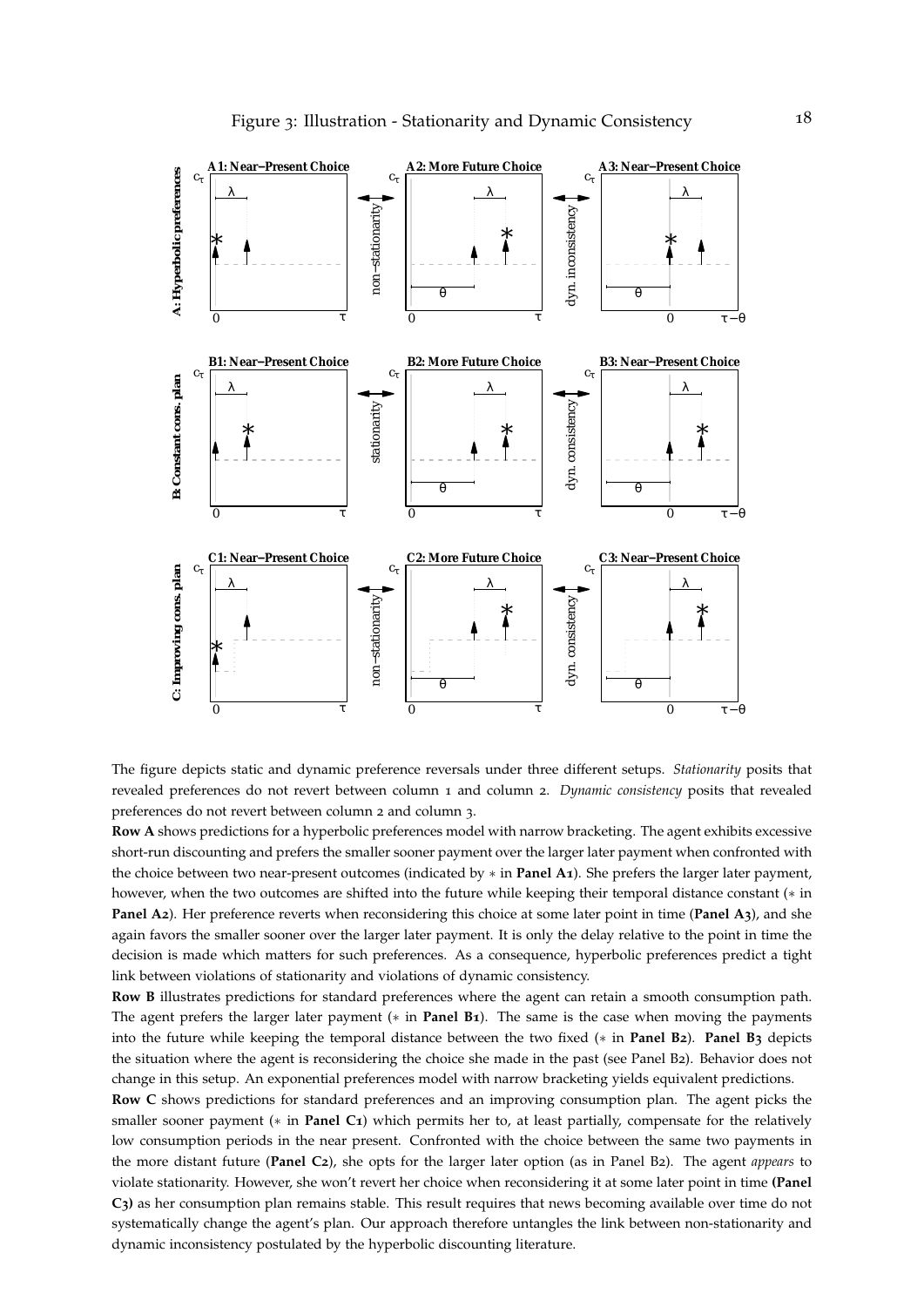<span id="page-18-0"></span>

The figure depicts static and dynamic preference reversals under three different setups. *Stationarity* posits that revealed preferences do not revert between column 1 and column 2. *Dynamic consistency* posits that revealed preferences do not revert between column 2 and column 3.

**Row A** shows predictions for a hyperbolic preferences model with narrow bracketing. The agent exhibits excessive short-run discounting and prefers the smaller sooner payment over the larger later payment when confronted with the choice between two near-present outcomes (indicated by ∗ in **Panel A1**). She prefers the larger later payment, however, when the two outcomes are shifted into the future while keeping their temporal distance constant (∗ in **Panel A2**). Her preference reverts when reconsidering this choice at some later point in time (**Panel A3**), and she again favors the smaller sooner over the larger later payment. It is only the delay relative to the point in time the decision is made which matters for such preferences. As a consequence, hyperbolic preferences predict a tight link between violations of stationarity and violations of dynamic consistency.

**Row B** illustrates predictions for standard preferences where the agent can retain a smooth consumption path. The agent prefers the larger later payment (∗ in **Panel B1**). The same is the case when moving the payments into the future while keeping the temporal distance between the two fixed (∗ in **Panel B2**). **Panel B3** depicts the situation where the agent is reconsidering the choice she made in the past (see Panel B2). Behavior does not change in this setup. An exponential preferences model with narrow bracketing yields equivalent predictions.

**Row C** shows predictions for standard preferences and an improving consumption plan. The agent picks the smaller sooner payment (\* in **Panel C1**) which permits her to, at least partially, compensate for the relatively low consumption periods in the near present. Confronted with the choice between the same two payments in the more distant future (**Panel C2**), she opts for the larger later option (as in Panel B2). The agent *appears* to violate stationarity. However, she won't revert her choice when reconsidering it at some later point in time **(Panel C3)** as her consumption plan remains stable. This result requires that news becoming available over time do not systematically change the agent's plan. Our approach therefore untangles the link between non-stationarity and dynamic inconsistency postulated by the hyperbolic discounting literature.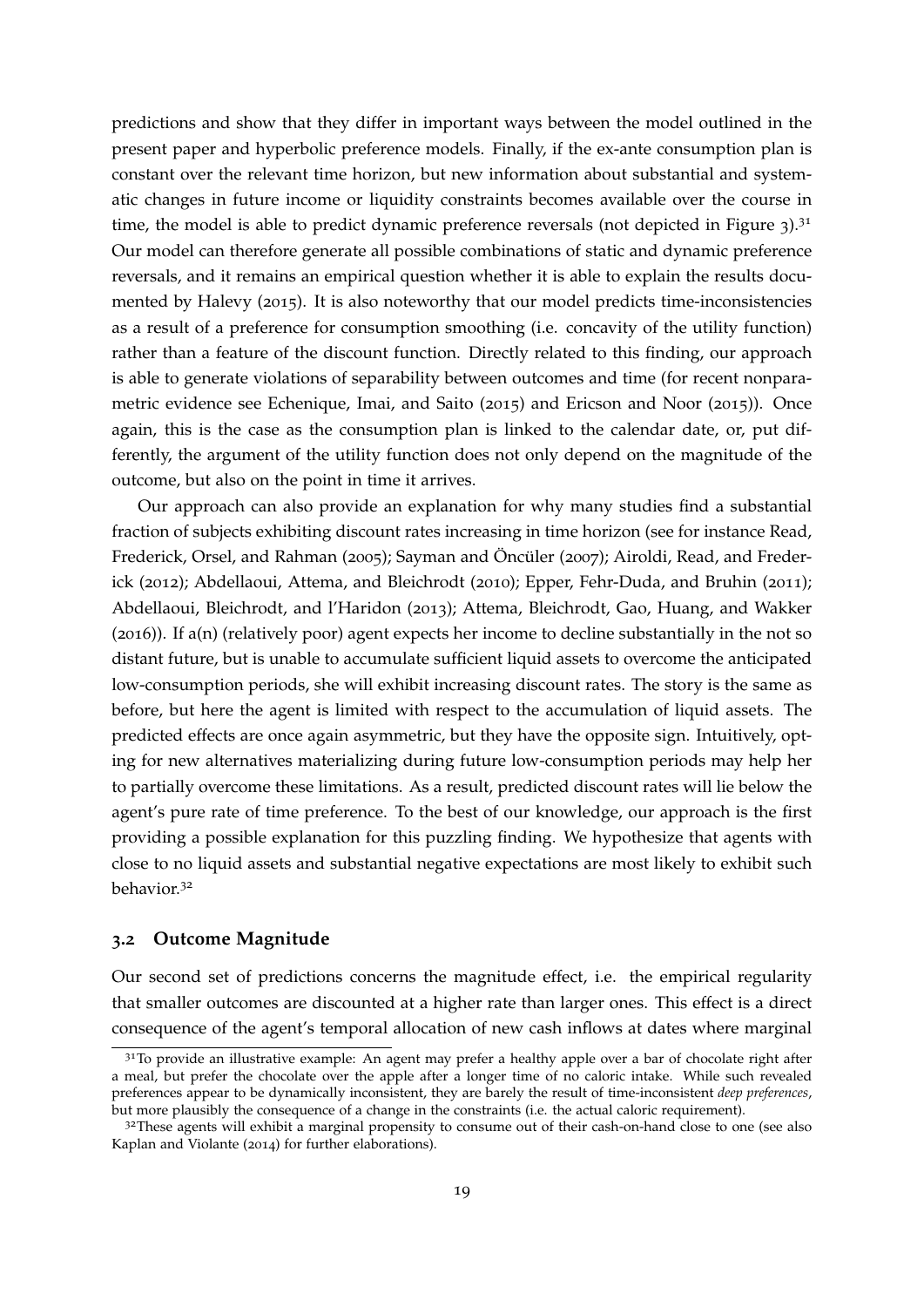predictions and show that they differ in important ways between the model outlined in the present paper and hyperbolic preference models. Finally, if the ex-ante consumption plan is constant over the relevant time horizon, but new information about substantial and systematic changes in future income or liquidity constraints becomes available over the course in time, the model is able to predict dynamic preference reversals (not depicted in Figure  $3$ ).<sup>[31](#page-19-0)</sup> Our model can therefore generate all possible combinations of static and dynamic preference reversals, and it remains an empirical question whether it is able to explain the results documented by [Halevy](#page-37-1) ([2015](#page-37-1)). It is also noteworthy that our model predicts time-inconsistencies as a result of a preference for consumption smoothing (i.e. concavity of the utility function) rather than a feature of the discount function. Directly related to this finding, our approach is able to generate violations of separability between outcomes and time (for recent nonparametric evidence see [Echenique, Imai, and Saito](#page-36-5) ([2015](#page-36-5)) and [Ericson and Noor](#page-37-5) ([2015](#page-37-5))). Once again, this is the case as the consumption plan is linked to the calendar date, or, put differently, the argument of the utility function does not only depend on the magnitude of the outcome, but also on the point in time it arrives.

Our approach can also provide an explanation for why many studies find a substantial fraction of subjects exhibiting discount rates increasing in time horizon (see for instance [Read,](#page-40-1) [Frederick, Orsel, and Rahman](#page-40-1) ([2005](#page-40-1)); [Sayman and](#page-40-2) Öncüler ([2007](#page-40-2)); [Airoldi, Read, and Freder](#page-35-2)[ick](#page-35-2) ([2012](#page-35-2)); [Abdellaoui, Attema, and Bleichrodt](#page-35-3) ([2010](#page-35-3)); [Epper, Fehr-Duda, and Bruhin](#page-37-2) ([2011](#page-37-2)); [Abdellaoui, Bleichrodt, and l'Haridon](#page-35-4) ([2013](#page-35-4)); [Attema, Bleichrodt, Gao, Huang, and Wakker](#page-35-5) ([2016](#page-35-5))). If a(n) (relatively poor) agent expects her income to decline substantially in the not so distant future, but is unable to accumulate sufficient liquid assets to overcome the anticipated low-consumption periods, she will exhibit increasing discount rates. The story is the same as before, but here the agent is limited with respect to the accumulation of liquid assets. The predicted effects are once again asymmetric, but they have the opposite sign. Intuitively, opting for new alternatives materializing during future low-consumption periods may help her to partially overcome these limitations. As a result, predicted discount rates will lie below the agent's pure rate of time preference. To the best of our knowledge, our approach is the first providing a possible explanation for this puzzling finding. We hypothesize that agents with close to no liquid assets and substantial negative expectations are most likely to exhibit such behavior.[32](#page-19-1)

#### <span id="page-19-2"></span>**3.2 Outcome Magnitude**

Our second set of predictions concerns the magnitude effect, i.e. the empirical regularity that smaller outcomes are discounted at a higher rate than larger ones. This effect is a direct consequence of the agent's temporal allocation of new cash inflows at dates where marginal

<span id="page-19-0"></span><sup>&</sup>lt;sup>31</sup>To provide an illustrative example: An agent may prefer a healthy apple over a bar of chocolate right after a meal, but prefer the chocolate over the apple after a longer time of no caloric intake. While such revealed preferences appear to be dynamically inconsistent, they are barely the result of time-inconsistent *deep preferences*, but more plausibly the consequence of a change in the constraints (i.e. the actual caloric requirement).

<span id="page-19-1"></span><sup>&</sup>lt;sup>32</sup>These agents will exhibit a marginal propensity to consume out of their cash-on-hand close to one (see also [Kaplan and Violante](#page-38-4) ([2014](#page-38-4)) for further elaborations).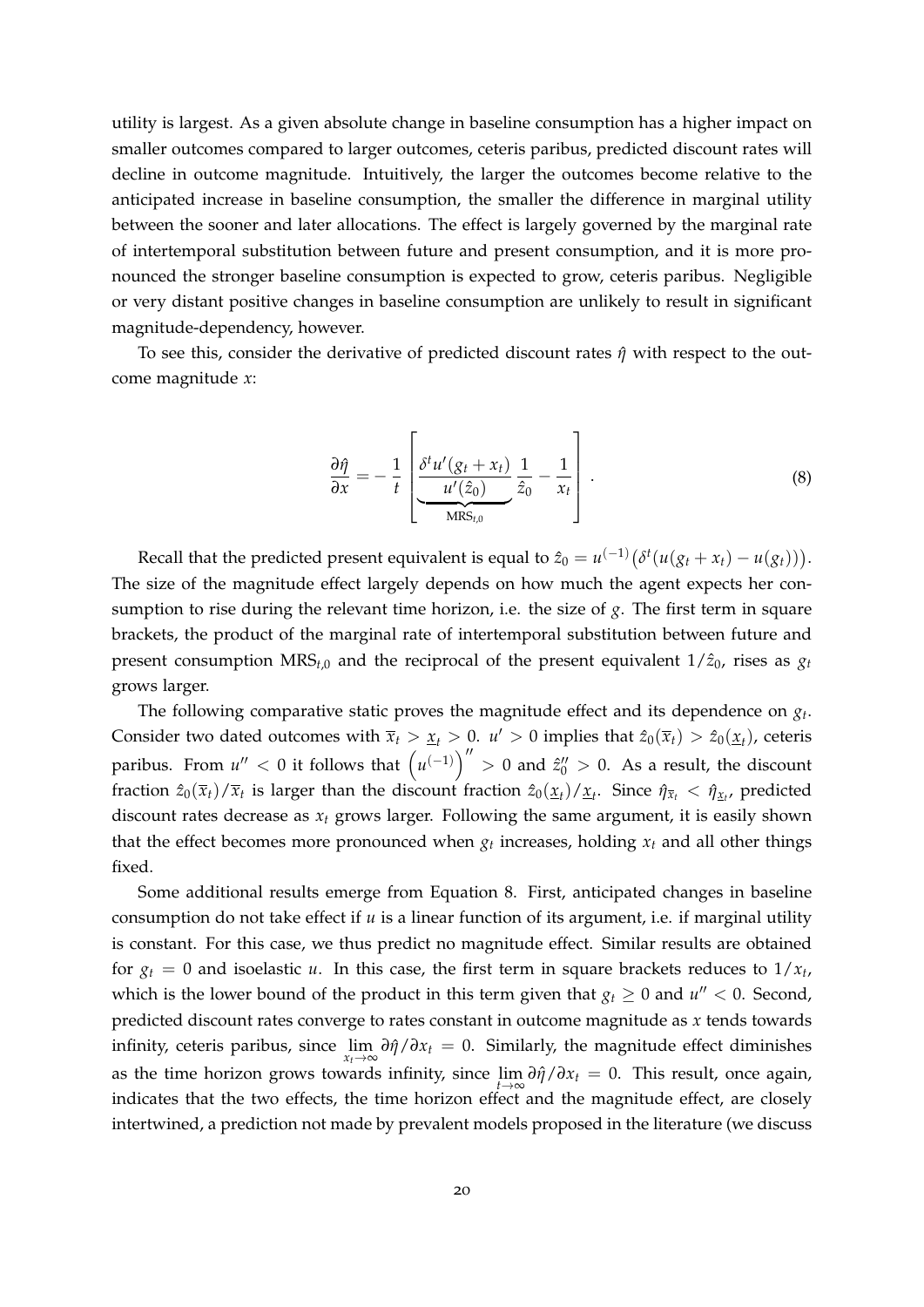utility is largest. As a given absolute change in baseline consumption has a higher impact on smaller outcomes compared to larger outcomes, ceteris paribus, predicted discount rates will decline in outcome magnitude. Intuitively, the larger the outcomes become relative to the anticipated increase in baseline consumption, the smaller the difference in marginal utility between the sooner and later allocations. The effect is largely governed by the marginal rate of intertemporal substitution between future and present consumption, and it is more pronounced the stronger baseline consumption is expected to grow, ceteris paribus. Negligible or very distant positive changes in baseline consumption are unlikely to result in significant magnitude-dependency, however.

To see this, consider the derivative of predicted discount rates *η*ˆ with respect to the outcome magnitude *x*:

$$
\frac{\partial \hat{\eta}}{\partial x} = -\frac{1}{t} \left[ \underbrace{\frac{\delta^t u'(g_t + x_t)}{u'(z_0)}}_{\text{MRS}_{t,0}} \frac{1}{\hat{z}_0} - \frac{1}{x_t} \right]. \tag{8}
$$

<span id="page-20-0"></span>Recall that the predicted present equivalent is equal to  $\hat{z}_0 = u^{(-1)}(\delta^t(u(g_t + x_t) - u(g_t)))$ . The size of the magnitude effect largely depends on how much the agent expects her consumption to rise during the relevant time horizon, i.e. the size of *g*. The first term in square brackets, the product of the marginal rate of intertemporal substitution between future and present consumption  $MRS_{t,0}$  and the reciprocal of the present equivalent  $1/\hat{z}_0$ , rises as  $g_t$ grows larger.

The following comparative static proves the magnitude effect and its dependence on *g<sup>t</sup>* . Consider two dated outcomes with  $\bar{x}_t > \underline{x}_t > 0$ .  $u' > 0$  implies that  $\hat{z}_0(\bar{x}_t) > \hat{z}_0(\underline{x}_t)$ , ceteris paribus. From  $u'' < 0$  it follows that  $(u^{(-1)})'' > 0$  and  $z''_0 > 0$ . As a result, the discount fraction  $\hat{z}_0(\overline{x}_t)/\overline{x}_t$  is larger than the discount fraction  $\hat{z}_0(\underline{x}_t)/\underline{x}_t$ . Since  $\hat{\eta}_{\overline{x}_t}<\hat{\eta}_{\underline{x}_t}$ , predicted discount rates decrease as *x<sup>t</sup>* grows larger. Following the same argument, it is easily shown that the effect becomes more pronounced when  $g_t$  increases, holding  $x_t$  and all other things fixed.

Some additional results emerge from Equation [8](#page-20-0). First, anticipated changes in baseline consumption do not take effect if *u* is a linear function of its argument, i.e. if marginal utility is constant. For this case, we thus predict no magnitude effect. Similar results are obtained for  $g_t = 0$  and isoelastic *u*. In this case, the first term in square brackets reduces to  $1/x_t$ , which is the lower bound of the product in this term given that  $g_t \geq 0$  and  $u'' < 0$ . Second, predicted discount rates converge to rates constant in outcome magnitude as *x* tends towards infinity, ceteris paribus, since  $\lim_{x_t \to \infty} \partial \hat{\eta}/\partial x_t = 0$ . Similarly, the magnitude effect diminishes as the time horizon grows towards infinity, since  $\lim_{t\to\infty} \frac{\partial \hat{\eta}}{\partial x_t} = 0$ . This result, once again, indicates that the two effects, the time horizon effect and the magnitude effect, are closely intertwined, a prediction not made by prevalent models proposed in the literature (we discuss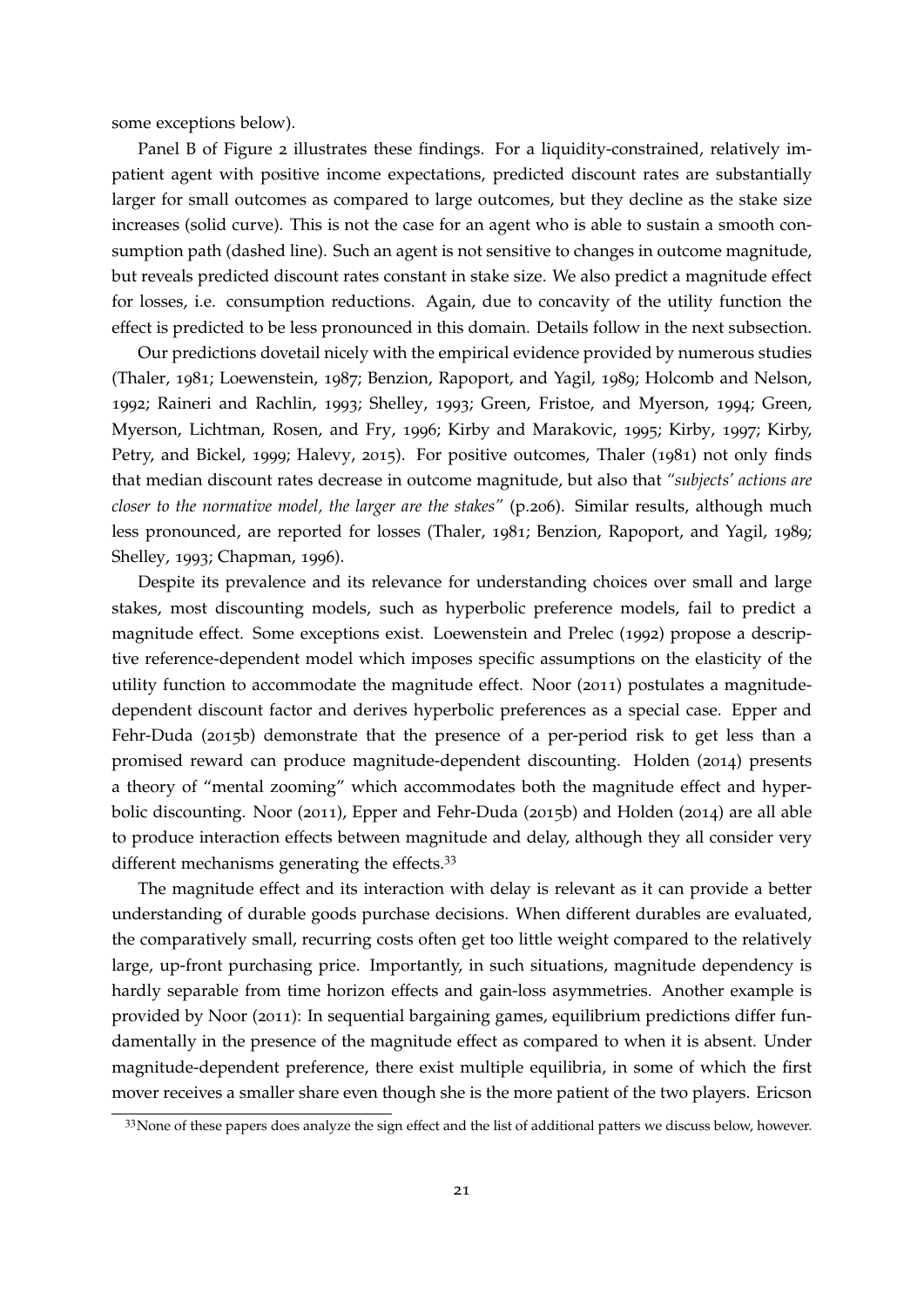some exceptions below).

Panel B of Figure [2](#page-15-0) illustrates these findings. For a liquidity-constrained, relatively impatient agent with positive income expectations, predicted discount rates are substantially larger for small outcomes as compared to large outcomes, but they decline as the stake size increases (solid curve). This is not the case for an agent who is able to sustain a smooth consumption path (dashed line). Such an agent is not sensitive to changes in outcome magnitude, but reveals predicted discount rates constant in stake size. We also predict a magnitude effect for losses, i.e. consumption reductions. Again, due to concavity of the utility function the effect is predicted to be less pronounced in this domain. Details follow in the next subsection.

Our predictions dovetail nicely with the empirical evidence provided by numerous studies [\(Thaler,](#page-41-8) [1981](#page-41-8); [Loewenstein,](#page-39-11) [1987](#page-39-11); [Benzion, Rapoport, and Yagil,](#page-35-11) [1989](#page-35-11); [Holcomb and Nelson,](#page-38-8) [1992](#page-38-8); [Raineri and Rachlin,](#page-40-12) [1993](#page-40-12); [Shelley,](#page-41-9) [1993](#page-41-9); [Green, Fristoe, and Myerson,](#page-37-12) [1994](#page-37-12); [Green,](#page-37-13) [Myerson, Lichtman, Rosen, and Fry,](#page-37-13) [1996](#page-37-13); [Kirby and Marakovic,](#page-38-9) [1995](#page-38-9); [Kirby,](#page-38-10) [1997](#page-38-10); [Kirby,](#page-38-11) [Petry, and Bickel,](#page-38-11) [1999](#page-38-11); [Halevy,](#page-37-1) [2015](#page-37-1)). For positive outcomes, [Thaler](#page-41-8) ([1981](#page-41-8)) not only finds that median discount rates decrease in outcome magnitude, but also that *"subjects' actions are closer to the normative model, the larger are the stakes"* (p.206). Similar results, although much less pronounced, are reported for losses [\(Thaler,](#page-41-8) [1981](#page-41-8); [Benzion, Rapoport, and Yagil,](#page-35-11) [1989](#page-35-11); [Shelley,](#page-41-9) [1993](#page-41-9); [Chapman,](#page-36-0) [1996](#page-36-0)).

Despite its prevalence and its relevance for understanding choices over small and large stakes, most discounting models, such as hyperbolic preference models, fail to predict a magnitude effect. Some exceptions exist. [Loewenstein and Prelec](#page-39-2) ([1992](#page-39-2)) propose a descriptive reference-dependent model which imposes specific assumptions on the elasticity of the utility function to accommodate the magnitude effect. [Noor](#page-39-9) ([2011](#page-39-9)) postulates a magnitudedependent discount factor and derives hyperbolic preferences as a special case. [Epper and](#page-36-13) [Fehr-Duda](#page-36-13) ([2015](#page-36-13)b) demonstrate that the presence of a per-period risk to get less than a promised reward can produce magnitude-dependent discounting. [Holden](#page-38-12) ([2014](#page-38-12)) presents a theory of "mental zooming" which accommodates both the magnitude effect and hyperbolic discounting. [Noor](#page-39-9) ([2011](#page-39-9)), [Epper and Fehr-Duda](#page-36-13) ([2015](#page-36-13)b) and [Holden](#page-38-12) ([2014](#page-38-12)) are all able to produce interaction effects between magnitude and delay, although they all consider very different mechanisms generating the effects.<sup>[33](#page-21-0)</sup>

The magnitude effect and its interaction with delay is relevant as it can provide a better understanding of durable goods purchase decisions. When different durables are evaluated, the comparatively small, recurring costs often get too little weight compared to the relatively large, up-front purchasing price. Importantly, in such situations, magnitude dependency is hardly separable from time horizon effects and gain-loss asymmetries. Another example is provided by [Noor](#page-39-9) ([2011](#page-39-9)): In sequential bargaining games, equilibrium predictions differ fundamentally in the presence of the magnitude effect as compared to when it is absent. Under magnitude-dependent preference, there exist multiple equilibria, in some of which the first mover receives a smaller share even though she is the more patient of the two players. [Ericson](#page-37-5)

<span id="page-21-0"></span><sup>&</sup>lt;sup>33</sup>[None of these papers does analyze the sign effect and the list of additional patters we discuss below, however.](#page-37-5)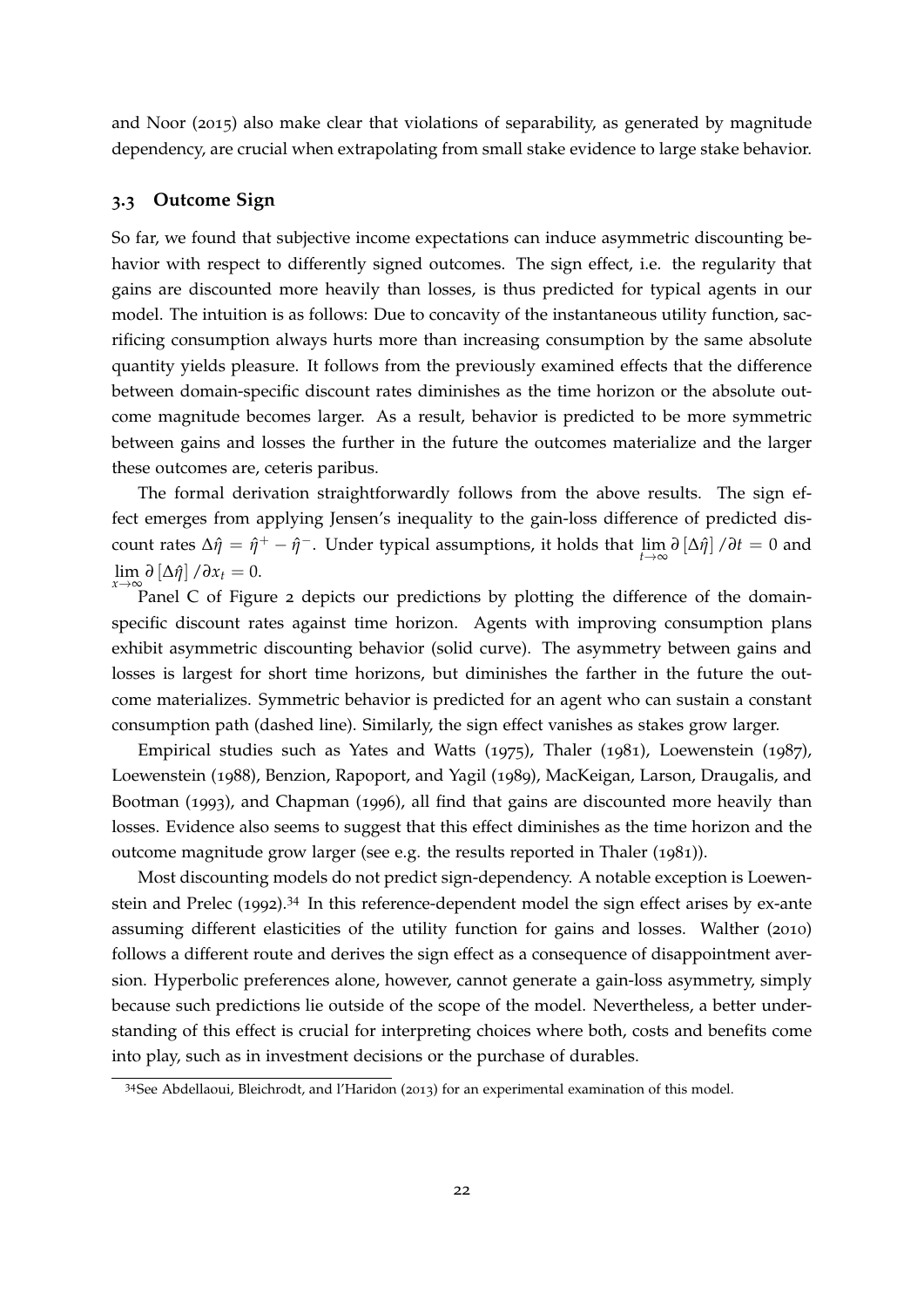[and Noor](#page-37-5) ([2015](#page-37-5)) also make clear that violations of separability, as generated by magnitude dependency, are crucial when extrapolating from small stake evidence to large stake behavior.

#### <span id="page-22-0"></span>**3.3 Outcome Sign**

So far, we found that subjective income expectations can induce asymmetric discounting behavior with respect to differently signed outcomes. The sign effect, i.e. the regularity that gains are discounted more heavily than losses, is thus predicted for typical agents in our model. The intuition is as follows: Due to concavity of the instantaneous utility function, sacrificing consumption always hurts more than increasing consumption by the same absolute quantity yields pleasure. It follows from the previously examined effects that the difference between domain-specific discount rates diminishes as the time horizon or the absolute outcome magnitude becomes larger. As a result, behavior is predicted to be more symmetric between gains and losses the further in the future the outcomes materialize and the larger these outcomes are, ceteris paribus.

The formal derivation straightforwardly follows from the above results. The sign effect emerges from applying Jensen's inequality to the gain-loss difference of predicted discount rates ∆*η*ˆ = *η*ˆ <sup>+</sup> − *η*ˆ <sup>−</sup>. Under typical assumptions, it holds that lim*t*→<sup>∞</sup> *∂* [∆*η*ˆ] /*∂t* = 0 and  $\lim_{x\to\infty} \partial [\Delta \hat{\eta}] / \partial x_t = 0.$ 

Panel C of Figure [2](#page-15-0) depicts our predictions by plotting the difference of the domainspecific discount rates against time horizon. Agents with improving consumption plans exhibit asymmetric discounting behavior (solid curve). The asymmetry between gains and losses is largest for short time horizons, but diminishes the farther in the future the outcome materializes. Symmetric behavior is predicted for an agent who can sustain a constant consumption path (dashed line). Similarly, the sign effect vanishes as stakes grow larger.

Empirical studies such as [Yates and Watts](#page-41-10) ([1975](#page-41-10)), [Thaler](#page-41-8) ([1981](#page-41-8)), [Loewenstein](#page-39-11) ([1987](#page-39-11)), [Loewenstein](#page-39-12) ([1988](#page-39-12)), [Benzion, Rapoport, and Yagil](#page-35-11) ([1989](#page-35-11)), [MacKeigan, Larson, Draugalis, and](#page-39-13) [Bootman](#page-39-13) ([1993](#page-39-13)), and [Chapman](#page-36-0) ([1996](#page-36-0)), all find that gains are discounted more heavily than losses. Evidence also seems to suggest that this effect diminishes as the time horizon and the outcome magnitude grow larger (see e.g. the results reported in [Thaler](#page-41-8) ([1981](#page-41-8))).

Most discounting models do not predict sign-dependency. A notable exception is [Loewen](#page-39-2)[stein and Prelec](#page-39-2) ([1992](#page-39-2)).[34](#page-22-1) In this reference-dependent model the sign effect arises by ex-ante assuming different elasticities of the utility function for gains and losses. [Walther](#page-41-11) ([2010](#page-41-11)) follows a different route and derives the sign effect as a consequence of disappointment aversion. Hyperbolic preferences alone, however, cannot generate a gain-loss asymmetry, simply because such predictions lie outside of the scope of the model. Nevertheless, a better understanding of this effect is crucial for interpreting choices where both, costs and benefits come into play, such as in investment decisions or the purchase of durables.

<span id="page-22-1"></span><sup>34</sup>See [Abdellaoui, Bleichrodt, and l'Haridon](#page-35-4) ([2013](#page-35-4)) for an experimental examination of this model.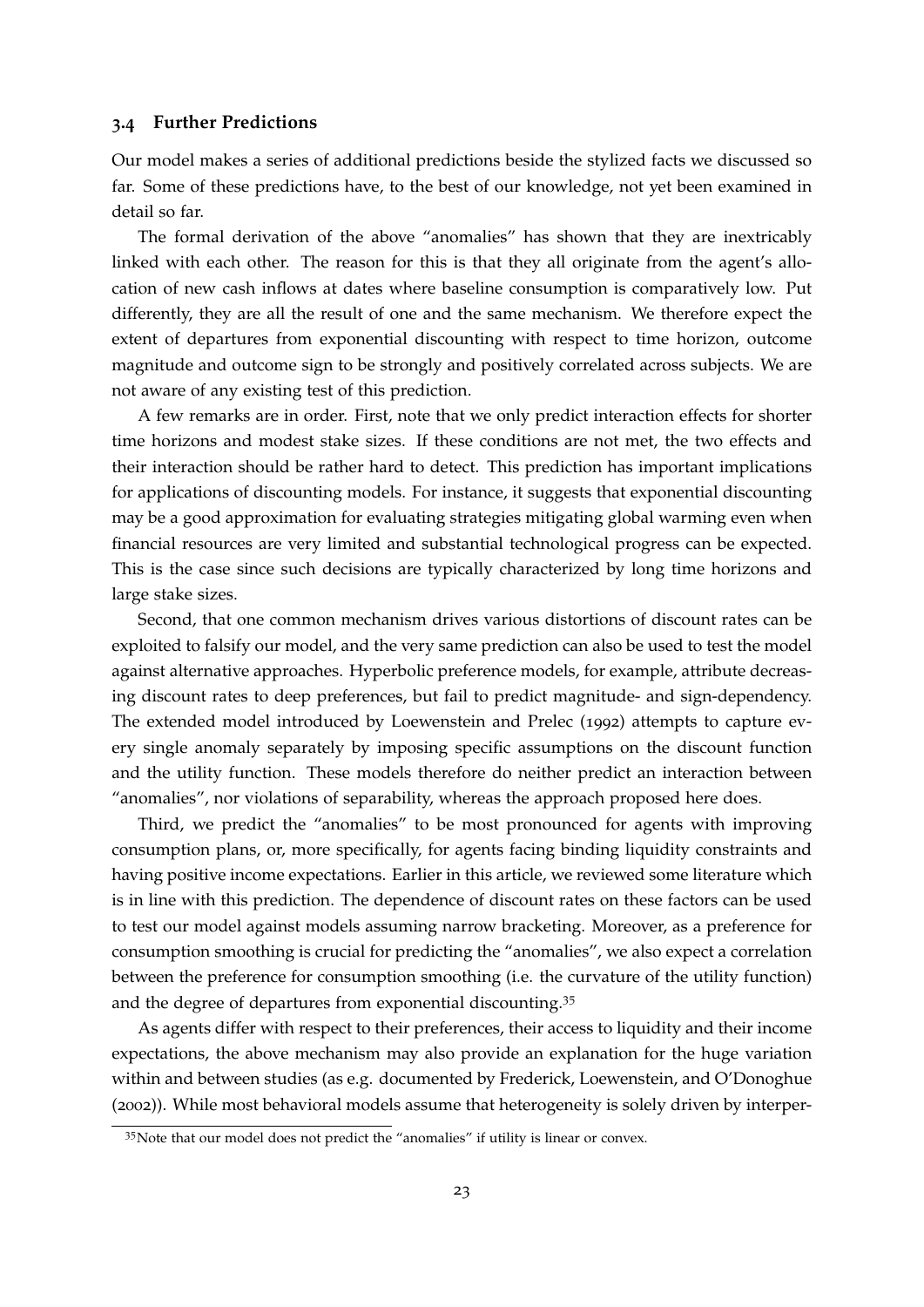#### <span id="page-23-1"></span>**3.4 Further Predictions**

Our model makes a series of additional predictions beside the stylized facts we discussed so far. Some of these predictions have, to the best of our knowledge, not yet been examined in detail so far.

The formal derivation of the above "anomalies" has shown that they are inextricably linked with each other. The reason for this is that they all originate from the agent's allocation of new cash inflows at dates where baseline consumption is comparatively low. Put differently, they are all the result of one and the same mechanism. We therefore expect the extent of departures from exponential discounting with respect to time horizon, outcome magnitude and outcome sign to be strongly and positively correlated across subjects. We are not aware of any existing test of this prediction.

A few remarks are in order. First, note that we only predict interaction effects for shorter time horizons and modest stake sizes. If these conditions are not met, the two effects and their interaction should be rather hard to detect. This prediction has important implications for applications of discounting models. For instance, it suggests that exponential discounting may be a good approximation for evaluating strategies mitigating global warming even when financial resources are very limited and substantial technological progress can be expected. This is the case since such decisions are typically characterized by long time horizons and large stake sizes.

Second, that one common mechanism drives various distortions of discount rates can be exploited to falsify our model, and the very same prediction can also be used to test the model against alternative approaches. Hyperbolic preference models, for example, attribute decreasing discount rates to deep preferences, but fail to predict magnitude- and sign-dependency. The extended model introduced by [Loewenstein and Prelec](#page-39-2) ([1992](#page-39-2)) attempts to capture every single anomaly separately by imposing specific assumptions on the discount function and the utility function. These models therefore do neither predict an interaction between "anomalies", nor violations of separability, whereas the approach proposed here does.

Third, we predict the "anomalies" to be most pronounced for agents with improving consumption plans, or, more specifically, for agents facing binding liquidity constraints and having positive income expectations. Earlier in this article, we reviewed some literature which is in line with this prediction. The dependence of discount rates on these factors can be used to test our model against models assuming narrow bracketing. Moreover, as a preference for consumption smoothing is crucial for predicting the "anomalies", we also expect a correlation between the preference for consumption smoothing (i.e. the curvature of the utility function) and the degree of departures from exponential discounting.[35](#page-23-0)

As agents differ with respect to their preferences, their access to liquidity and their income expectations, the above mechanism may also provide an explanation for the huge variation within and between studies (as e.g. documented by [Frederick, Loewenstein, and O'Donoghue](#page-37-0) ([2002](#page-37-0))). While most behavioral models assume that heterogeneity is solely driven by interper-

<span id="page-23-0"></span><sup>&</sup>lt;sup>35</sup>Note that our model does not predict the "anomalies" if utility is linear or convex.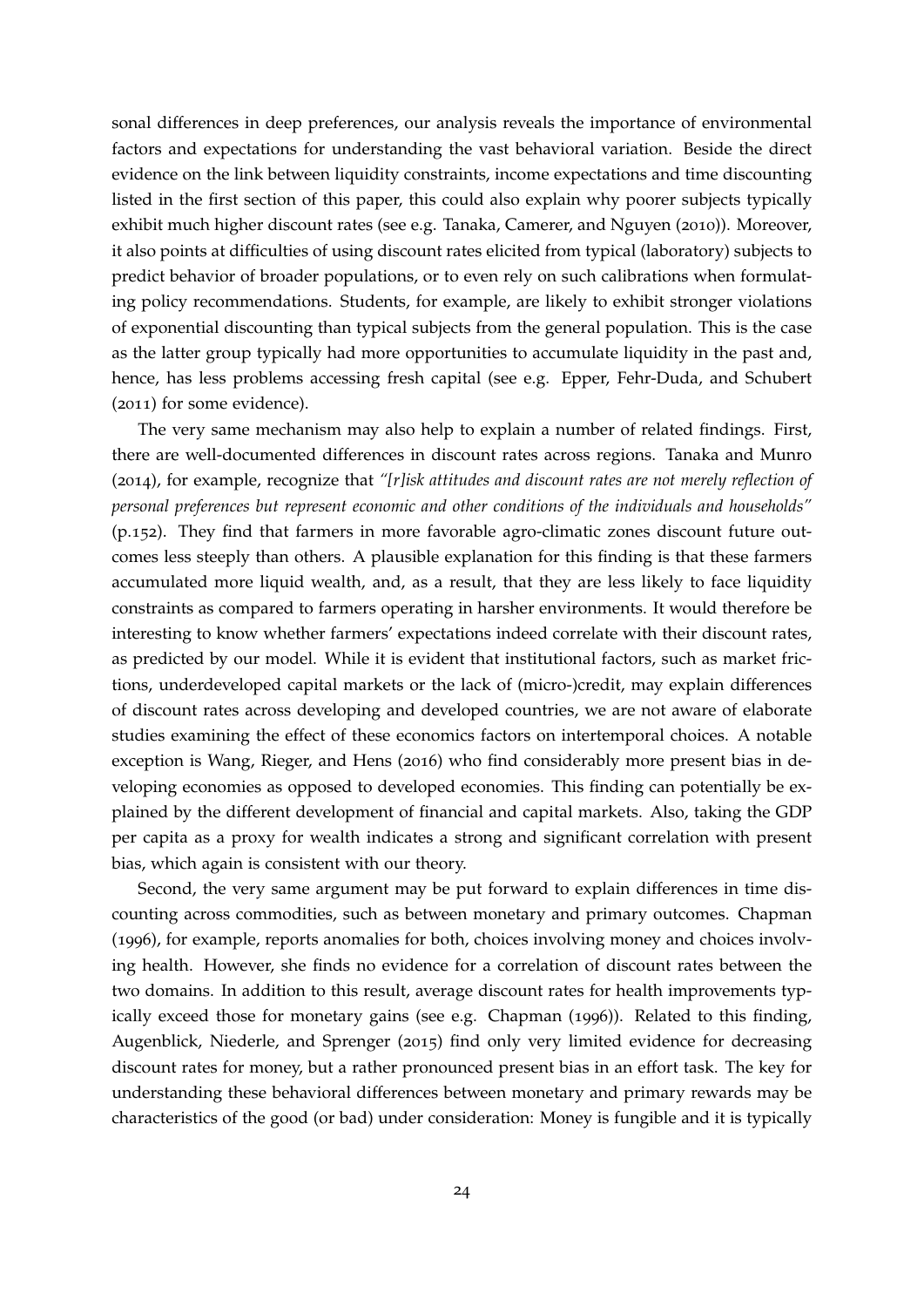sonal differences in deep preferences, our analysis reveals the importance of environmental factors and expectations for understanding the vast behavioral variation. Beside the direct evidence on the link between liquidity constraints, income expectations and time discounting listed in the first section of this paper, this could also explain why poorer subjects typically exhibit much higher discount rates (see e.g. [Tanaka, Camerer, and Nguyen](#page-41-12) ([2010](#page-41-12))). Moreover, it also points at difficulties of using discount rates elicited from typical (laboratory) subjects to predict behavior of broader populations, or to even rely on such calibrations when formulating policy recommendations. Students, for example, are likely to exhibit stronger violations of exponential discounting than typical subjects from the general population. This is the case as the latter group typically had more opportunities to accumulate liquidity in the past and, hence, has less problems accessing fresh capital (see e.g. [Epper, Fehr-Duda, and Schubert](#page-37-4) ([2011](#page-37-4)) for some evidence).

The very same mechanism may also help to explain a number of related findings. First, there are well-documented differences in discount rates across regions. [Tanaka and Munro](#page-41-1) ([2014](#page-41-1)), for example, recognize that *"[r]isk attitudes and discount rates are not merely reflection of personal preferences but represent economic and other conditions of the individuals and households"* (p.152). They find that farmers in more favorable agro-climatic zones discount future outcomes less steeply than others. A plausible explanation for this finding is that these farmers accumulated more liquid wealth, and, as a result, that they are less likely to face liquidity constraints as compared to farmers operating in harsher environments. It would therefore be interesting to know whether farmers' expectations indeed correlate with their discount rates, as predicted by our model. While it is evident that institutional factors, such as market frictions, underdeveloped capital markets or the lack of (micro-)credit, may explain differences of discount rates across developing and developed countries, we are not aware of elaborate studies examining the effect of these economics factors on intertemporal choices. A notable exception is [Wang, Rieger, and Hens](#page-41-13) ([2016](#page-41-13)) who find considerably more present bias in developing economies as opposed to developed economies. This finding can potentially be explained by the different development of financial and capital markets. Also, taking the GDP per capita as a proxy for wealth indicates a strong and significant correlation with present bias, which again is consistent with our theory.

Second, the very same argument may be put forward to explain differences in time discounting across commodities, such as between monetary and primary outcomes. [Chapman](#page-36-0) ([1996](#page-36-0)), for example, reports anomalies for both, choices involving money and choices involving health. However, she finds no evidence for a correlation of discount rates between the two domains. In addition to this result, average discount rates for health improvements typically exceed those for monetary gains (see e.g. [Chapman](#page-36-0) ([1996](#page-36-0))). Related to this finding, [Augenblick, Niederle, and Sprenger](#page-35-1) ([2015](#page-35-1)) find only very limited evidence for decreasing discount rates for money, but a rather pronounced present bias in an effort task. The key for understanding these behavioral differences between monetary and primary rewards may be characteristics of the good (or bad) under consideration: Money is fungible and it is typically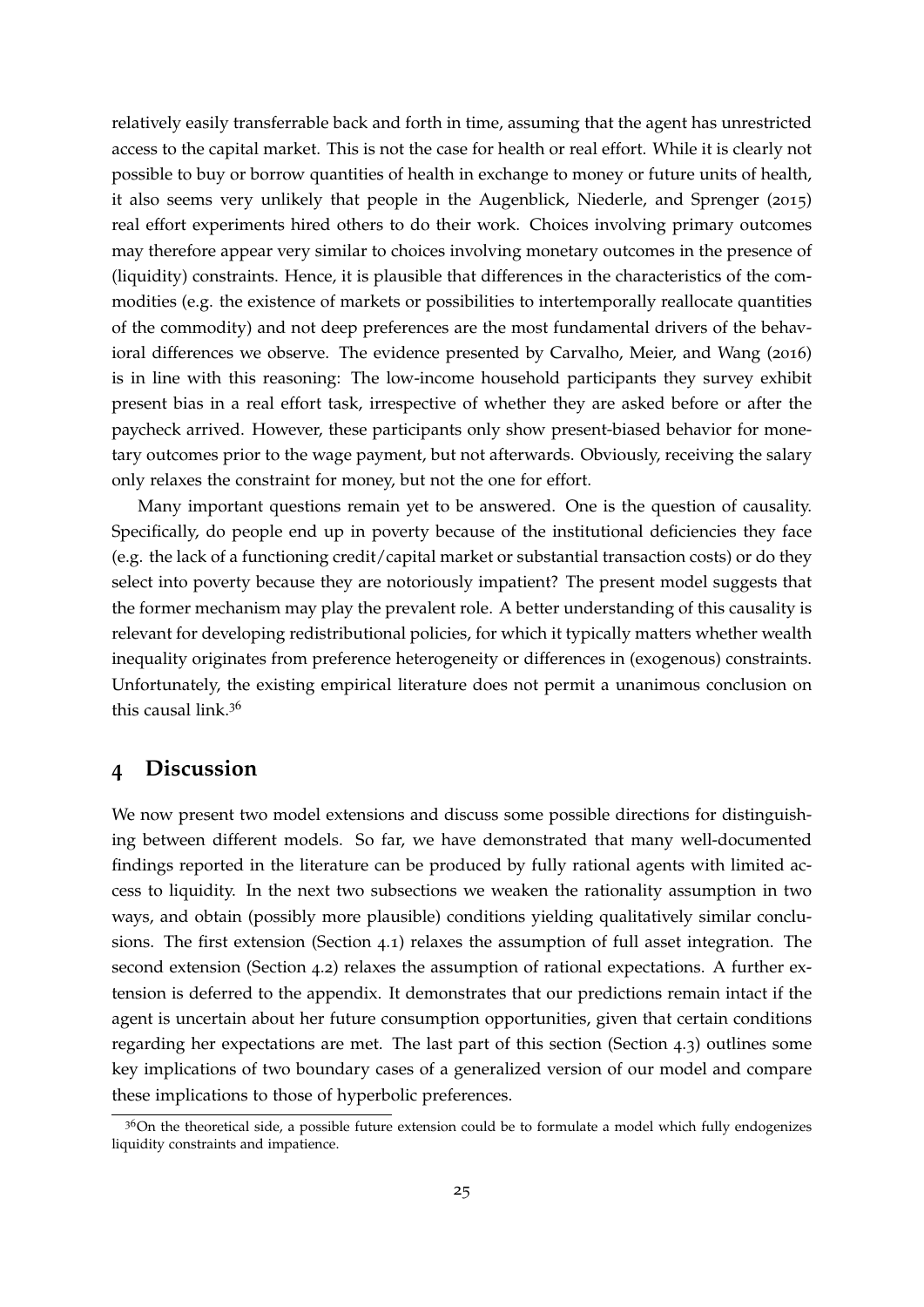relatively easily transferrable back and forth in time, assuming that the agent has unrestricted access to the capital market. This is not the case for health or real effort. While it is clearly not possible to buy or borrow quantities of health in exchange to money or future units of health, it also seems very unlikely that people in the [Augenblick, Niederle, and Sprenger](#page-35-1) ([2015](#page-35-1)) real effort experiments hired others to do their work. Choices involving primary outcomes may therefore appear very similar to choices involving monetary outcomes in the presence of (liquidity) constraints. Hence, it is plausible that differences in the characteristics of the commodities (e.g. the existence of markets or possibilities to intertemporally reallocate quantities of the commodity) and not deep preferences are the most fundamental drivers of the behavioral differences we observe. The evidence presented by [Carvalho, Meier, and Wang](#page-36-3) ([2016](#page-36-3)) is in line with this reasoning: The low-income household participants they survey exhibit present bias in a real effort task, irrespective of whether they are asked before or after the paycheck arrived. However, these participants only show present-biased behavior for monetary outcomes prior to the wage payment, but not afterwards. Obviously, receiving the salary only relaxes the constraint for money, but not the one for effort.

Many important questions remain yet to be answered. One is the question of causality. Specifically, do people end up in poverty because of the institutional deficiencies they face (e.g. the lack of a functioning credit/capital market or substantial transaction costs) or do they select into poverty because they are notoriously impatient? The present model suggests that the former mechanism may play the prevalent role. A better understanding of this causality is relevant for developing redistributional policies, for which it typically matters whether wealth inequality originates from preference heterogeneity or differences in (exogenous) constraints. Unfortunately, the existing empirical literature does not permit a unanimous conclusion on this causal link.[36](#page-25-1)

### <span id="page-25-0"></span>**4 Discussion**

We now present two model extensions and discuss some possible directions for distinguishing between different models. So far, we have demonstrated that many well-documented findings reported in the literature can be produced by fully rational agents with limited access to liquidity. In the next two subsections we weaken the rationality assumption in two ways, and obtain (possibly more plausible) conditions yielding qualitatively similar conclusions. The first extension (Section [4](#page-26-0).1) relaxes the assumption of full asset integration. The second extension (Section [4](#page-26-1).2) relaxes the assumption of rational expectations. A further extension is deferred to the appendix. It demonstrates that our predictions remain intact if the agent is uncertain about her future consumption opportunities, given that certain conditions regarding her expectations are met. The last part of this section (Section [4](#page-28-0).3) outlines some key implications of two boundary cases of a generalized version of our model and compare these implications to those of hyperbolic preferences.

<span id="page-25-1"></span> $36$ On the theoretical side, a possible future extension could be to formulate a model which fully endogenizes liquidity constraints and impatience.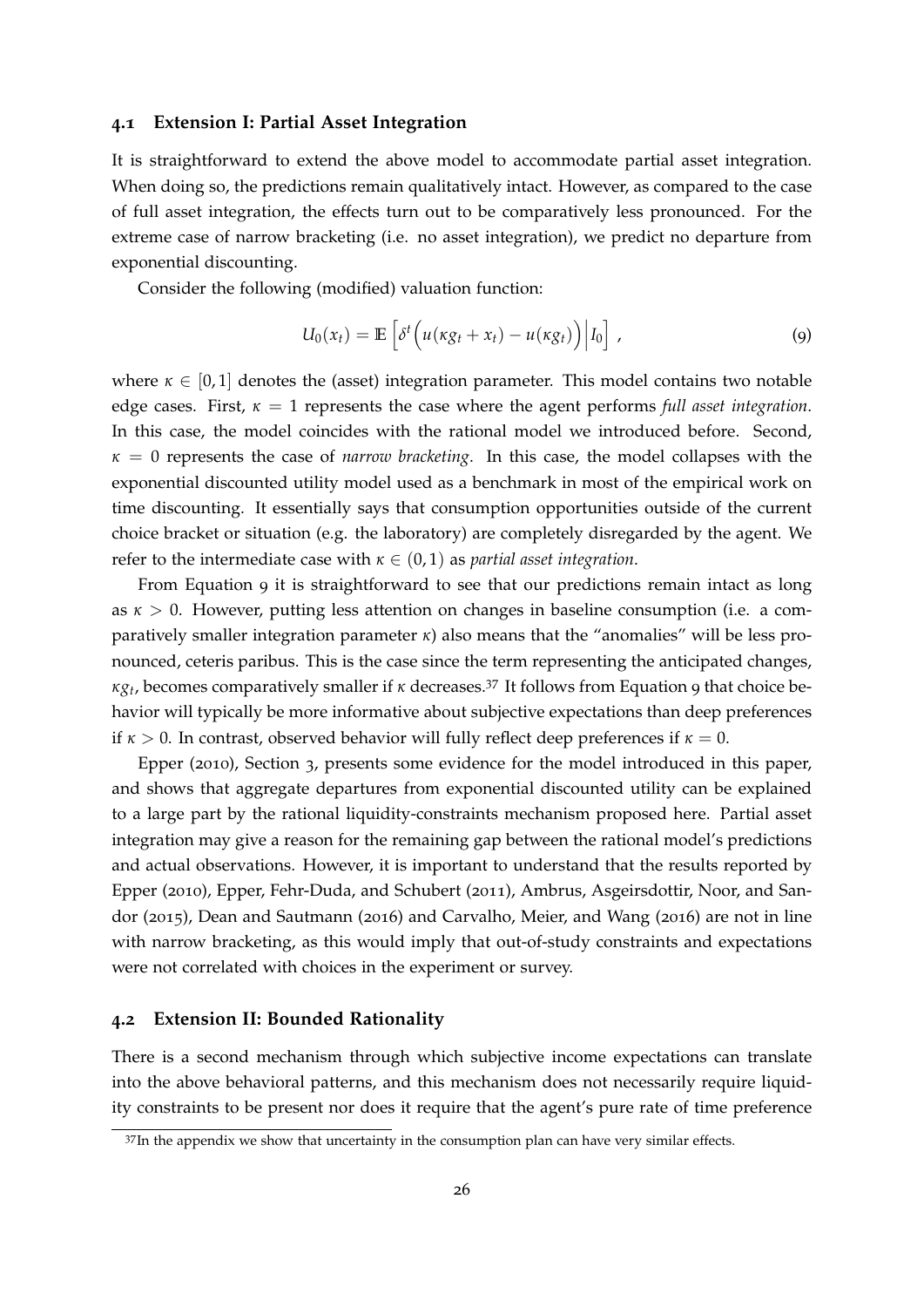#### <span id="page-26-0"></span>**4.1 Extension I: Partial Asset Integration**

It is straightforward to extend the above model to accommodate partial asset integration. When doing so, the predictions remain qualitatively intact. However, as compared to the case of full asset integration, the effects turn out to be comparatively less pronounced. For the extreme case of narrow bracketing (i.e. no asset integration), we predict no departure from exponential discounting.

Consider the following (modified) valuation function:

<span id="page-26-2"></span>
$$
U_0(x_t) = \mathbb{E}\left[\delta^t \left(u(\kappa g_t + x_t) - u(\kappa g_t)\right) \Big| I_0\right], \tag{9}
$$

where  $\kappa \in [0,1]$  denotes the (asset) integration parameter. This model contains two notable edge cases. First,  $\kappa = 1$  represents the case where the agent performs *full asset integration*. In this case, the model coincides with the rational model we introduced before. Second, *κ* = 0 represents the case of *narrow bracketing*. In this case, the model collapses with the exponential discounted utility model used as a benchmark in most of the empirical work on time discounting. It essentially says that consumption opportunities outside of the current choice bracket or situation (e.g. the laboratory) are completely disregarded by the agent. We refer to the intermediate case with  $\kappa \in (0,1)$  as *partial asset integration*.

From Equation [9](#page-26-2) it is straightforward to see that our predictions remain intact as long as *κ* > 0. However, putting less attention on changes in baseline consumption (i.e. a comparatively smaller integration parameter *κ*) also means that the "anomalies" will be less pronounced, ceteris paribus. This is the case since the term representing the anticipated changes, *κg<sup>t</sup>* , becomes comparatively smaller if *<sup>κ</sup>* decreases.[37](#page-26-3) It follows from Equation [9](#page-26-2) that choice behavior will typically be more informative about subjective expectations than deep preferences if  $\kappa > 0$ . In contrast, observed behavior will fully reflect deep preferences if  $\kappa = 0$ .

[Epper](#page-36-2) ([2010](#page-36-2)), Section 3, presents some evidence for the model introduced in this paper, and shows that aggregate departures from exponential discounted utility can be explained to a large part by the rational liquidity-constraints mechanism proposed here. Partial asset integration may give a reason for the remaining gap between the rational model's predictions and actual observations. However, it is important to understand that the results reported by [Epper](#page-36-2) ([2010](#page-36-2)), [Epper, Fehr-Duda, and Schubert](#page-37-4) ([2011](#page-37-4)), [Ambrus, Asgeirsdottir, Noor, and San](#page-35-9)[dor](#page-35-9) ([2015](#page-35-9)), [Dean and Sautmann](#page-36-1) ([2016](#page-36-1)) and [Carvalho, Meier, and Wang](#page-36-3) ([2016](#page-36-3)) are not in line with narrow bracketing, as this would imply that out-of-study constraints and expectations were not correlated with choices in the experiment or survey.

#### <span id="page-26-1"></span>**4.2 Extension II: Bounded Rationality**

There is a second mechanism through which subjective income expectations can translate into the above behavioral patterns, and this mechanism does not necessarily require liquidity constraints to be present nor does it require that the agent's pure rate of time preference

<span id="page-26-3"></span> $37$ In the appendix we show that uncertainty in the consumption plan can have very similar effects.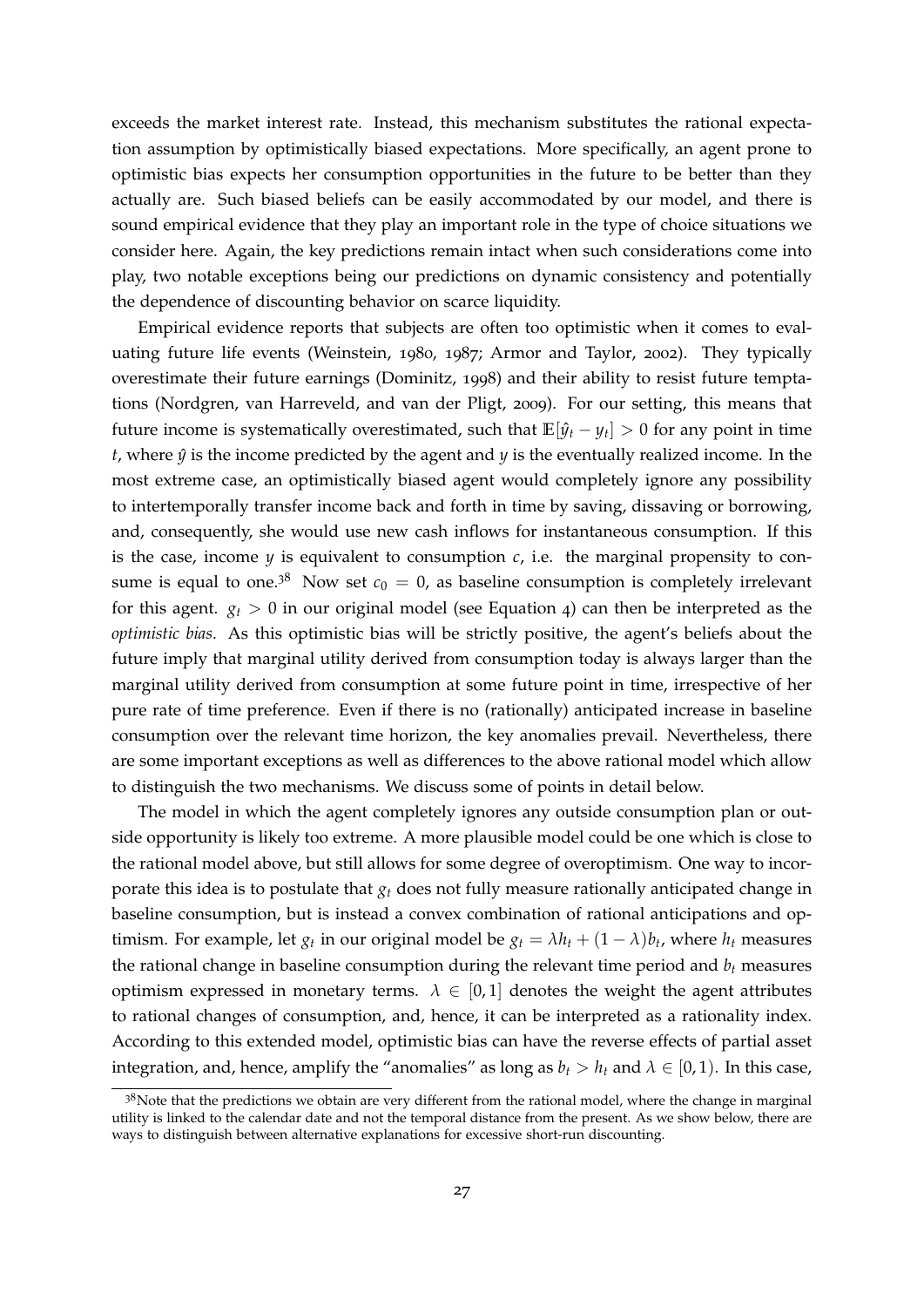exceeds the market interest rate. Instead, this mechanism substitutes the rational expectation assumption by optimistically biased expectations. More specifically, an agent prone to optimistic bias expects her consumption opportunities in the future to be better than they actually are. Such biased beliefs can be easily accommodated by our model, and there is sound empirical evidence that they play an important role in the type of choice situations we consider here. Again, the key predictions remain intact when such considerations come into play, two notable exceptions being our predictions on dynamic consistency and potentially the dependence of discounting behavior on scarce liquidity.

Empirical evidence reports that subjects are often too optimistic when it comes to evaluating future life events [\(Weinstein,](#page-41-2) [1980](#page-41-2), [1987](#page-41-3); [Armor and Taylor,](#page-35-8) [2002](#page-35-8)). They typically overestimate their future earnings [\(Dominitz,](#page-36-6) [1998](#page-36-6)) and their ability to resist future temptations [\(Nordgren, van Harreveld, and van der Pligt,](#page-39-4) [2009](#page-39-4)). For our setting, this means that future income is systematically overestimated, such that  $\mathbb{E}[\hat{y}_t - y_t] > 0$  for any point in time  $t$ , where  $\hat{y}$  is the income predicted by the agent and  $y$  is the eventually realized income. In the most extreme case, an optimistically biased agent would completely ignore any possibility to intertemporally transfer income back and forth in time by saving, dissaving or borrowing, and, consequently, she would use new cash inflows for instantaneous consumption. If this is the case, income  $y$  is equivalent to consumption  $c$ , i.e. the marginal propensity to con-sume is equal to one.<sup>[38](#page-27-0)</sup> Now set  $c_0 = 0$ , as baseline consumption is completely irrelevant for this agent.  $g_t > 0$  in our original model (see Equation [4](#page-10-4)) can then be interpreted as the *optimistic bias*. As this optimistic bias will be strictly positive, the agent's beliefs about the future imply that marginal utility derived from consumption today is always larger than the marginal utility derived from consumption at some future point in time, irrespective of her pure rate of time preference. Even if there is no (rationally) anticipated increase in baseline consumption over the relevant time horizon, the key anomalies prevail. Nevertheless, there are some important exceptions as well as differences to the above rational model which allow to distinguish the two mechanisms. We discuss some of points in detail below.

The model in which the agent completely ignores any outside consumption plan or outside opportunity is likely too extreme. A more plausible model could be one which is close to the rational model above, but still allows for some degree of overoptimism. One way to incorporate this idea is to postulate that *g<sup>t</sup>* does not fully measure rationally anticipated change in baseline consumption, but is instead a convex combination of rational anticipations and optimism. For example, let  $g_t$  in our original model be  $g_t = \lambda h_t + (1 - \lambda) b_t$ , where  $h_t$  measures the rational change in baseline consumption during the relevant time period and  $b<sub>t</sub>$  measures optimism expressed in monetary terms.  $\lambda \in [0,1]$  denotes the weight the agent attributes to rational changes of consumption, and, hence, it can be interpreted as a rationality index. According to this extended model, optimistic bias can have the reverse effects of partial asset integration, and, hence, amplify the "anomalies" as long as  $b_t > h_t$  and  $\lambda \in [0, 1)$ . In this case,

<span id="page-27-0"></span> $3<sup>8</sup>$ Note that the predictions we obtain are very different from the rational model, where the change in marginal utility is linked to the calendar date and not the temporal distance from the present. As we show below, there are ways to distinguish between alternative explanations for excessive short-run discounting.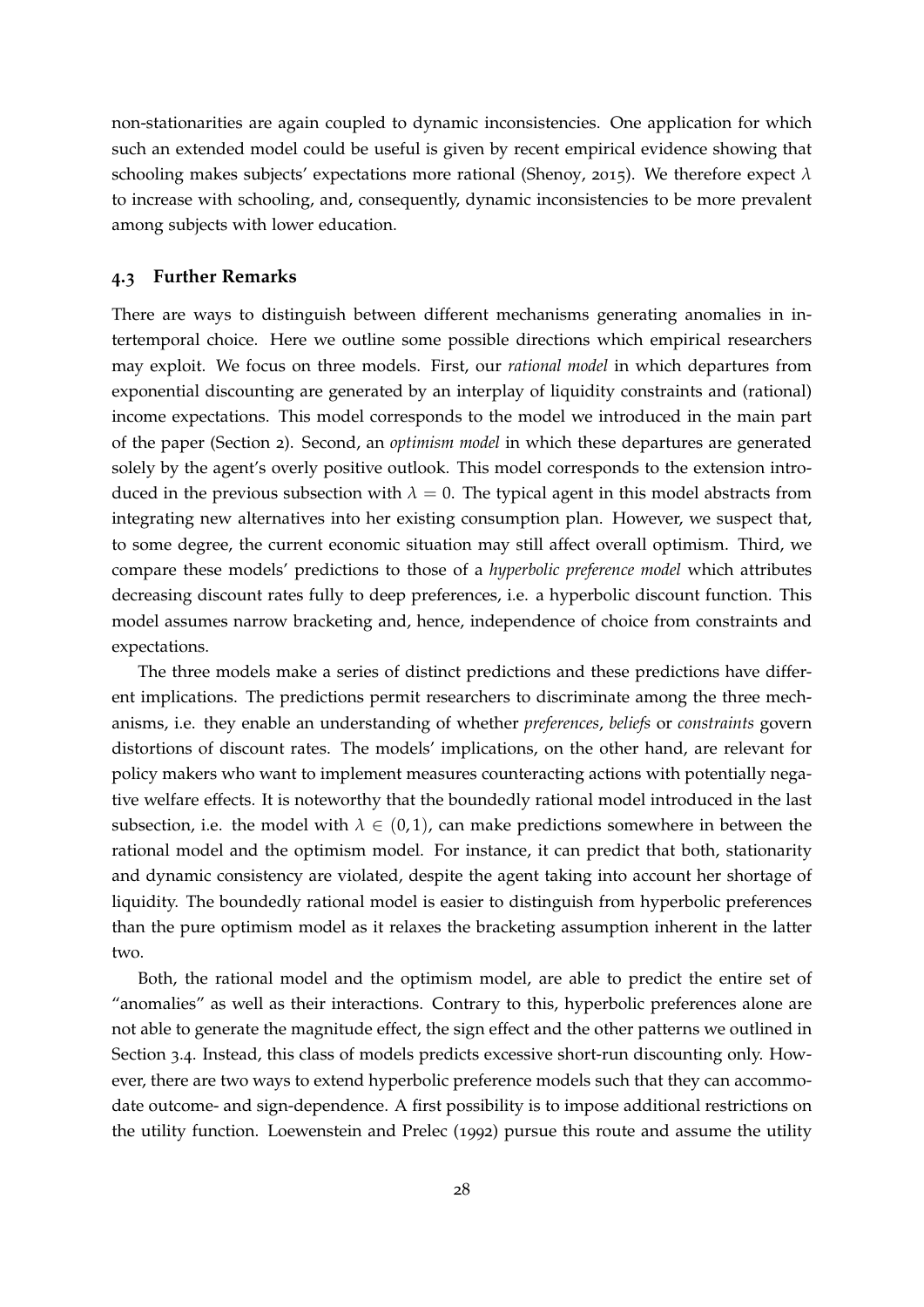non-stationarities are again coupled to dynamic inconsistencies. One application for which such an extended model could be useful is given by recent empirical evidence showing that schooling makes subjects' expectations more rational [\(Shenoy,](#page-41-14) [2015](#page-41-14)). We therefore expect *λ* to increase with schooling, and, consequently, dynamic inconsistencies to be more prevalent among subjects with lower education.

#### <span id="page-28-0"></span>**4.3 Further Remarks**

There are ways to distinguish between different mechanisms generating anomalies in intertemporal choice. Here we outline some possible directions which empirical researchers may exploit. We focus on three models. First, our *rational model* in which departures from exponential discounting are generated by an interplay of liquidity constraints and (rational) income expectations. This model corresponds to the model we introduced in the main part of the paper (Section [2](#page-7-0)). Second, an *optimism model* in which these departures are generated solely by the agent's overly positive outlook. This model corresponds to the extension introduced in the previous subsection with  $\lambda = 0$ . The typical agent in this model abstracts from integrating new alternatives into her existing consumption plan. However, we suspect that, to some degree, the current economic situation may still affect overall optimism. Third, we compare these models' predictions to those of a *hyperbolic preference model* which attributes decreasing discount rates fully to deep preferences, i.e. a hyperbolic discount function. This model assumes narrow bracketing and, hence, independence of choice from constraints and expectations.

The three models make a series of distinct predictions and these predictions have different implications. The predictions permit researchers to discriminate among the three mechanisms, i.e. they enable an understanding of whether *preferences*, *beliefs* or *constraints* govern distortions of discount rates. The models' implications, on the other hand, are relevant for policy makers who want to implement measures counteracting actions with potentially negative welfare effects. It is noteworthy that the boundedly rational model introduced in the last subsection, i.e. the model with  $\lambda \in (0,1)$ , can make predictions somewhere in between the rational model and the optimism model. For instance, it can predict that both, stationarity and dynamic consistency are violated, despite the agent taking into account her shortage of liquidity. The boundedly rational model is easier to distinguish from hyperbolic preferences than the pure optimism model as it relaxes the bracketing assumption inherent in the latter two.

Both, the rational model and the optimism model, are able to predict the entire set of "anomalies" as well as their interactions. Contrary to this, hyperbolic preferences alone are not able to generate the magnitude effect, the sign effect and the other patterns we outlined in Section [3](#page-23-1).4. Instead, this class of models predicts excessive short-run discounting only. However, there are two ways to extend hyperbolic preference models such that they can accommodate outcome- and sign-dependence. A first possibility is to impose additional restrictions on the utility function. [Loewenstein and Prelec](#page-39-2) ([1992](#page-39-2)) pursue this route and assume the utility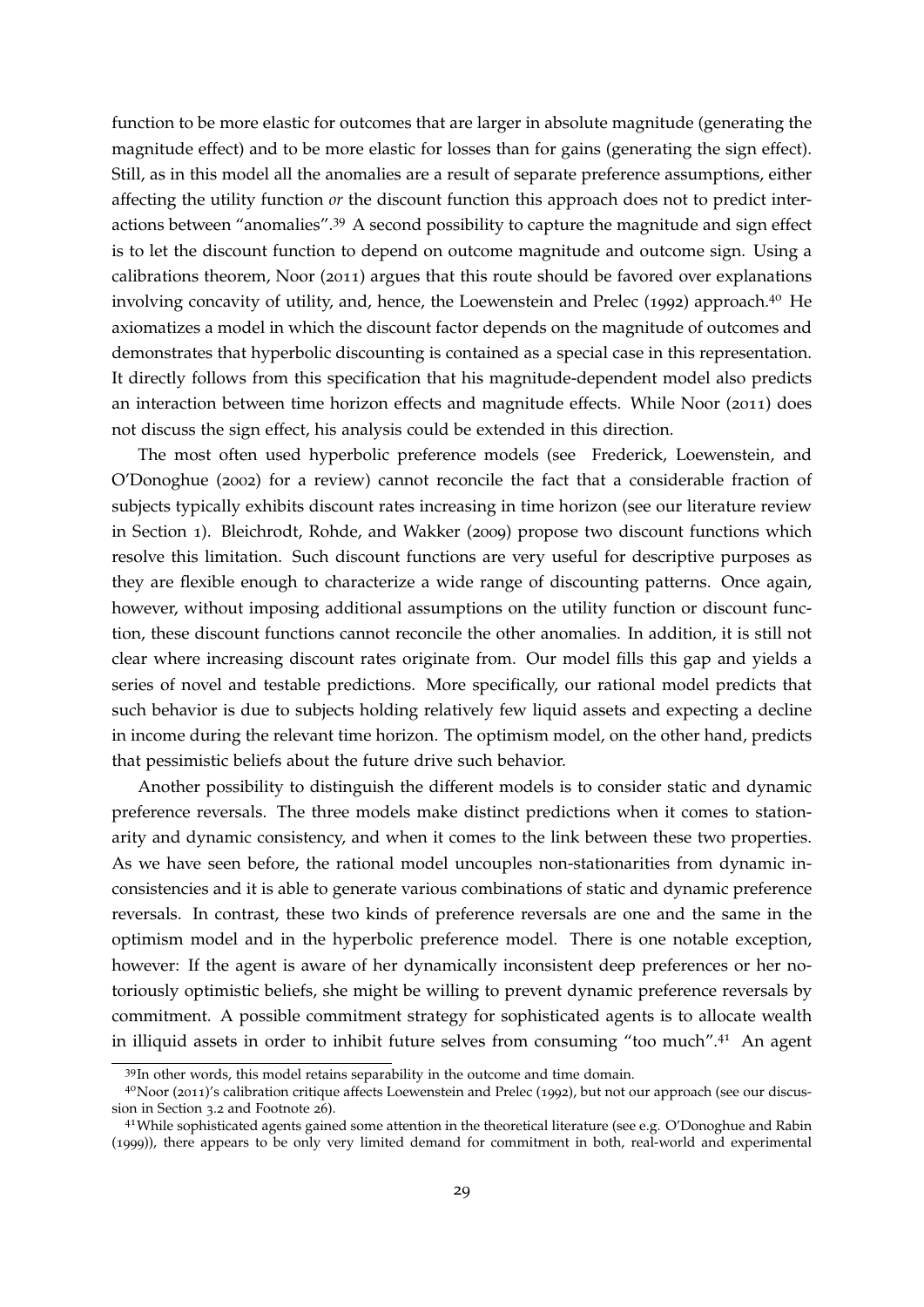function to be more elastic for outcomes that are larger in absolute magnitude (generating the magnitude effect) and to be more elastic for losses than for gains (generating the sign effect). Still, as in this model all the anomalies are a result of separate preference assumptions, either affecting the utility function *or* the discount function this approach does not to predict interactions between "anomalies".[39](#page-29-0) A second possibility to capture the magnitude and sign effect is to let the discount function to depend on outcome magnitude and outcome sign. Using a calibrations theorem, [Noor](#page-39-9) ([2011](#page-39-9)) argues that this route should be favored over explanations involving concavity of utility, and, hence, the [Loewenstein and Prelec](#page-39-2) ([1992](#page-39-2)) approach.<sup>[40](#page-29-1)</sup> He axiomatizes a model in which the discount factor depends on the magnitude of outcomes and demonstrates that hyperbolic discounting is contained as a special case in this representation. It directly follows from this specification that his magnitude-dependent model also predicts an interaction between time horizon effects and magnitude effects. While [Noor](#page-39-9) ([2011](#page-39-9)) does not discuss the sign effect, his analysis could be extended in this direction.

The most often used hyperbolic preference models (see [Frederick, Loewenstein, and](#page-37-0) [O'Donoghue](#page-37-0) ([2002](#page-37-0)) for a review) cannot reconcile the fact that a considerable fraction of subjects typically exhibits discount rates increasing in time horizon (see our literature review in Section [1](#page-1-0)). [Bleichrodt, Rohde, and Wakker](#page-36-12) ([2009](#page-36-12)) propose two discount functions which resolve this limitation. Such discount functions are very useful for descriptive purposes as they are flexible enough to characterize a wide range of discounting patterns. Once again, however, without imposing additional assumptions on the utility function or discount function, these discount functions cannot reconcile the other anomalies. In addition, it is still not clear where increasing discount rates originate from. Our model fills this gap and yields a series of novel and testable predictions. More specifically, our rational model predicts that such behavior is due to subjects holding relatively few liquid assets and expecting a decline in income during the relevant time horizon. The optimism model, on the other hand, predicts that pessimistic beliefs about the future drive such behavior.

Another possibility to distinguish the different models is to consider static and dynamic preference reversals. The three models make distinct predictions when it comes to stationarity and dynamic consistency, and when it comes to the link between these two properties. As we have seen before, the rational model uncouples non-stationarities from dynamic inconsistencies and it is able to generate various combinations of static and dynamic preference reversals. In contrast, these two kinds of preference reversals are one and the same in the optimism model and in the hyperbolic preference model. There is one notable exception, however: If the agent is aware of her dynamically inconsistent deep preferences or her notoriously optimistic beliefs, she might be willing to prevent dynamic preference reversals by commitment. A possible commitment strategy for sophisticated agents is to allocate wealth in illiquid assets in order to inhibit future selves from consuming "too much".[41](#page-29-2) An agent

<span id="page-29-1"></span><span id="page-29-0"></span><sup>39</sup>In other words, this model retains separability in the outcome and time domain.

<sup>40</sup>[Noor](#page-39-9) ([2011](#page-39-9))'s calibration critique affects [Loewenstein and Prelec](#page-39-2) ([1992](#page-39-2)), but not our approach (see our discussion in Section [3](#page-19-2).2 and Footnote [26](#page-14-1)).

<span id="page-29-2"></span><sup>41</sup>While sophisticated agents gained some attention in the theoretical literature (see e.g. [O'Donoghue and Rabin](#page-39-14) ([1999](#page-39-14))), there appears to be only very limited demand for commitment in both, real-world and experimental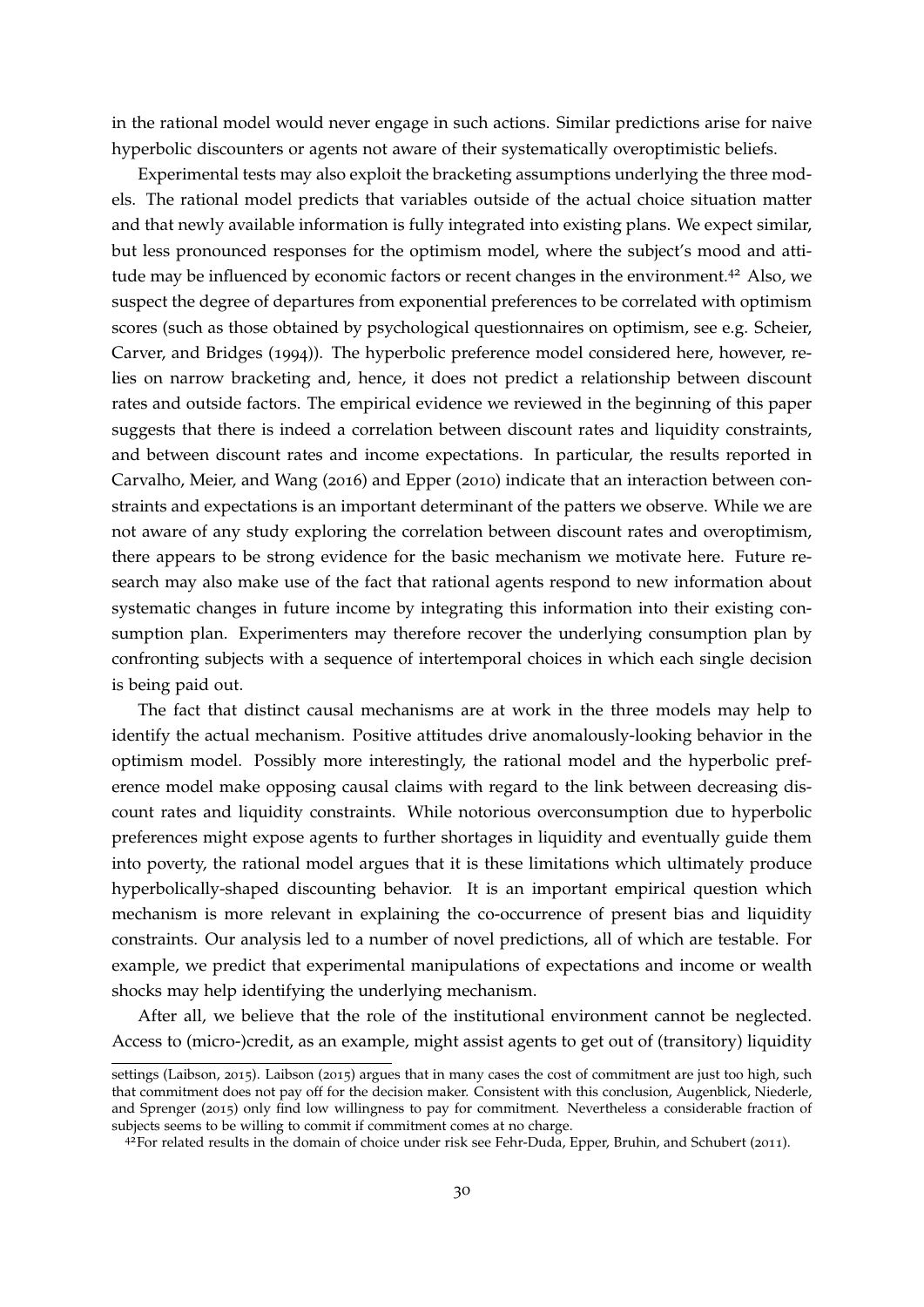in the rational model would never engage in such actions. Similar predictions arise for naive hyperbolic discounters or agents not aware of their systematically overoptimistic beliefs.

Experimental tests may also exploit the bracketing assumptions underlying the three models. The rational model predicts that variables outside of the actual choice situation matter and that newly available information is fully integrated into existing plans. We expect similar, but less pronounced responses for the optimism model, where the subject's mood and atti-tude may be influenced by economic factors or recent changes in the environment.<sup>[42](#page-30-0)</sup> Also, we suspect the degree of departures from exponential preferences to be correlated with optimism scores (such as those obtained by psychological questionnaires on optimism, see e.g. [Scheier,](#page-40-13) [Carver, and Bridges](#page-40-13) ([1994](#page-40-13))). The hyperbolic preference model considered here, however, relies on narrow bracketing and, hence, it does not predict a relationship between discount rates and outside factors. The empirical evidence we reviewed in the beginning of this paper suggests that there is indeed a correlation between discount rates and liquidity constraints, and between discount rates and income expectations. In particular, the results reported in [Carvalho, Meier, and Wang](#page-36-3) ([2016](#page-36-3)) and [Epper](#page-36-2) ([2010](#page-36-2)) indicate that an interaction between constraints and expectations is an important determinant of the patters we observe. While we are not aware of any study exploring the correlation between discount rates and overoptimism, there appears to be strong evidence for the basic mechanism we motivate here. Future research may also make use of the fact that rational agents respond to new information about systematic changes in future income by integrating this information into their existing consumption plan. Experimenters may therefore recover the underlying consumption plan by confronting subjects with a sequence of intertemporal choices in which each single decision is being paid out.

The fact that distinct causal mechanisms are at work in the three models may help to identify the actual mechanism. Positive attitudes drive anomalously-looking behavior in the optimism model. Possibly more interestingly, the rational model and the hyperbolic preference model make opposing causal claims with regard to the link between decreasing discount rates and liquidity constraints. While notorious overconsumption due to hyperbolic preferences might expose agents to further shortages in liquidity and eventually guide them into poverty, the rational model argues that it is these limitations which ultimately produce hyperbolically-shaped discounting behavior. It is an important empirical question which mechanism is more relevant in explaining the co-occurrence of present bias and liquidity constraints. Our analysis led to a number of novel predictions, all of which are testable. For example, we predict that experimental manipulations of expectations and income or wealth shocks may help identifying the underlying mechanism.

After all, we believe that the role of the institutional environment cannot be neglected. Access to (micro-)credit, as an example, might assist agents to get out of (transitory) liquidity

settings [\(Laibson,](#page-38-13) [2015](#page-38-13)). [Laibson](#page-38-13) ([2015](#page-38-13)) argues that in many cases the cost of commitment are just too high, such that commitment does not pay off for the decision maker. Consistent with this conclusion, [Augenblick, Niederle,](#page-35-1) [and Sprenger](#page-35-1) ([2015](#page-35-1)) only find low willingness to pay for commitment. Nevertheless a considerable fraction of subjects seems to be willing to commit if commitment comes at no charge.

<span id="page-30-0"></span> $42$ For related results in the domain of choice under risk see [Fehr-Duda, Epper, Bruhin, and Schubert](#page-37-14) ([2011](#page-37-14)).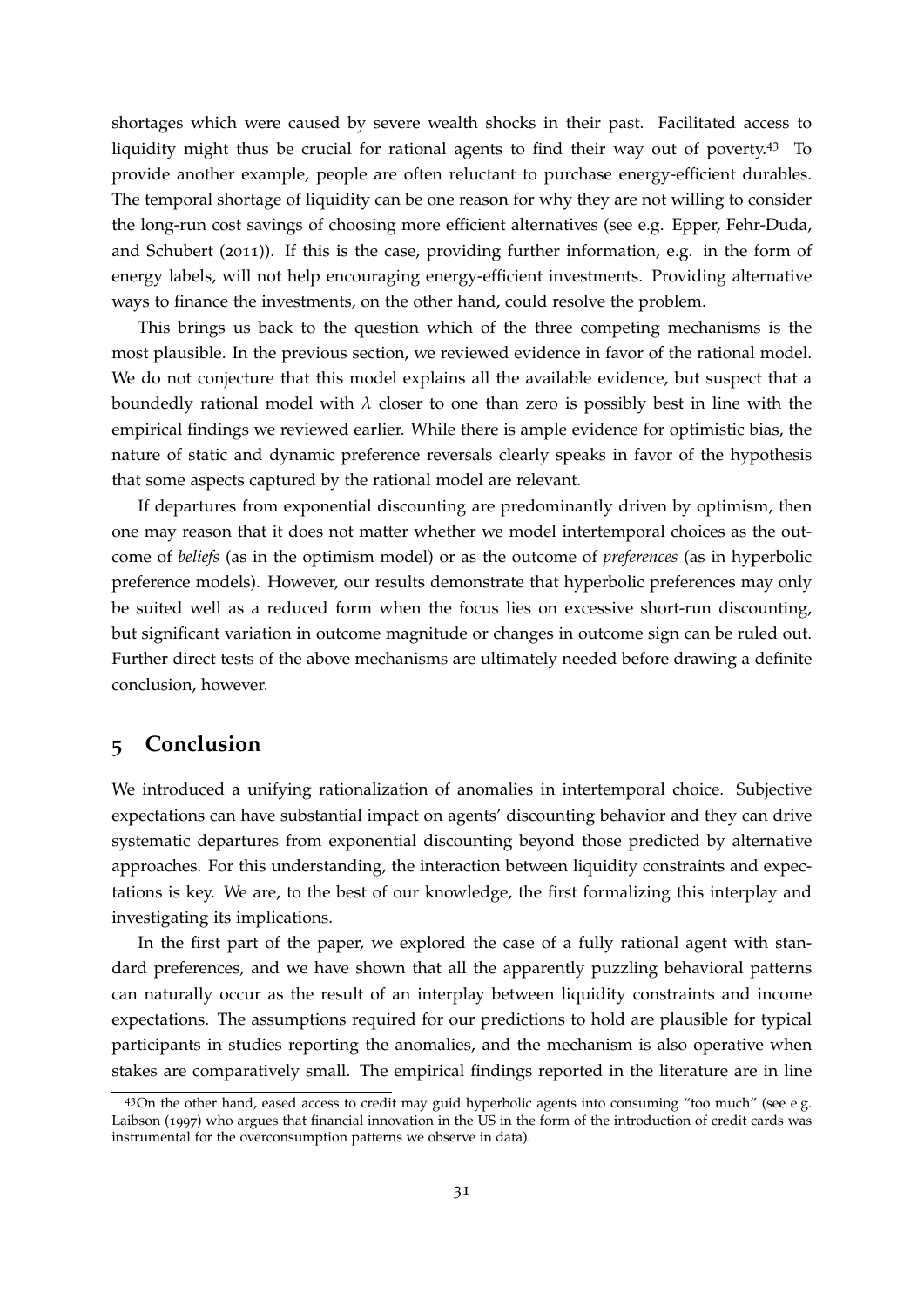shortages which were caused by severe wealth shocks in their past. Facilitated access to liquidity might thus be crucial for rational agents to find their way out of poverty.<sup>[43](#page-31-1)</sup> To provide another example, people are often reluctant to purchase energy-efficient durables. The temporal shortage of liquidity can be one reason for why they are not willing to consider the long-run cost savings of choosing more efficient alternatives (see e.g. [Epper, Fehr-Duda,](#page-37-4) [and Schubert](#page-37-4) ([2011](#page-37-4))). If this is the case, providing further information, e.g. in the form of energy labels, will not help encouraging energy-efficient investments. Providing alternative ways to finance the investments, on the other hand, could resolve the problem.

This brings us back to the question which of the three competing mechanisms is the most plausible. In the previous section, we reviewed evidence in favor of the rational model. We do not conjecture that this model explains all the available evidence, but suspect that a boundedly rational model with  $\lambda$  closer to one than zero is possibly best in line with the empirical findings we reviewed earlier. While there is ample evidence for optimistic bias, the nature of static and dynamic preference reversals clearly speaks in favor of the hypothesis that some aspects captured by the rational model are relevant.

If departures from exponential discounting are predominantly driven by optimism, then one may reason that it does not matter whether we model intertemporal choices as the outcome of *beliefs* (as in the optimism model) or as the outcome of *preferences* (as in hyperbolic preference models). However, our results demonstrate that hyperbolic preferences may only be suited well as a reduced form when the focus lies on excessive short-run discounting, but significant variation in outcome magnitude or changes in outcome sign can be ruled out. Further direct tests of the above mechanisms are ultimately needed before drawing a definite conclusion, however.

### <span id="page-31-0"></span>**5 Conclusion**

We introduced a unifying rationalization of anomalies in intertemporal choice. Subjective expectations can have substantial impact on agents' discounting behavior and they can drive systematic departures from exponential discounting beyond those predicted by alternative approaches. For this understanding, the interaction between liquidity constraints and expectations is key. We are, to the best of our knowledge, the first formalizing this interplay and investigating its implications.

In the first part of the paper, we explored the case of a fully rational agent with standard preferences, and we have shown that all the apparently puzzling behavioral patterns can naturally occur as the result of an interplay between liquidity constraints and income expectations. The assumptions required for our predictions to hold are plausible for typical participants in studies reporting the anomalies, and the mechanism is also operative when stakes are comparatively small. The empirical findings reported in the literature are in line

<span id="page-31-1"></span><sup>43</sup>On the other hand, eased access to credit may guid hyperbolic agents into consuming "too much" (see e.g. [Laibson](#page-38-1) ([1997](#page-38-1)) who argues that financial innovation in the US in the form of the introduction of credit cards was instrumental for the overconsumption patterns we observe in data).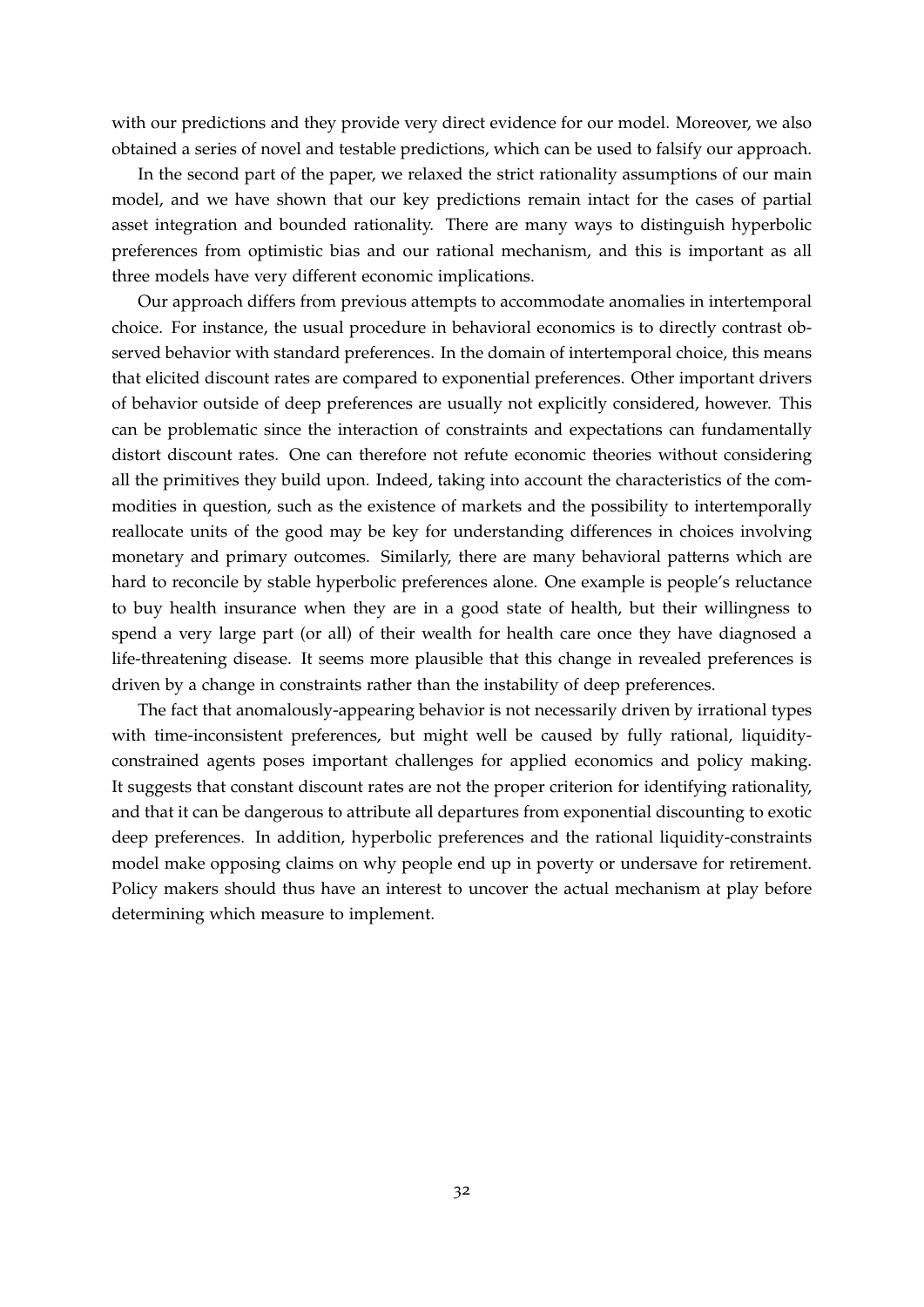with our predictions and they provide very direct evidence for our model. Moreover, we also obtained a series of novel and testable predictions, which can be used to falsify our approach.

In the second part of the paper, we relaxed the strict rationality assumptions of our main model, and we have shown that our key predictions remain intact for the cases of partial asset integration and bounded rationality. There are many ways to distinguish hyperbolic preferences from optimistic bias and our rational mechanism, and this is important as all three models have very different economic implications.

Our approach differs from previous attempts to accommodate anomalies in intertemporal choice. For instance, the usual procedure in behavioral economics is to directly contrast observed behavior with standard preferences. In the domain of intertemporal choice, this means that elicited discount rates are compared to exponential preferences. Other important drivers of behavior outside of deep preferences are usually not explicitly considered, however. This can be problematic since the interaction of constraints and expectations can fundamentally distort discount rates. One can therefore not refute economic theories without considering all the primitives they build upon. Indeed, taking into account the characteristics of the commodities in question, such as the existence of markets and the possibility to intertemporally reallocate units of the good may be key for understanding differences in choices involving monetary and primary outcomes. Similarly, there are many behavioral patterns which are hard to reconcile by stable hyperbolic preferences alone. One example is people's reluctance to buy health insurance when they are in a good state of health, but their willingness to spend a very large part (or all) of their wealth for health care once they have diagnosed a life-threatening disease. It seems more plausible that this change in revealed preferences is driven by a change in constraints rather than the instability of deep preferences.

The fact that anomalously-appearing behavior is not necessarily driven by irrational types with time-inconsistent preferences, but might well be caused by fully rational, liquidityconstrained agents poses important challenges for applied economics and policy making. It suggests that constant discount rates are not the proper criterion for identifying rationality, and that it can be dangerous to attribute all departures from exponential discounting to exotic deep preferences. In addition, hyperbolic preferences and the rational liquidity-constraints model make opposing claims on why people end up in poverty or undersave for retirement. Policy makers should thus have an interest to uncover the actual mechanism at play before determining which measure to implement.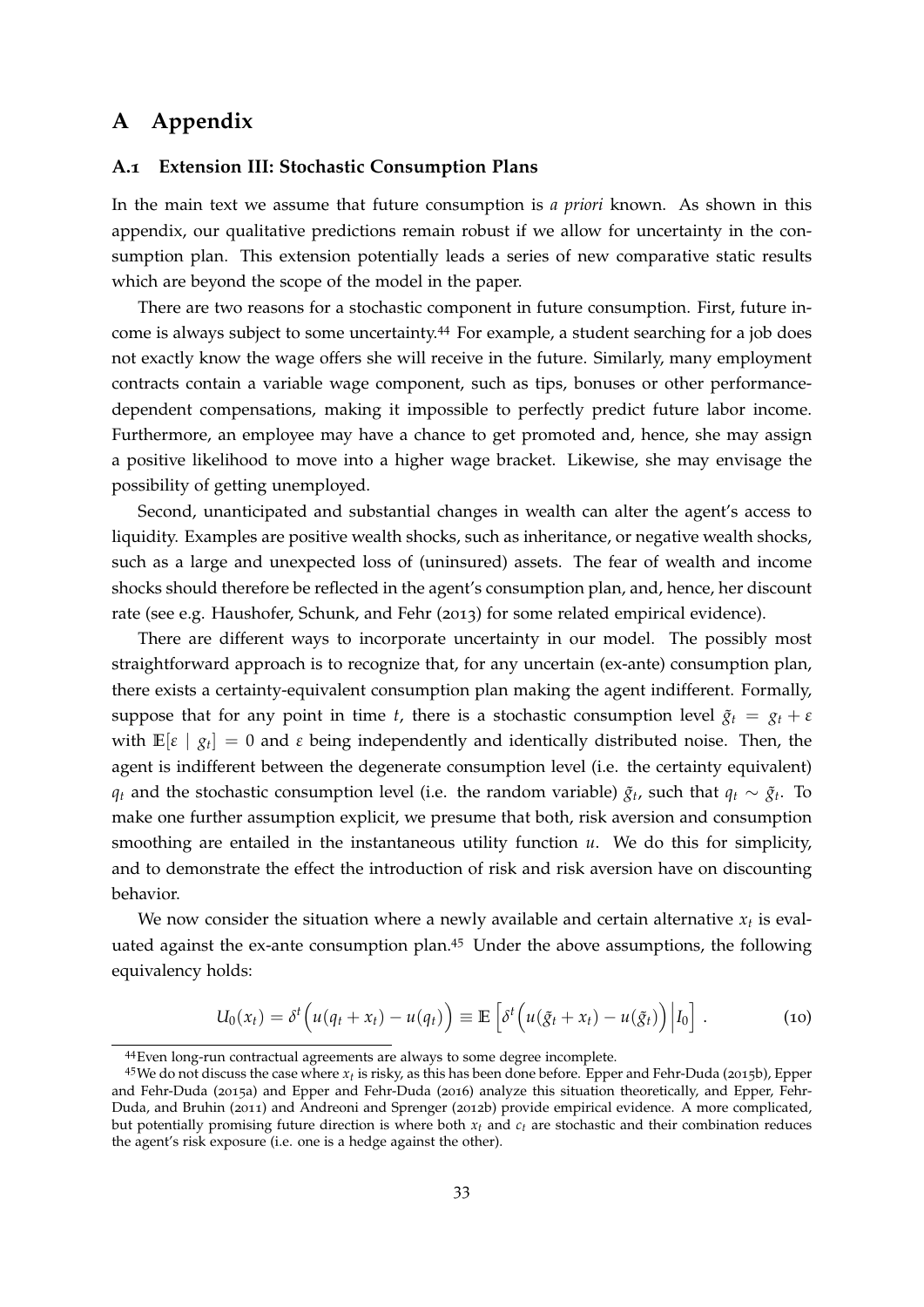## **A Appendix**

#### **A.1 Extension III: Stochastic Consumption Plans**

In the main text we assume that future consumption is *a priori* known. As shown in this appendix, our qualitative predictions remain robust if we allow for uncertainty in the consumption plan. This extension potentially leads a series of new comparative static results which are beyond the scope of the model in the paper.

There are two reasons for a stochastic component in future consumption. First, future income is always subject to some uncertainty.[44](#page-33-0) For example, a student searching for a job does not exactly know the wage offers she will receive in the future. Similarly, many employment contracts contain a variable wage component, such as tips, bonuses or other performancedependent compensations, making it impossible to perfectly predict future labor income. Furthermore, an employee may have a chance to get promoted and, hence, she may assign a positive likelihood to move into a higher wage bracket. Likewise, she may envisage the possibility of getting unemployed.

Second, unanticipated and substantial changes in wealth can alter the agent's access to liquidity. Examples are positive wealth shocks, such as inheritance, or negative wealth shocks, such as a large and unexpected loss of (uninsured) assets. The fear of wealth and income shocks should therefore be reflected in the agent's consumption plan, and, hence, her discount rate (see e.g. [Haushofer, Schunk, and Fehr](#page-38-5) ([2013](#page-38-5)) for some related empirical evidence).

There are different ways to incorporate uncertainty in our model. The possibly most straightforward approach is to recognize that, for any uncertain (ex-ante) consumption plan, there exists a certainty-equivalent consumption plan making the agent indifferent. Formally, suppose that for any point in time *t*, there is a stochastic consumption level  $\tilde{g}_t = g_t + \varepsilon$ with  $\mathbb{E}[\varepsilon \mid g_t] = 0$  and  $\varepsilon$  being independently and identically distributed noise. Then, the agent is indifferent between the degenerate consumption level (i.e. the certainty equivalent) *q*<sup>t</sup> and the stochastic consumption level (i.e. the random variable)  $\tilde{g}_t$ , such that  $q_t \sim \tilde{g}_t$ . To make one further assumption explicit, we presume that both, risk aversion and consumption smoothing are entailed in the instantaneous utility function *u*. We do this for simplicity, and to demonstrate the effect the introduction of risk and risk aversion have on discounting behavior.

We now consider the situation where a newly available and certain alternative  $x_t$  is evaluated against the ex-ante consumption plan.[45](#page-33-1) Under the above assumptions, the following equivalency holds:

<span id="page-33-2"></span>
$$
U_0(x_t) = \delta^t \left( u(q_t + x_t) - u(q_t) \right) \equiv \mathbb{E} \left[ \delta^t \left( u(\tilde{g}_t + x_t) - u(\tilde{g}_t) \right) \middle| I_0 \right]. \tag{10}
$$

<span id="page-33-1"></span><span id="page-33-0"></span><sup>44</sup>Even long-run contractual agreements are always to some degree incomplete.

<sup>45</sup>We do not discuss the case where *<sup>x</sup><sup>t</sup>* is risky, as this has been done before. [Epper and Fehr-Duda](#page-36-13) ([2015](#page-36-13)b), [Epper](#page-36-14) [and Fehr-Duda](#page-36-14) ([2015](#page-36-14)a) and [Epper and Fehr-Duda](#page-36-15) ([2016](#page-36-15)) analyze this situation theoretically, and [Epper, Fehr-](#page-37-2)[Duda, and Bruhin](#page-37-2) ([2011](#page-37-2)) and [Andreoni and Sprenger](#page-35-13) ([2012](#page-35-13)b) provide empirical evidence. A more complicated, but potentially promising future direction is where both *xt* and *ct* are stochastic and their combination reduces the agent's risk exposure (i.e. one is a hedge against the other).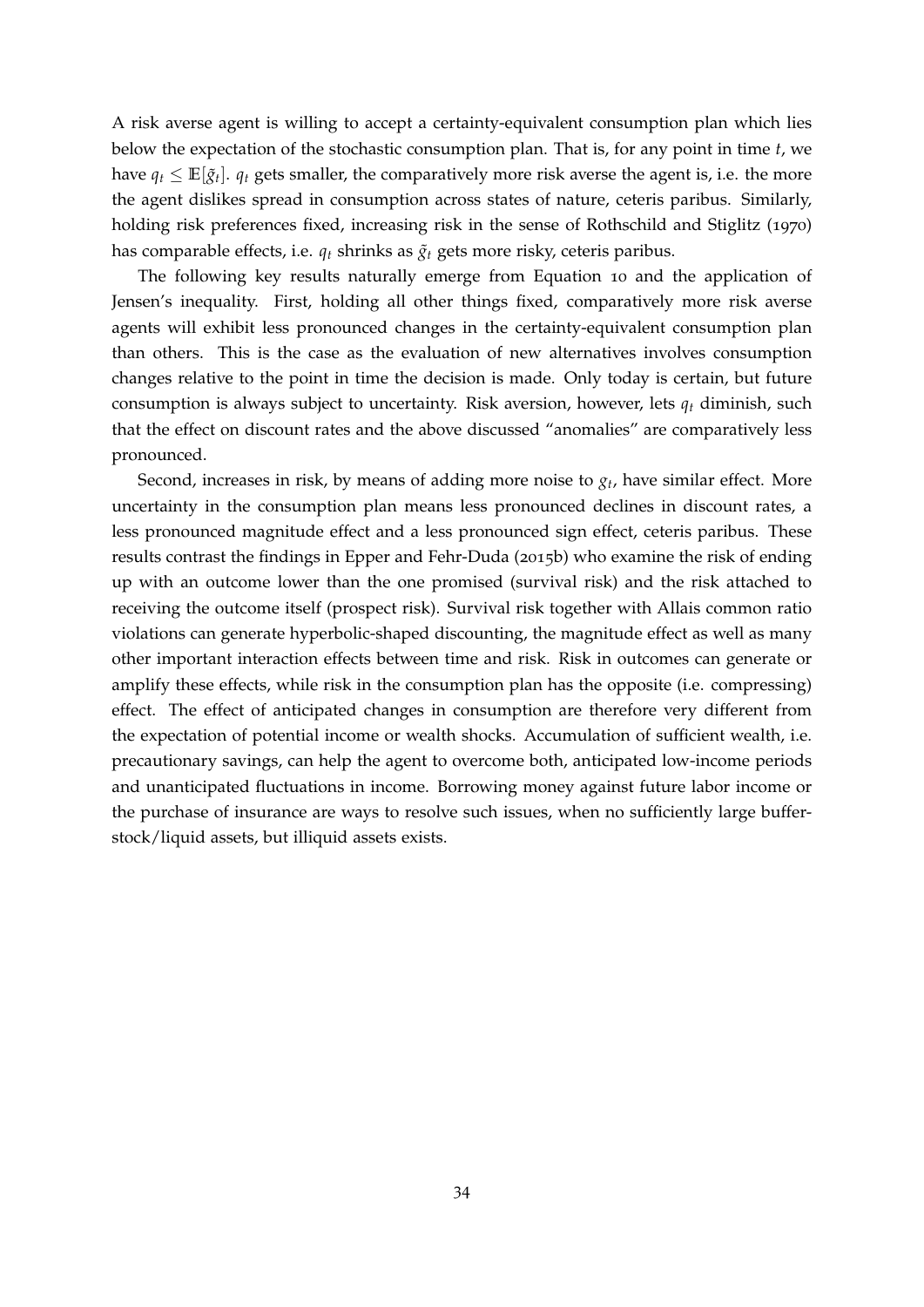A risk averse agent is willing to accept a certainty-equivalent consumption plan which lies below the expectation of the stochastic consumption plan. That is, for any point in time *t*, we have  $q_t \leq \mathbb{E}[\tilde{g}_t]$ .  $q_t$  gets smaller, the comparatively more risk averse the agent is, i.e. the more the agent dislikes spread in consumption across states of nature, ceteris paribus. Similarly, holding risk preferences fixed, increasing risk in the sense of [Rothschild and Stiglitz](#page-40-14) ([1970](#page-40-14)) has comparable effects, i.e.  $q_t$  shrinks as  $\tilde{q}_t$  gets more risky, ceteris paribus.

The following key results naturally emerge from Equation [10](#page-33-2) and the application of Jensen's inequality. First, holding all other things fixed, comparatively more risk averse agents will exhibit less pronounced changes in the certainty-equivalent consumption plan than others. This is the case as the evaluation of new alternatives involves consumption changes relative to the point in time the decision is made. Only today is certain, but future consumption is always subject to uncertainty. Risk aversion, however, lets *q<sup>t</sup>* diminish, such that the effect on discount rates and the above discussed "anomalies" are comparatively less pronounced.

Second, increases in risk, by means of adding more noise to *g<sup>t</sup>* , have similar effect. More uncertainty in the consumption plan means less pronounced declines in discount rates, a less pronounced magnitude effect and a less pronounced sign effect, ceteris paribus. These results contrast the findings in [Epper and Fehr-Duda](#page-36-13) ([2015](#page-36-13)b) who examine the risk of ending up with an outcome lower than the one promised (survival risk) and the risk attached to receiving the outcome itself (prospect risk). Survival risk together with Allais common ratio violations can generate hyperbolic-shaped discounting, the magnitude effect as well as many other important interaction effects between time and risk. Risk in outcomes can generate or amplify these effects, while risk in the consumption plan has the opposite (i.e. compressing) effect. The effect of anticipated changes in consumption are therefore very different from the expectation of potential income or wealth shocks. Accumulation of sufficient wealth, i.e. precautionary savings, can help the agent to overcome both, anticipated low-income periods and unanticipated fluctuations in income. Borrowing money against future labor income or the purchase of insurance are ways to resolve such issues, when no sufficiently large bufferstock/liquid assets, but illiquid assets exists.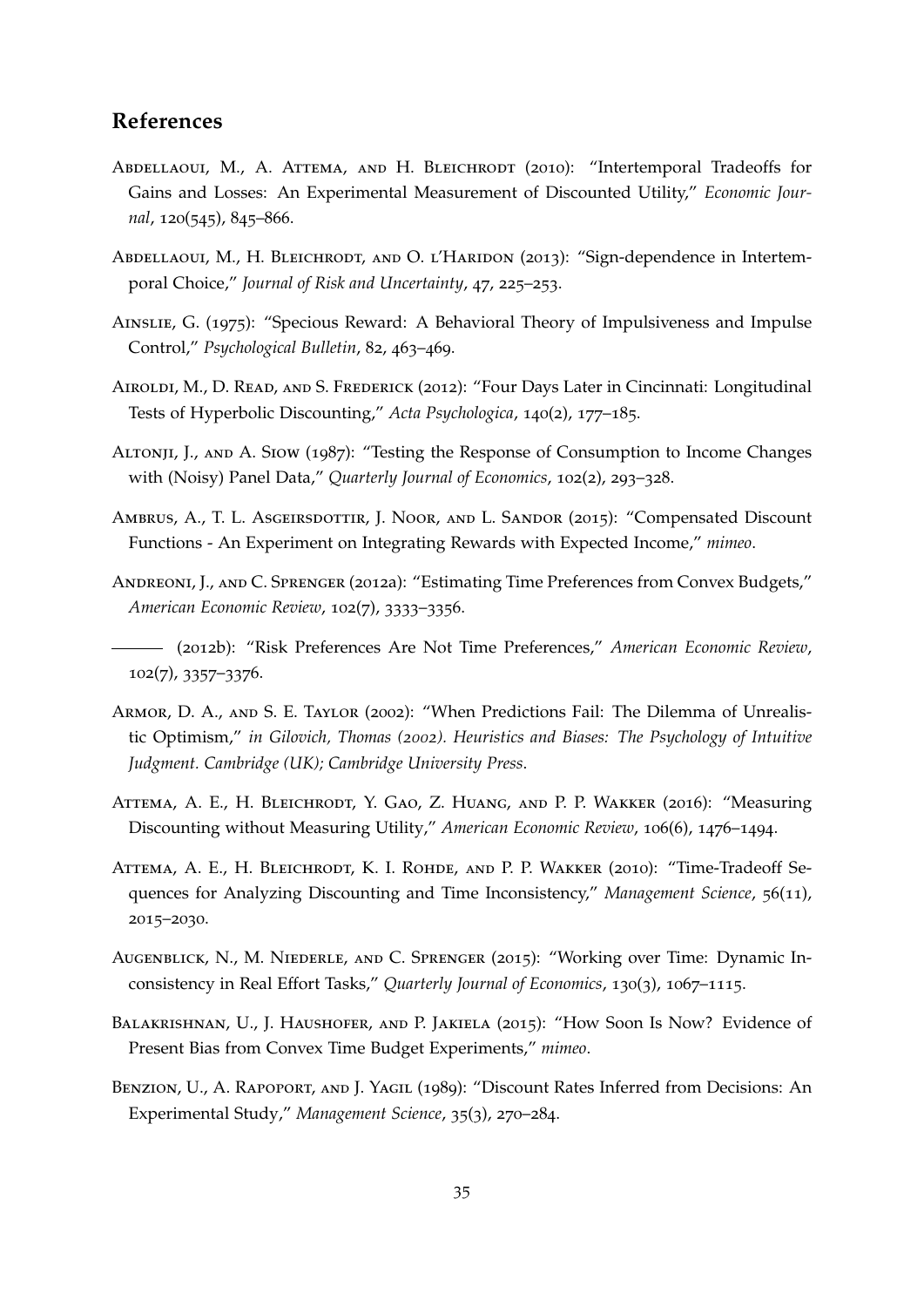### **References**

- <span id="page-35-3"></span>ABDELLAOUI, M., A. ATTEMA, AND H. BLEICHRODT (2010): "Intertemporal Tradeoffs for Gains and Losses: An Experimental Measurement of Discounted Utility," *Economic Journal*, 120(545), 845–866.
- <span id="page-35-4"></span>ABDELLAOUI, M., H. BLEICHRODT, AND O. L'HARIDON (2013): "Sign-dependence in Intertemporal Choice," *Journal of Risk and Uncertainty*, 47, 225–253.
- <span id="page-35-0"></span>Ainslie, G. (1975): "Specious Reward: A Behavioral Theory of Impulsiveness and Impulse Control," *Psychological Bulletin*, 82, 463–469.
- <span id="page-35-2"></span>Airoldi, M., D. Read, and S. Frederick (2012): "Four Days Later in Cincinnati: Longitudinal Tests of Hyperbolic Discounting," *Acta Psychologica*, 140(2), 177–185.
- <span id="page-35-10"></span>Altonji, J., and A. Siow (1987): "Testing the Response of Consumption to Income Changes with (Noisy) Panel Data," *Quarterly Journal of Economics*, 102(2), 293–328.
- <span id="page-35-9"></span>AMBRUS, A., T. L. ASGEIRSDOTTIR, J. NOOR, AND L. SANDOR (2015): "Compensated Discount Functions - An Experiment on Integrating Rewards with Expected Income," *mimeo*.
- <span id="page-35-7"></span>Andreoni, J., and C. Sprenger (2012a): "Estimating Time Preferences from Convex Budgets," *American Economic Review*, 102(7), 3333–3356.
- <span id="page-35-13"></span>(2012b): "Risk Preferences Are Not Time Preferences," *American Economic Review*, 102(7), 3357–3376.
- <span id="page-35-8"></span>Armor, D. A., and S. E. Taylor (2002): "When Predictions Fail: The Dilemma of Unrealistic Optimism," *in Gilovich, Thomas (2002). Heuristics and Biases: The Psychology of Intuitive Judgment. Cambridge (UK); Cambridge University Press*.
- <span id="page-35-5"></span>Attema, A. E., H. Bleichrodt, Y. Gao, Z. Huang, and P. P. Wakker (2016): "Measuring Discounting without Measuring Utility," *American Economic Review*, 106(6), 1476–1494.
- <span id="page-35-6"></span>ATTEMA, A. E., H. BLEICHRODT, K. I. ROHDE, AND P. P. WAKKER (2010): "Time-Tradeoff Sequences for Analyzing Discounting and Time Inconsistency," *Management Science*, 56(11), 2015–2030.
- <span id="page-35-1"></span>Augenblick, N., M. Niederle, and C. Sprenger (2015): "Working over Time: Dynamic Inconsistency in Real Effort Tasks," *Quarterly Journal of Economics*, 130(3), 1067–1115.
- <span id="page-35-12"></span>Balakrishnan, U., J. Haushofer, and P. Jakiela (2015): "How Soon Is Now? Evidence of Present Bias from Convex Time Budget Experiments," *mimeo*.
- <span id="page-35-11"></span>BENZION, U., A. RAPOPORT, AND J. YAGIL (1989): "Discount Rates Inferred from Decisions: An Experimental Study," *Management Science*, 35(3), 270–284.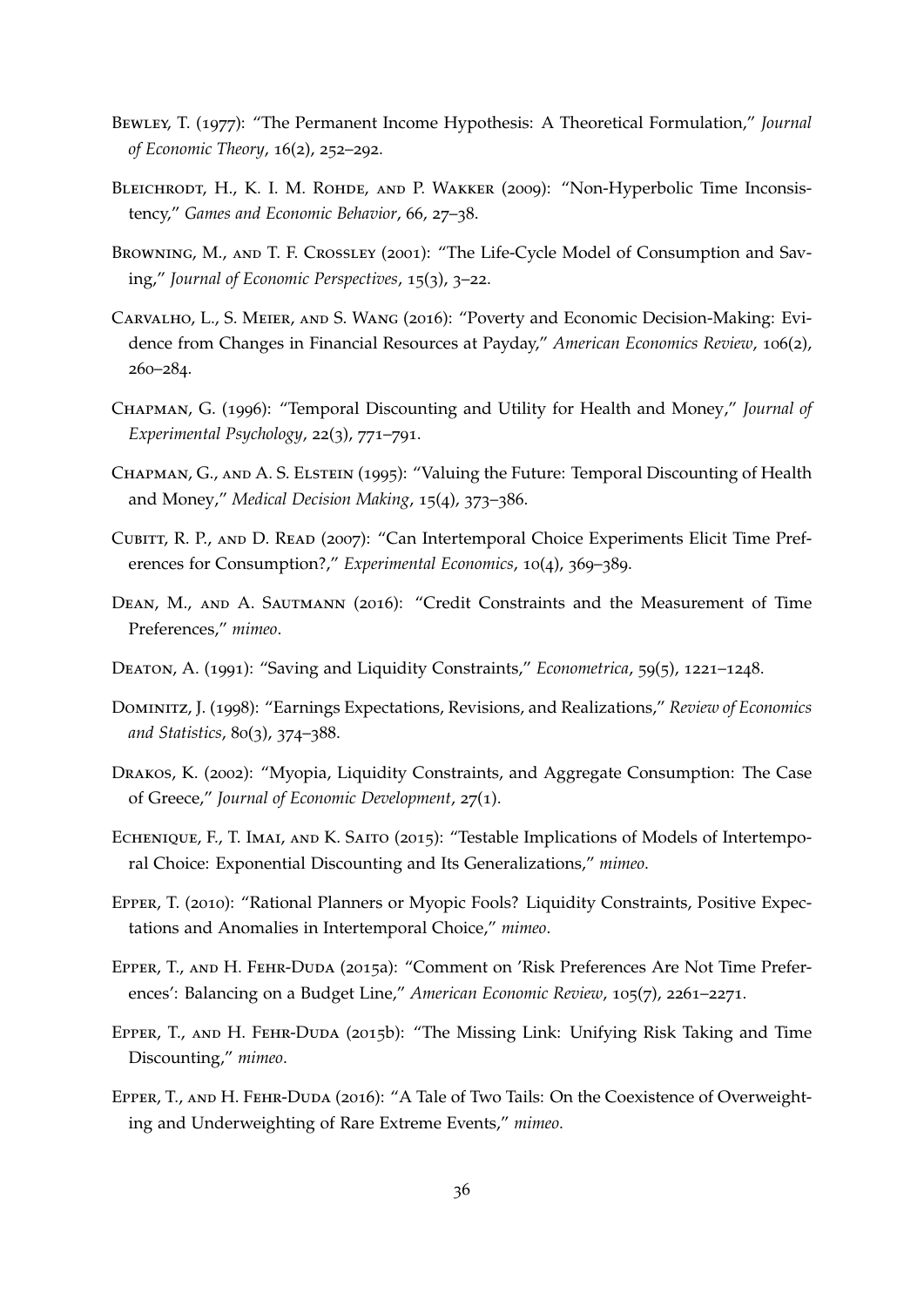- <span id="page-36-8"></span>Bewley, T. (1977): "The Permanent Income Hypothesis: A Theoretical Formulation," *Journal of Economic Theory*, 16(2), 252–292.
- <span id="page-36-12"></span>BLEICHRODT, H., K. I. M. ROHDE, AND P. WAKKER (2009): "Non-Hyperbolic Time Inconsistency," *Games and Economic Behavior*, 66, 27–38.
- <span id="page-36-10"></span>Browning, M., and T. F. Crossley (2001): "The Life-Cycle Model of Consumption and Saving," *Journal of Economic Perspectives*, 15(3), 3–22.
- <span id="page-36-3"></span>Carvalho, L., S. Meier, and S. Wang (2016): "Poverty and Economic Decision-Making: Evidence from Changes in Financial Resources at Payday," *American Economics Review*, 106(2), 260–284.
- <span id="page-36-0"></span>Chapman, G. (1996): "Temporal Discounting and Utility for Health and Money," *Journal of Experimental Psychology*, 22(3), 771–791.
- <span id="page-36-11"></span>CHAPMAN, G., AND A. S. ELSTEIN (1995): "Valuing the Future: Temporal Discounting of Health and Money," *Medical Decision Making*, 15(4), 373–386.
- <span id="page-36-7"></span>Cubitt, R. P., and D. Read (2007): "Can Intertemporal Choice Experiments Elicit Time Preferences for Consumption?," *Experimental Economics*, 10(4), 369–389.
- <span id="page-36-1"></span>DEAN, M., AND A. SAUTMANN (2016): "Credit Constraints and the Measurement of Time Preferences," *mimeo*.
- <span id="page-36-4"></span>Deaton, A. (1991): "Saving and Liquidity Constraints," *Econometrica*, 59(5), 1221–1248.
- <span id="page-36-6"></span>Dominitz, J. (1998): "Earnings Expectations, Revisions, and Realizations," *Review of Economics and Statistics*, 80(3), 374–388.
- <span id="page-36-9"></span>Drakos, K. (2002): "Myopia, Liquidity Constraints, and Aggregate Consumption: The Case of Greece," *Journal of Economic Development*, 27(1).
- <span id="page-36-5"></span>ECHENIQUE, F., T. IMAI, AND K. SAITO (2015): "Testable Implications of Models of Intertemporal Choice: Exponential Discounting and Its Generalizations," *mimeo*.
- <span id="page-36-2"></span>Epper, T. (2010): "Rational Planners or Myopic Fools? Liquidity Constraints, Positive Expectations and Anomalies in Intertemporal Choice," *mimeo*.
- <span id="page-36-14"></span>Epper, T., and H. Fehr-Duda (2015a): "Comment on 'Risk Preferences Are Not Time Preferences': Balancing on a Budget Line," *American Economic Review*, 105(7), 2261–2271.
- <span id="page-36-13"></span>Epper, T., and H. Fehr-Duda (2015b): "The Missing Link: Unifying Risk Taking and Time Discounting," *mimeo*.
- <span id="page-36-15"></span>EPPER, T., AND H. FEHR-DUDA (2016): "A Tale of Two Tails: On the Coexistence of Overweighting and Underweighting of Rare Extreme Events," *mimeo*.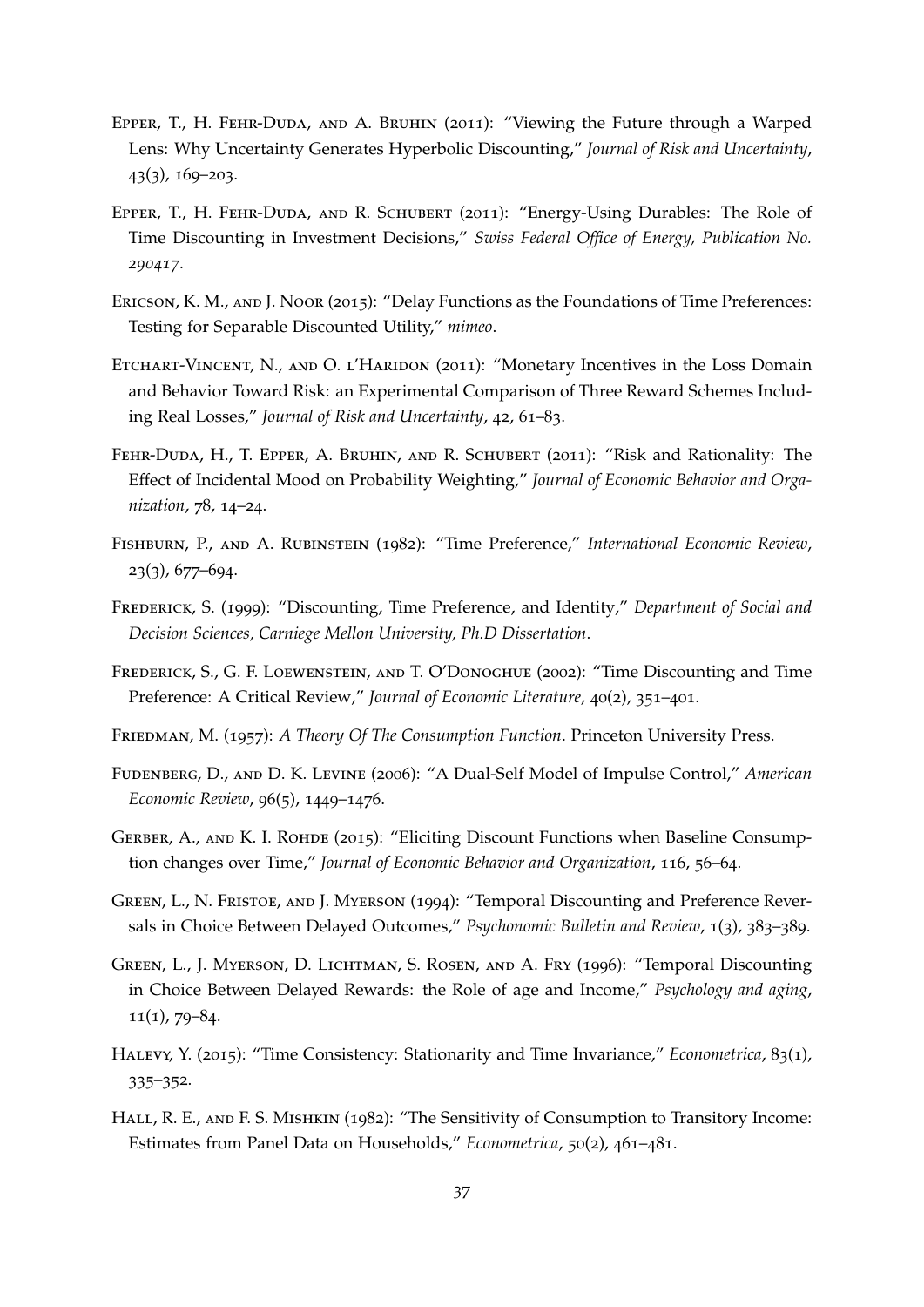- <span id="page-37-2"></span>EPPER, T., H. FEHR-DUDA, AND A. BRUHIN (2011): "Viewing the Future through a Warped Lens: Why Uncertainty Generates Hyperbolic Discounting," *Journal of Risk and Uncertainty*, 43(3), 169–203.
- <span id="page-37-4"></span>Epper, T., H. Fehr-Duda, and R. Schubert (2011): "Energy-Using Durables: The Role of Time Discounting in Investment Decisions," *Swiss Federal Office of Energy, Publication No. 290417*.
- <span id="page-37-5"></span>Ericson, K. M., and J. Noor (2015): "Delay Functions as the Foundations of Time Preferences: Testing for Separable Discounted Utility," *mimeo*.
- <span id="page-37-11"></span>ETCHART-VINCENT, N., AND O. L'HARIDON (2011): "Monetary Incentives in the Loss Domain and Behavior Toward Risk: an Experimental Comparison of Three Reward Schemes Including Real Losses," *Journal of Risk and Uncertainty*, 42, 61–83.
- <span id="page-37-14"></span>Fehr-Duda, H., T. Epper, A. Bruhin, and R. Schubert (2011): "Risk and Rationality: The Effect of Incidental Mood on Probability Weighting," *Journal of Economic Behavior and Organization*, 78, 14–24.
- <span id="page-37-8"></span>Fishburn, P., and A. Rubinstein (1982): "Time Preference," *International Economic Review*, 23(3), 677–694.
- <span id="page-37-3"></span>Frederick, S. (1999): "Discounting, Time Preference, and Identity," *Department of Social and Decision Sciences, Carniege Mellon University, Ph.D Dissertation*.
- <span id="page-37-0"></span>Frederick, S., G. F. Loewenstein, and T. O'Donoghue (2002): "Time Discounting and Time Preference: A Critical Review," *Journal of Economic Literature*, 40(2), 351–401.
- <span id="page-37-9"></span>Friedman, M. (1957): *A Theory Of The Consumption Function*. Princeton University Press.
- <span id="page-37-6"></span>Fudenberg, D., and D. K. Levine (2006): "A Dual-Self Model of Impulse Control," *American Economic Review*, 96(5), 1449–1476.
- <span id="page-37-7"></span>GERBER, A., AND K. I. ROHDE (2015): "Eliciting Discount Functions when Baseline Consumption changes over Time," *Journal of Economic Behavior and Organization*, 116, 56–64.
- <span id="page-37-12"></span>Green, L., N. Fristoe, and J. Myerson (1994): "Temporal Discounting and Preference Reversals in Choice Between Delayed Outcomes," *Psychonomic Bulletin and Review*, 1(3), 383–389.
- <span id="page-37-13"></span>Green, L., J. Myerson, D. Lichtman, S. Rosen, and A. Fry (1996): "Temporal Discounting in Choice Between Delayed Rewards: the Role of age and Income," *Psychology and aging*,  $11(1), 79-84.$
- <span id="page-37-1"></span>Halevy, Y. (2015): "Time Consistency: Stationarity and Time Invariance," *Econometrica*, 83(1), 335–352.
- <span id="page-37-10"></span>HALL, R. E., AND F. S. MISHKIN (1982): "The Sensitivity of Consumption to Transitory Income: Estimates from Panel Data on Households," *Econometrica*, 50(2), 461–481.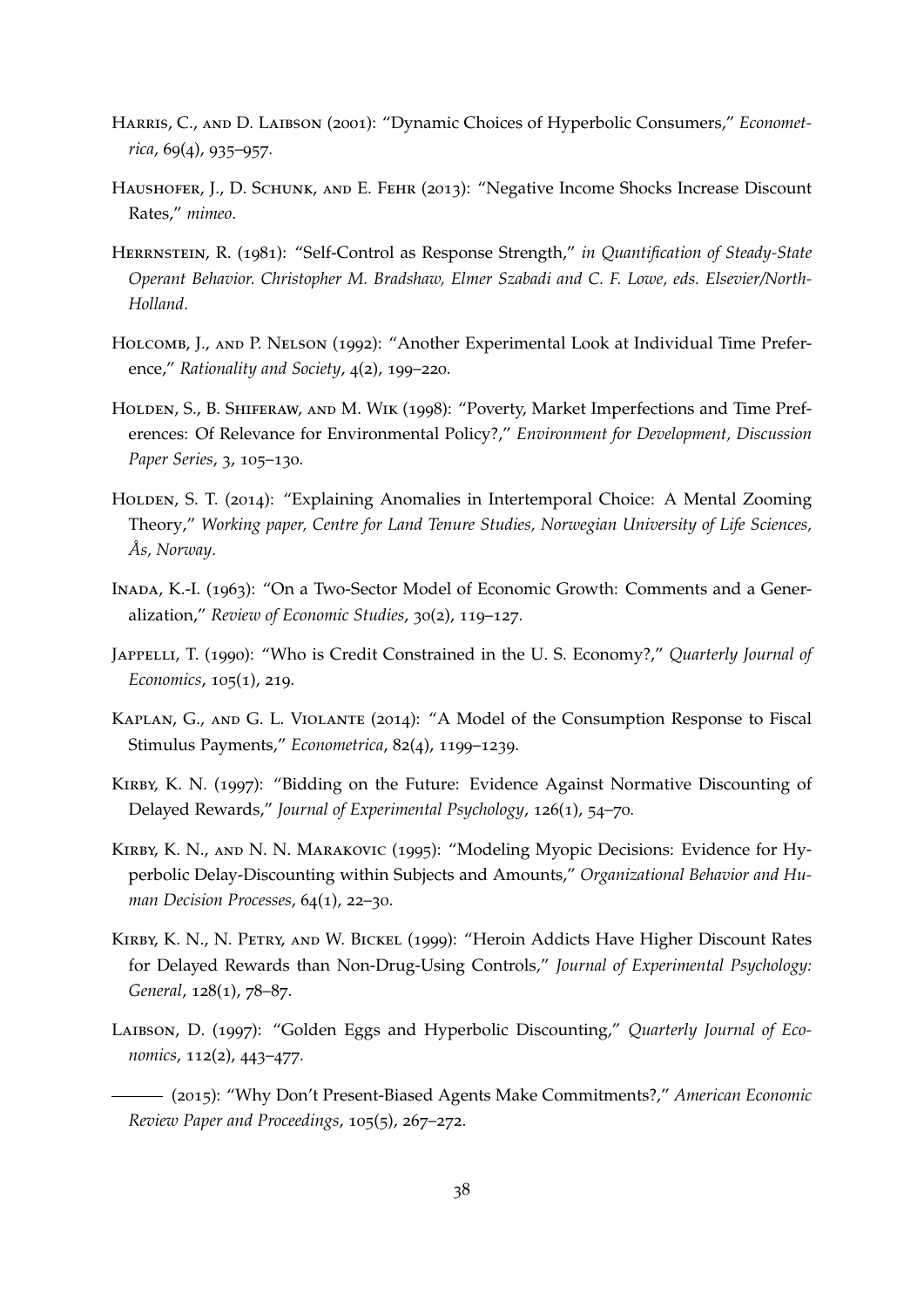- <span id="page-38-2"></span>HARRIS, C., AND D. LAIBSON (2001): "Dynamic Choices of Hyperbolic Consumers," *Econometrica*, 69(4), 935–957.
- <span id="page-38-5"></span>HAUSHOFER, J., D. SCHUNK, AND E. FEHR (2013): "Negative Income Shocks Increase Discount Rates," *mimeo*.
- <span id="page-38-0"></span>Herrnstein, R. (1981): "Self-Control as Response Strength," *in Quantification of Steady-State Operant Behavior. Christopher M. Bradshaw, Elmer Szabadi and C. F. Lowe, eds. Elsevier/North-Holland*.
- <span id="page-38-8"></span>Holcomb, J., and P. Nelson (1992): "Another Experimental Look at Individual Time Preference," *Rationality and Society*, 4(2), 199–220.
- <span id="page-38-3"></span>HOLDEN, S., B. SHIFERAW, AND M. WIK (1998): "Poverty, Market Imperfections and Time Preferences: Of Relevance for Environmental Policy?," *Environment for Development, Discussion Paper Series*, 3, 105–130.
- <span id="page-38-12"></span>HOLDEN, S. T. (2014): "Explaining Anomalies in Intertemporal Choice: A Mental Zooming Theory," *Working paper, Centre for Land Tenure Studies, Norwegian University of Life Sciences,*  $As, Norway.$
- <span id="page-38-6"></span>Inada, K.-I. (1963): "On a Two-Sector Model of Economic Growth: Comments and a Generalization," *Review of Economic Studies*, 30(2), 119–127.
- <span id="page-38-7"></span>Jappelli, T. (1990): "Who is Credit Constrained in the U. S. Economy?," *Quarterly Journal of Economics*, 105(1), 219.
- <span id="page-38-4"></span>Kaplan, G., and G. L. Violante (2014): "A Model of the Consumption Response to Fiscal Stimulus Payments," *Econometrica*, 82(4), 1199–1239.
- <span id="page-38-10"></span>Kirby, K. N. (1997): "Bidding on the Future: Evidence Against Normative Discounting of Delayed Rewards," *Journal of Experimental Psychology*, 126(1), 54–70.
- <span id="page-38-9"></span>Kirby, K. N., and N. N. Marakovic (1995): "Modeling Myopic Decisions: Evidence for Hyperbolic Delay-Discounting within Subjects and Amounts," *Organizational Behavior and Human Decision Processes*, 64(1), 22–30.
- <span id="page-38-11"></span>Kirby, K. N., N. Petry, and W. Bickel (1999): "Heroin Addicts Have Higher Discount Rates for Delayed Rewards than Non-Drug-Using Controls," *Journal of Experimental Psychology: General*, 128(1), 78–87.
- <span id="page-38-1"></span>Laibson, D. (1997): "Golden Eggs and Hyperbolic Discounting," *Quarterly Journal of Economics*, 112(2), 443–477.
- <span id="page-38-13"></span>(2015): "Why Don't Present-Biased Agents Make Commitments?," *American Economic Review Paper and Proceedings*, 105(5), 267–272.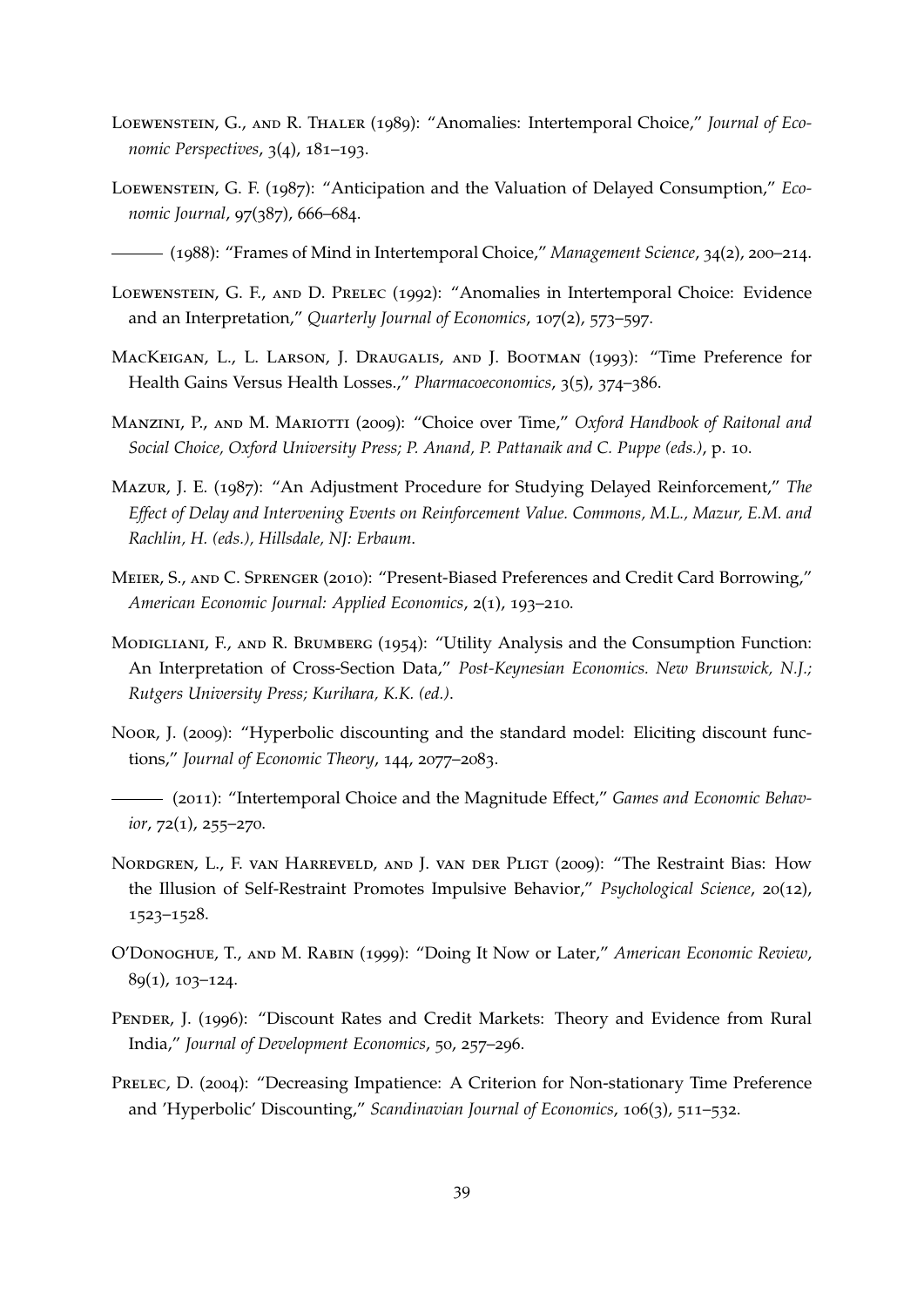- <span id="page-39-1"></span>Loewenstein, G., and R. Thaler (1989): "Anomalies: Intertemporal Choice," *Journal of Economic Perspectives*, 3(4), 181–193.
- <span id="page-39-11"></span>Loewenstein, G. F. (1987): "Anticipation and the Valuation of Delayed Consumption," *Economic Journal*, 97(387), 666–684.

<span id="page-39-12"></span>(1988): "Frames of Mind in Intertemporal Choice," *Management Science*, 34(2), 200–214.

- <span id="page-39-2"></span>Loewenstein, G. F., and D. Prelec (1992): "Anomalies in Intertemporal Choice: Evidence and an Interpretation," *Quarterly Journal of Economics*, 107(2), 573–597.
- <span id="page-39-13"></span>MacKeigan, L., L. Larson, J. Draugalis, and J. Bootman (1993): "Time Preference for Health Gains Versus Health Losses.," *Pharmacoeconomics*, 3(5), 374–386.
- <span id="page-39-7"></span>Manzini, P., and M. Mariotti (2009): "Choice over Time," *Oxford Handbook of Raitonal and Social Choice, Oxford University Press; P. Anand, P. Pattanaik and C. Puppe (eds.)*, p. 10.
- <span id="page-39-0"></span>Mazur, J. E. (1987): "An Adjustment Procedure for Studying Delayed Reinforcement," *The Effect of Delay and Intervening Events on Reinforcement Value. Commons, M.L., Mazur, E.M. and Rachlin, H. (eds.), Hillsdale, NJ: Erbaum*.
- <span id="page-39-5"></span>Meier, S., and C. Sprenger (2010): "Present-Biased Preferences and Credit Card Borrowing," *American Economic Journal: Applied Economics*, 2(1), 193–210.
- <span id="page-39-8"></span>MODIGLIANI, F., AND R. BRUMBERG (1954): "Utility Analysis and the Consumption Function: An Interpretation of Cross-Section Data," *Post-Keynesian Economics. New Brunswick, N.J.; Rutgers University Press; Kurihara, K.K. (ed.)*.
- <span id="page-39-6"></span>Noor, J. (2009): "Hyperbolic discounting and the standard model: Eliciting discount functions," *Journal of Economic Theory*, 144, 2077–2083.
- <span id="page-39-9"></span>(2011): "Intertemporal Choice and the Magnitude Effect," *Games and Economic Behavior*, 72(1), 255–270.
- <span id="page-39-4"></span>Nordgren, L., F. van Harreveld, and J. van der Pligt (2009): "The Restraint Bias: How the Illusion of Self-Restraint Promotes Impulsive Behavior," *Psychological Science*, 20(12), 1523–1528.
- <span id="page-39-14"></span>O'Donoghue, T., and M. Rabin (1999): "Doing It Now or Later," *American Economic Review*, 89(1), 103–124.
- <span id="page-39-3"></span>Pender, J. (1996): "Discount Rates and Credit Markets: Theory and Evidence from Rural India," *Journal of Development Economics*, 50, 257–296.
- <span id="page-39-10"></span>PRELEC, D. (2004): "Decreasing Impatience: A Criterion for Non-stationary Time Preference and 'Hyperbolic' Discounting," *Scandinavian Journal of Economics*, 106(3), 511–532.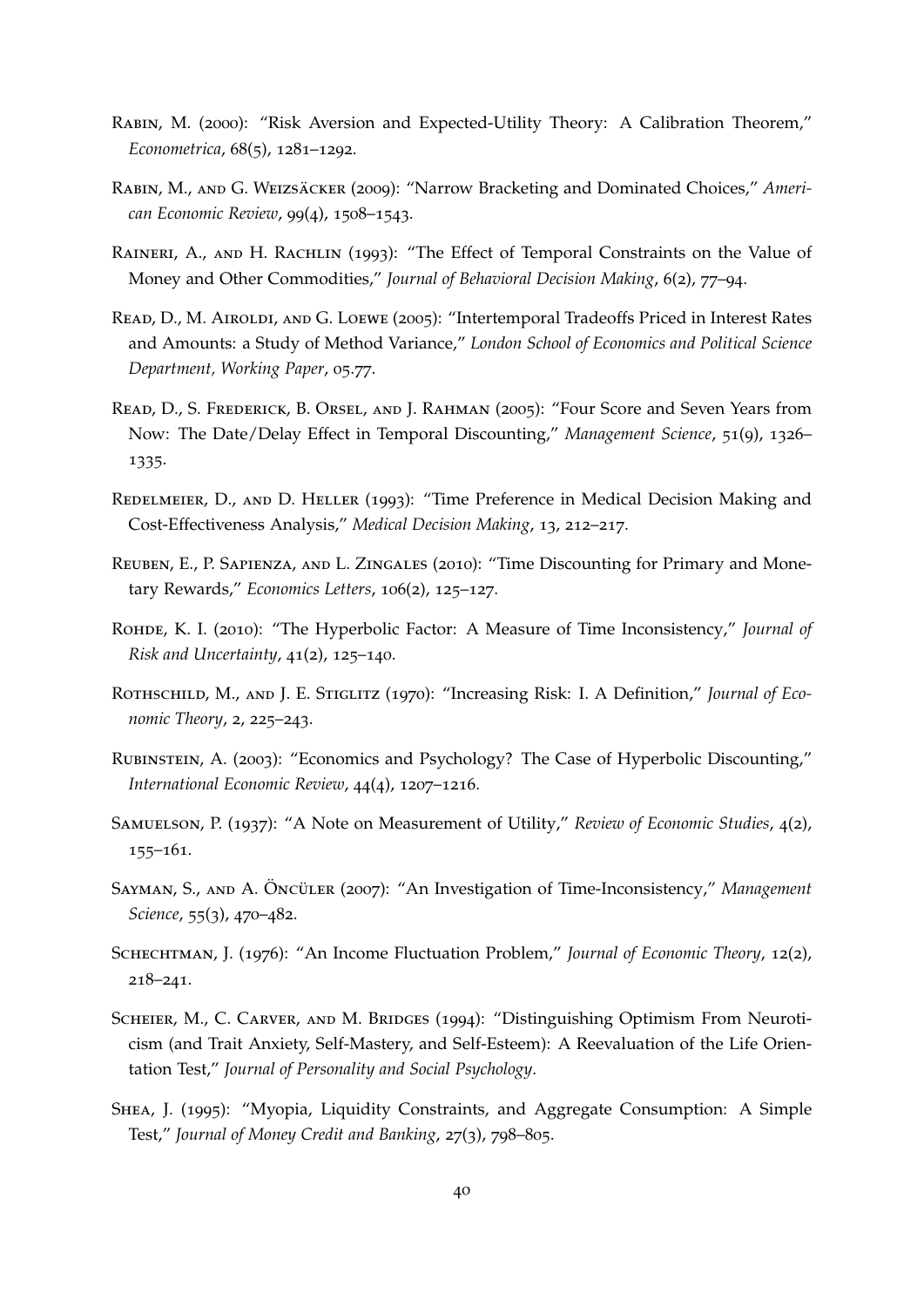- <span id="page-40-9"></span>Rabin, M. (2000): "Risk Aversion and Expected-Utility Theory: A Calibration Theorem," *Econometrica*, 68(5), 1281–1292.
- <span id="page-40-5"></span>RABIN, M., AND G. WEIZSÄCKER (2009): "Narrow Bracketing and Dominated Choices," Ameri*can Economic Review*, 99(4), 1508–1543.
- <span id="page-40-12"></span>RAINERI, A., AND H. RACHLIN (1993): "The Effect of Temporal Constraints on the Value of Money and Other Commodities," *Journal of Behavioral Decision Making*, 6(2), 77–94.
- <span id="page-40-4"></span>Read, D., M. Airoldi, and G. Loewe (2005): "Intertemporal Tradeoffs Priced in Interest Rates and Amounts: a Study of Method Variance," *London School of Economics and Political Science Department, Working Paper*, 05.77.
- <span id="page-40-1"></span>Read, D., S. Frederick, B. Orsel, and J. Rahman (2005): "Four Score and Seven Years from Now: The Date/Delay Effect in Temporal Discounting," *Management Science*, 51(9), 1326– 1335.
- <span id="page-40-10"></span>REDELMEIER, D., AND D. HELLER (1993): "Time Preference in Medical Decision Making and Cost-Effectiveness Analysis," *Medical Decision Making*, 13, 212–217.
- <span id="page-40-0"></span>REUBEN, E., P. SAPIENZA, AND L. ZINGALES (2010): "Time Discounting for Primary and Monetary Rewards," *Economics Letters*, 106(2), 125–127.
- <span id="page-40-11"></span>Rohde, K. I. (2010): "The Hyperbolic Factor: A Measure of Time Inconsistency," *Journal of Risk and Uncertainty*, 41(2), 125–140.
- <span id="page-40-14"></span>ROTHSCHILD, M., AND J. E. STIGLITZ (1970): "Increasing Risk: I. A Definition," *Journal of Economic Theory*, 2, 225–243.
- <span id="page-40-3"></span>Rubinstein, A. (2003): "Economics and Psychology? The Case of Hyperbolic Discounting," *International Economic Review*, 44(4), 1207–1216.
- <span id="page-40-8"></span>Samuelson, P. (1937): "A Note on Measurement of Utility," *Review of Economic Studies*, 4(2), 155–161.
- <span id="page-40-2"></span>SAYMAN, S., AND A. ÖNCÜLER (2007): "An Investigation of Time-Inconsistency," Management *Science*, 55(3), 470–482.
- <span id="page-40-6"></span>Schechtman, J. (1976): "An Income Fluctuation Problem," *Journal of Economic Theory*, 12(2), 218–241.
- <span id="page-40-13"></span>SCHEIER, M., C. CARVER, AND M. BRIDGES (1994): "Distinguishing Optimism From Neuroticism (and Trait Anxiety, Self-Mastery, and Self-Esteem): A Reevaluation of the Life Orientation Test," *Journal of Personality and Social Psychology*.
- <span id="page-40-7"></span>Shea, J. (1995): "Myopia, Liquidity Constraints, and Aggregate Consumption: A Simple Test," *Journal of Money Credit and Banking*, 27(3), 798–805.